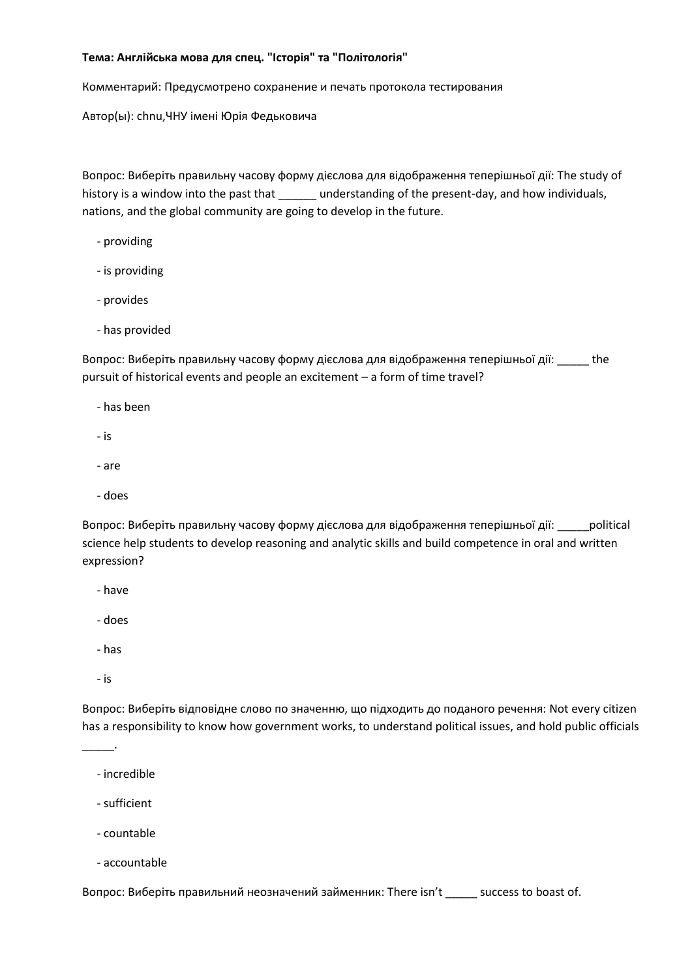## **Тема: Англійська мова для спец. "Історія" та "Політологія"**

Комментарий: Предусмотрено сохранение и печать протокола тестирования

Автор(ы): chnu,ЧНУ імені Юрія Федьковича

Вопрос: Виберіть правильну часову форму дієслова для відображення теперішньої дії: The study of history is a window into the past that \_\_\_\_\_\_ understanding of the present-day, and how individuals, nations, and the global community are going to develop in the future.

- providing
- is providing
- provides
- has provided

Вопрос: Виберіть правильну часову форму дієслова для відображення теперішньої дії: \_\_\_\_\_ the pursuit of historical events and people an excitement – a form of time travel?

- has been
- is
- are
- does

Вопрос: Виберіть правильну часову форму дієслова для відображення теперішньої дії: \_\_\_\_\_political science help students to develop reasoning and analytic skills and build competence in oral and written expression?

- have
- does
- has
- is

\_\_\_\_\_.

Вопрос: Виберіть відповідне слово по значенню, що підходить до поданого речення: Not every citizen has a responsibility to know how government works, to understand political issues, and hold public officials

- incredible
- sufficient
- countable
- accountable

Вопрос: Виберіть правильний неозначений займенник: There isn't \_\_\_\_\_ success to boast of.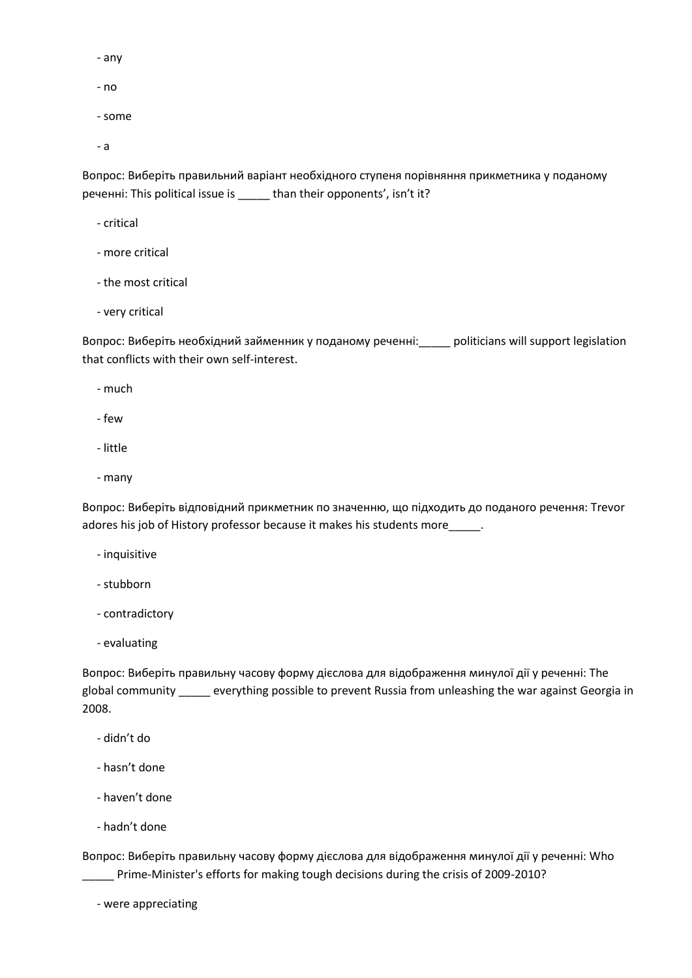- any
- no
- some

- a

Вопрос: Виберіть правильний варіант необхідного ступеня порівняння прикметника у поданому реченні: This political issue is \_\_\_\_\_ than their opponents', isn't it?

- critical
- more critical
- the most critical
- very critical

Вопрос: Виберіть необхідний займенник у поданому реченні:\_\_\_\_\_ politicians will support legislation that conflicts with their own self-interest.

- much
- few
- little
- many

Вопрос: Виберіть відповідний прикметник по значенню, що підходить до поданого речення: Trevor adores his job of History professor because it makes his students more\_\_\_\_\_.

- inquisitive
- stubborn
- contradictory
- evaluating

Вопрос: Виберіть правильну часову форму дієслова для відображення минулої дії у реченні: The global community \_\_\_\_\_ everything possible to prevent Russia from unleashing the war against Georgia in 2008.

- didn't do
- hasn't done
- haven't done
- hadn't done

Вопрос: Виберіть правильну часову форму дієслова для відображення минулої дії у реченні: Who \_\_\_\_\_ Prime-Minister's efforts for making tough decisions during the crisis of 2009-2010?

- were appreciating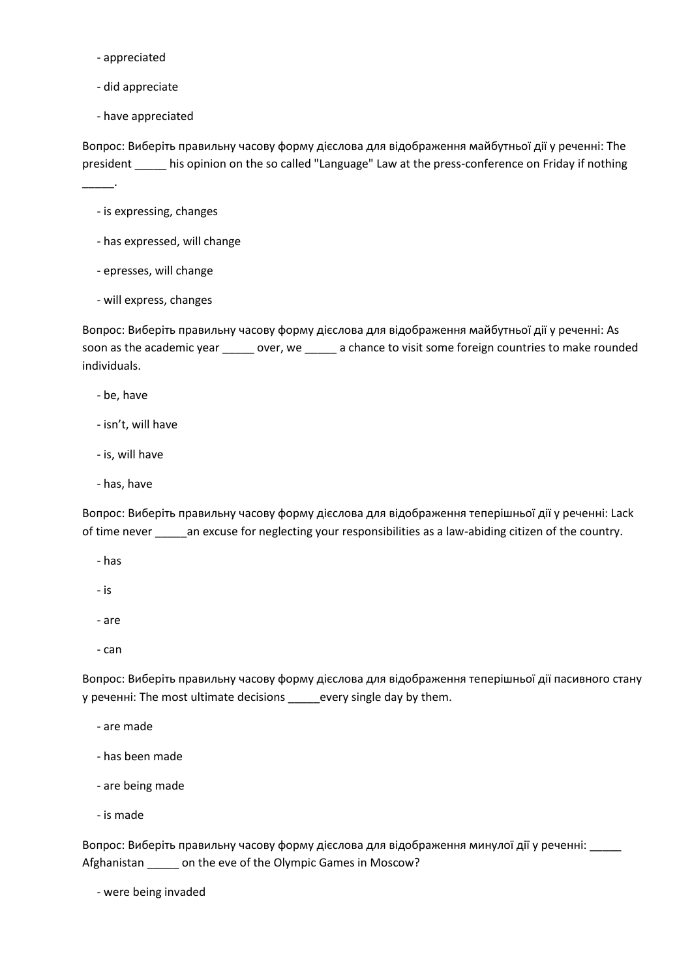- appreciated
- did appreciate
- have appreciated

Вопрос: Виберіть правильну часову форму дієслова для відображення майбутньої дії у реченні: The president \_\_\_\_\_ his opinion on the so called "Language" Law at the press-conference on Friday if nothing

\_\_\_\_\_.

- is expressing, changes
- has expressed, will change
- epresses, will change
- will express, changes

Вопрос: Виберіть правильну часову форму дієслова для відображення майбутньої дії у реченні: As soon as the academic year \_\_\_\_\_ over, we \_\_\_\_\_ a chance to visit some foreign countries to make rounded individuals.

- be, have
- isn't, will have
- is, will have
- has, have

Вопрос: Виберіть правильну часову форму дієслова для відображення теперішньої дії у реченні: Lack of time never \_\_\_\_\_an excuse for neglecting your responsibilities as a law-abiding citizen of the country.

- has
- is
- are
- can

Вопрос: Виберіть правильну часову форму дієслова для відображення теперішньої дії пасивного стану у реченні: The most ultimate decisions \_\_\_\_\_every single day by them.

- are made
- has been made
- are being made
- is made

Вопрос: Виберіть правильну часову форму дієслова для відображення минулої дії у реченні: Afghanistan \_\_\_\_\_ on the eve of the Olympic Games in Moscow?

- were being invaded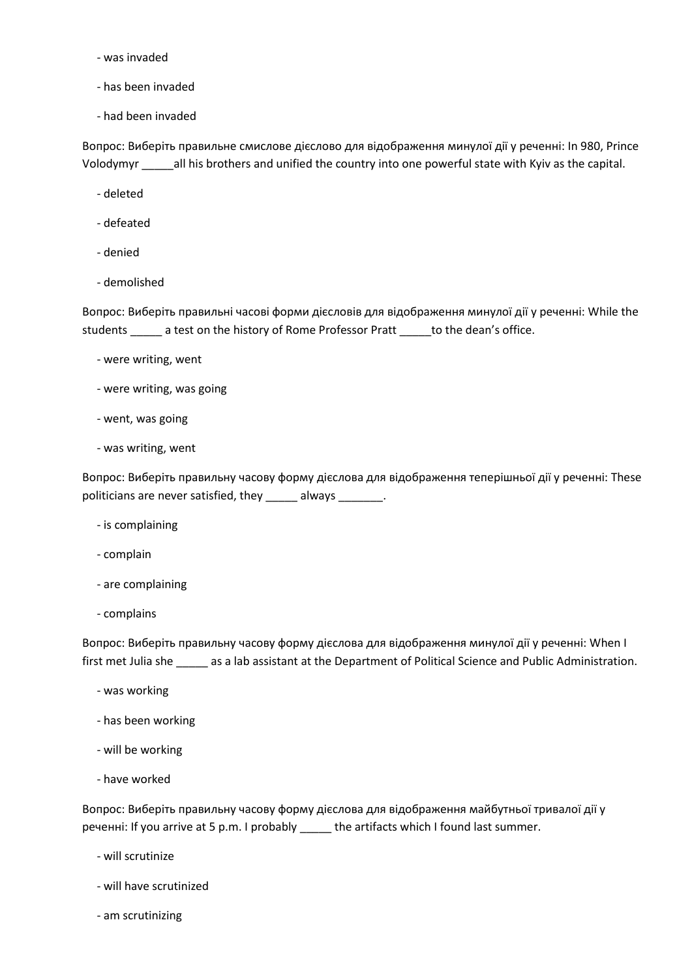- was invaded
- has been invaded
- had been invaded

Вопрос: Виберіть правильне смислове дієслово для відображення минулої дії у реченні: In 980, Prince Volodymyr \_\_\_\_\_all his brothers and unified the country into one powerful state with Kyiv as the capital.

- deleted
- defeated
- denied
- demolished

Вопрос: Виберіть правильні часові форми дієсловів для відображення минулої дії у реченні: While the students \_\_\_\_\_ a test on the history of Rome Professor Pratt \_\_\_\_\_ to the dean's office.

- were writing, went
- were writing, was going
- went, was going
- was writing, went

Вопрос: Виберіть правильну часову форму дієслова для відображення теперішньої дії у реченні: These politicians are never satisfied, they \_\_\_\_\_ always \_\_\_\_\_\_\_.

- is complaining
- complain
- are complaining
- complains

Вопрос: Виберіть правильну часову форму дієслова для відображення минулої дії у реченні: When I first met Julia she \_\_\_\_\_ as a lab assistant at the Department of Political Science and Public Administration.

- was working
- has been working
- will be working
- have worked

Вопрос: Виберіть правильну часову форму дієслова для відображення майбутньої тривалої дії у реченні: If you arrive at 5 p.m. I probably \_\_\_\_\_ the artifacts which I found last summer.

- will scrutinize
- will have scrutinized
- am scrutinizing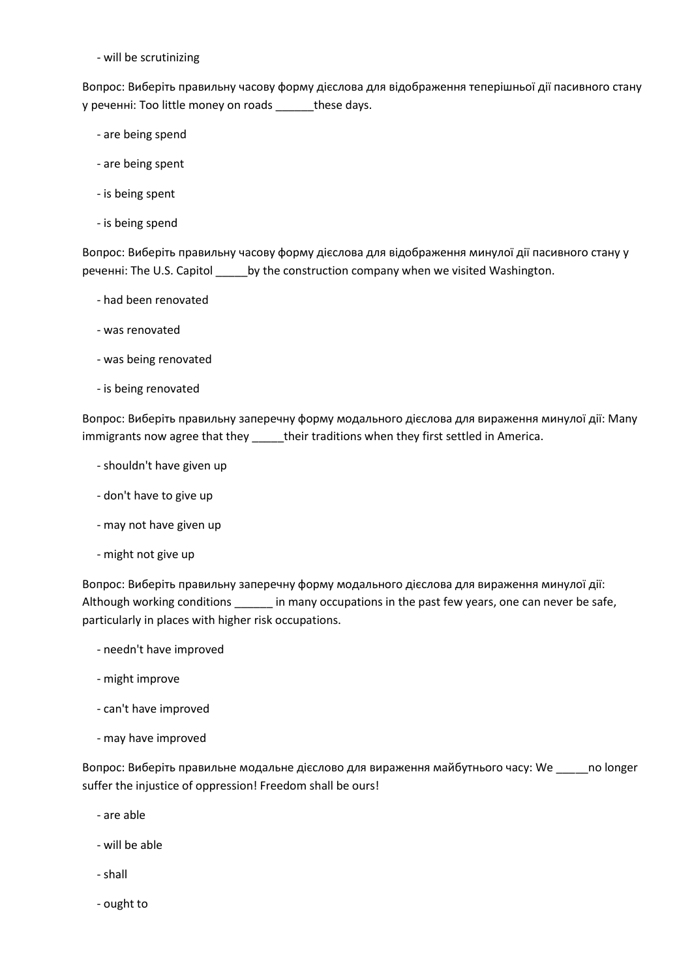- will be scrutinizing

Вопрос: Виберіть правильну часову форму дієслова для відображення теперішньої дії пасивного стану у реченні: Too little money on roads \_\_\_\_\_\_these days.

- are being spend
- are being spent
- is being spent
- is being spend

Вопрос: Виберіть правильну часову форму дієслова для відображення минулої дії пасивного стану у реченні: The U.S. Capitol \_\_\_\_\_by the construction company when we visited Washington.

- had been renovated
- was renovated
- was being renovated
- is being renovated

Вопрос: Виберіть правильну заперечну форму модального дієслова для вираження минулої дії: Many immigrants now agree that they \_\_\_\_\_their traditions when they first settled in America.

- shouldn't have given up
- don't have to give up
- may not have given up
- might not give up

Вопрос: Виберіть правильну заперечну форму модального дієслова для вираження минулої дії: Although working conditions \_\_\_\_\_\_ in many occupations in the past few years, one can never be safe, particularly in places with higher risk occupations.

- needn't have improved
- might improve
- can't have improved
- may have improved

Вопрос: Виберіть правильне модальне дієслово для вираження майбутнього часу: We \_\_\_\_\_no longer suffer the injustice of oppression! Freedom shall be ours!

- are able
- will be able
- shall
- ought to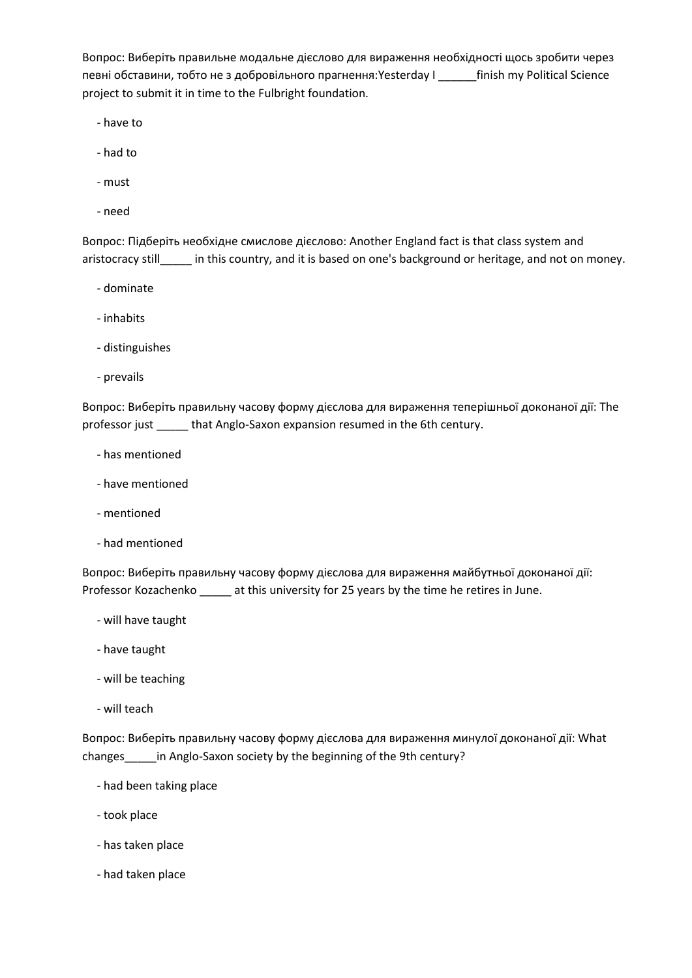Вопрос: Виберіть правильне модальне дієслово для вираження необхідності щось зробити через певні обставини, тобто не з добровільного прагнення:Yesterday I \_\_\_\_\_\_finish my Political Science project to submit it in time to the Fulbright foundation.

- have to

- had to
- must
- need

Вопрос: Підберіть необхідне смислове дієслово: Another England fact is that class system and aristocracy still\_\_\_\_\_\_ in this country, and it is based on one's background or heritage, and not on money.

- dominate
- inhabits
- distinguishes
- prevails

Вопрос: Виберіть правильну часову форму дієслова для вираження теперішньої доконаної дії: The professor just \_\_\_\_\_\_ that Anglo-Saxon expansion resumed in the 6th century.

- has mentioned
- have mentioned
- mentioned
- had mentioned

Вопрос: Виберіть правильну часову форму дієслова для вираження майбутньої доконаної дії: Professor Kozachenko \_\_\_\_\_ at this university for 25 years by the time he retires in June.

- will have taught
- have taught
- will be teaching
- will teach

Вопрос: Виберіть правильну часову форму дієслова для вираження минулої доконаної дії: What changes in Anglo-Saxon society by the beginning of the 9th century?

- had been taking place
- took place
- has taken place
- had taken place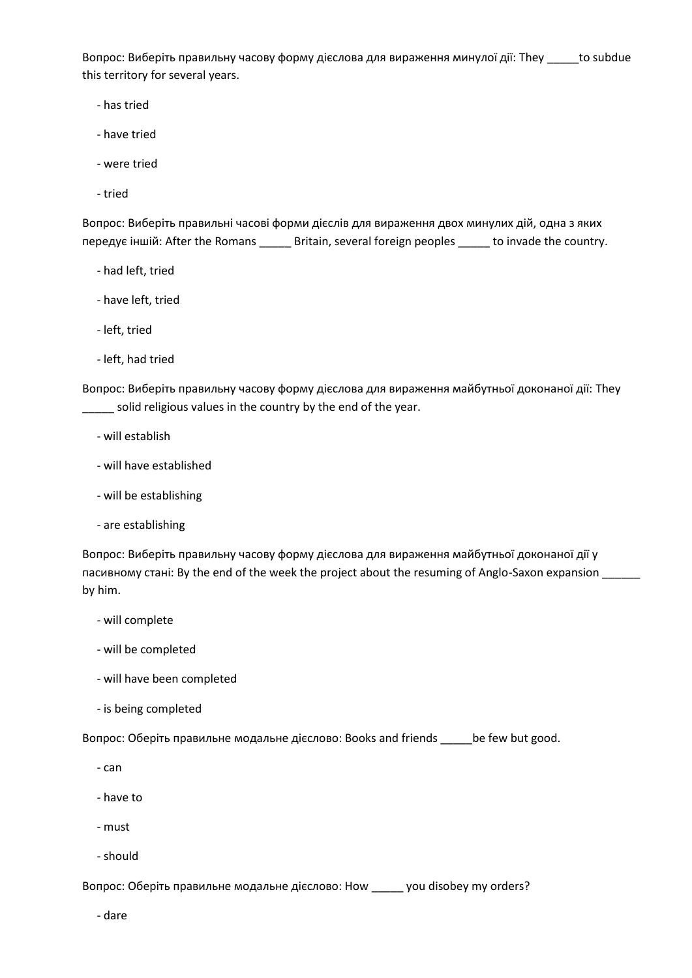Вопрос: Виберіть правильну часову форму дієслова для вираження минулої дії: They \_\_\_\_\_to subdue this territory for several years.

- has tried
- have tried
- were tried
- tried

Вопрос: Виберіть правильні часові форми дієслів для вираження двох минулих дій, одна з яких передує іншій: After the Romans \_\_\_\_\_ Britain, several foreign peoples \_\_\_\_\_ to invade the country.

- had left, tried
- have left, tried
- left, tried
- left, had tried

Вопрос: Виберіть правильну часову форму дієслова для вираження майбутньої доконаної дії: They solid religious values in the country by the end of the year.

- will establish
- will have established
- will be establishing
- are establishing

Вопрос: Виберіть правильну часову форму дієслова для вираження майбутньої доконаної дії у пасивному стані: By the end of the week the project about the resuming of Anglo-Saxon expansion \_\_\_\_\_\_ by him.

- will complete
- will be completed
- will have been completed
- is being completed

Вопрос: Оберіть правильне модальне дієслово: Books and friends \_\_\_\_\_be few but good.

- can
- have to
- must
- should

Вопрос: Оберіть правильне модальне дієслово: How \_\_\_\_\_ you disobey my orders?

- dare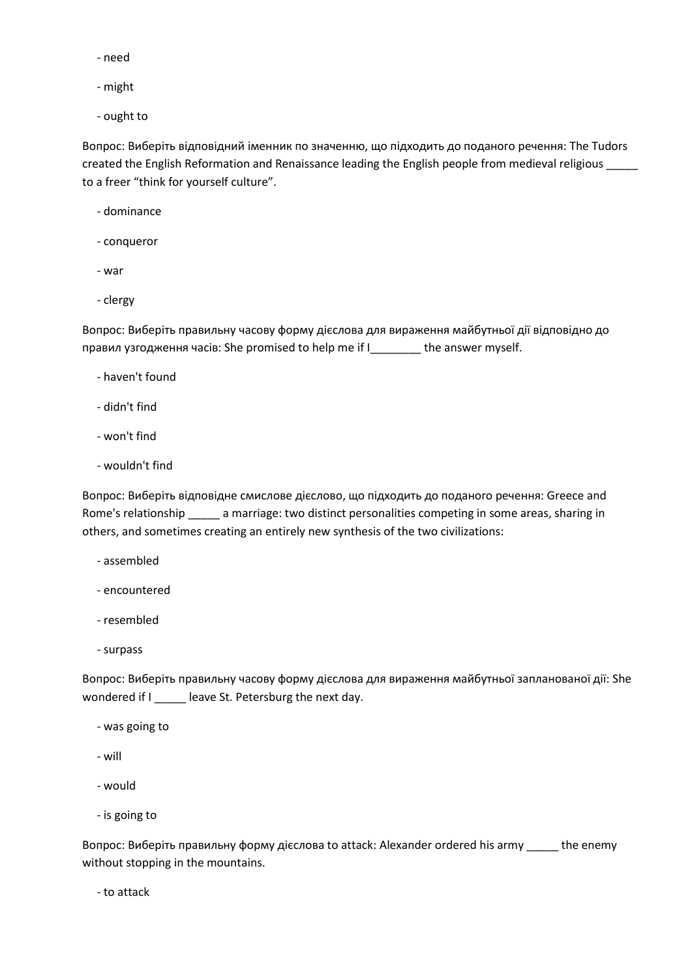- need
- might
- ought to

Вопрос: Виберіть відповідний іменник по значенню, що підходить до поданого речення: The Tudors created the English Reformation and Renaissance leading the English people from medieval religious \_\_\_\_\_ to a freer "think for yourself culture".

- dominance
- conqueror
- war
- clergy

Вопрос: Виберіть правильну часову форму дієслова для вираження майбутньої дії відповідно до правил узгодження часів: She promised to help me if I\_\_\_\_\_\_\_\_ the answer myself.

- haven't found
- didn't find
- won't find
- wouldn't find

Вопрос: Виберіть відповідне смислове дієслово, що підходить до поданого речення: Greece and Rome's relationship \_\_\_\_\_ a marriage: two distinct personalities competing in some areas, sharing in others, and sometimes creating an entirely new synthesis of the two civilizations:

- assembled
- encountered
- resembled
- surpass

Вопрос: Виберіть правильну часову форму дієслова для вираження майбутньої запланованої дії: She wondered if I \_\_\_\_\_ leave St. Petersburg the next day.

- was going to
- will
- would
- is going to

Вопрос: Виберіть правильну форму дієслова to attack: Alexander ordered his army \_\_\_\_\_ the enemy without stopping in the mountains.

- to attack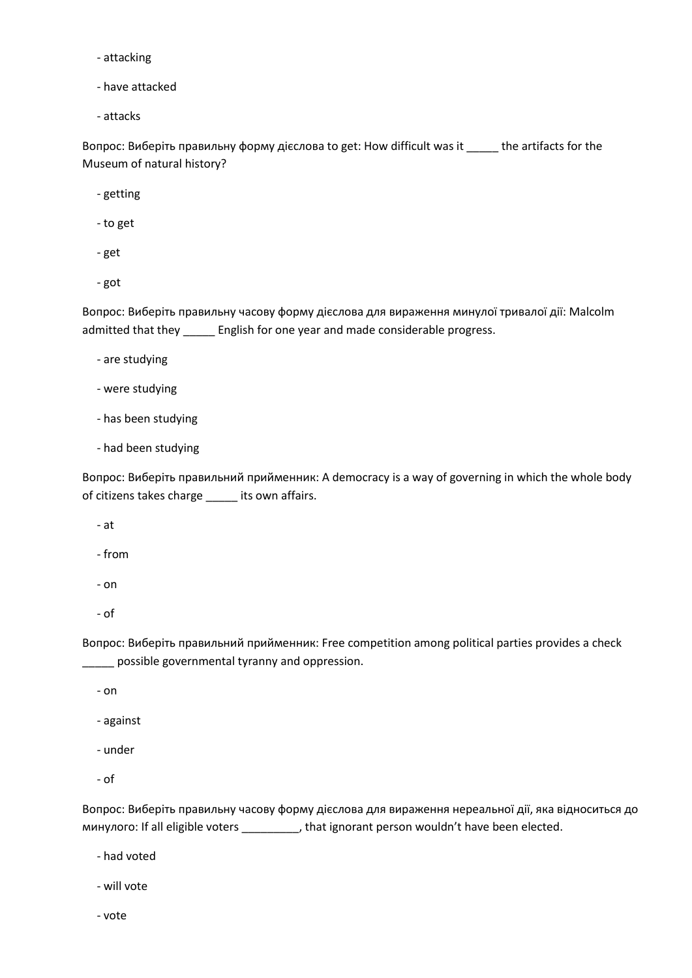- attacking
- have attacked
- attacks

Вопрос: Виберіть правильну форму дієслова to get: How difficult was it \_\_\_\_\_ the artifacts for the Museum of natural history?

- getting
- to get
- get
- got

Вопрос: Виберіть правильну часову форму дієслова для вираження минулої тривалої дії: Malcolm admitted that they \_\_\_\_\_ English for one year and made considerable progress.

- are studying
- were studying
- has been studying
- had been studying

Вопрос: Виберіть правильний прийменник: A democracy is a way of governing in which the whole body of citizens takes charge \_\_\_\_\_ its own affairs.

- at

- from

- on
- of

Вопрос: Виберіть правильний прийменник: Free competition among political parties provides a check \_\_\_\_\_ possible governmental tyranny and oppression.

- on

- against

- under
- of

Вопрос: Виберіть правильну часову форму дієслова для вираження нереальної дії, яка відноситься до минулого: If all eligible voters \_\_\_\_\_\_\_\_\_, that ignorant person wouldn't have been elected.

- had voted
- will vote
- vote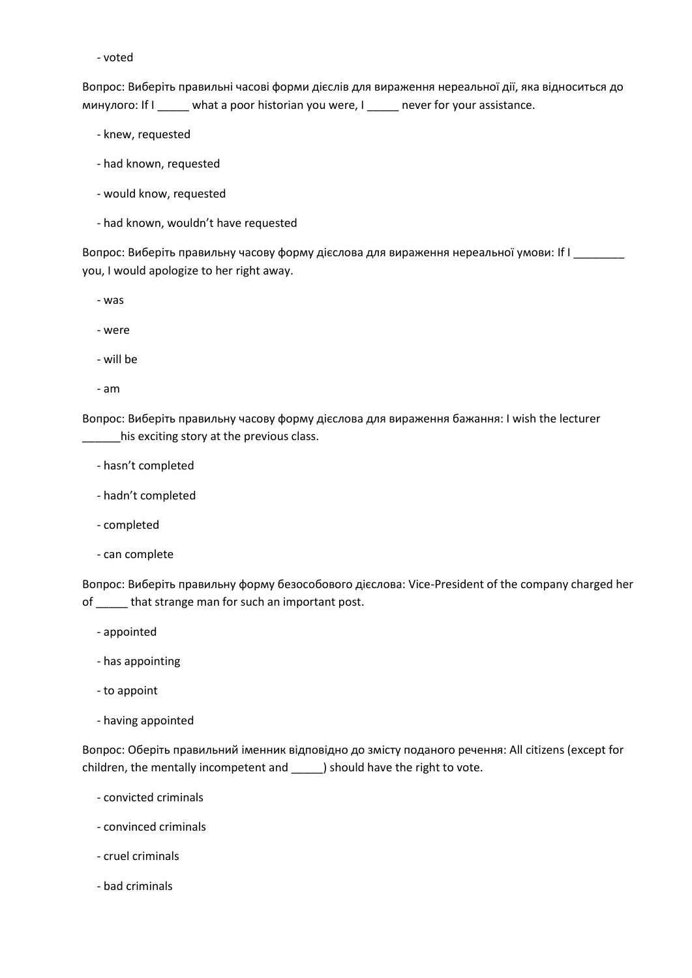- voted

Вопрос: Виберіть правильні часові форми дієслів для вираження нереальної дії, яка відноситься до минулого: If I \_\_\_\_\_ what a poor historian you were, I \_\_\_\_\_ never for your assistance.

- knew, requested

- had known, requested
- would know, requested
- had known, wouldn't have requested

Вопрос: Виберіть правильну часову форму дієслова для вираження нереальної умови: If I \_\_\_\_\_\_\_ you, I would apologize to her right away.

- was

- were
- will be
- am

Вопрос: Виберіть правильну часову форму дієслова для вираження бажання: I wish the lecturer \_\_\_\_\_\_his exciting story at the previous class.

- hasn't completed
- hadn't completed
- completed
- can complete

Вопрос: Виберіть правильну форму безособового дієслова: Vice-President of the company charged her of \_\_\_\_\_ that strange man for such an important post.

- appointed
- has appointing
- to appoint
- having appointed

Вопрос: Оберіть правильний іменник відповідно до змісту поданого речення: All citizens (except for children, the mentally incompetent and \_\_\_\_\_) should have the right to vote.

- convicted criminals
- convinced criminals
- cruel criminals
- bad criminals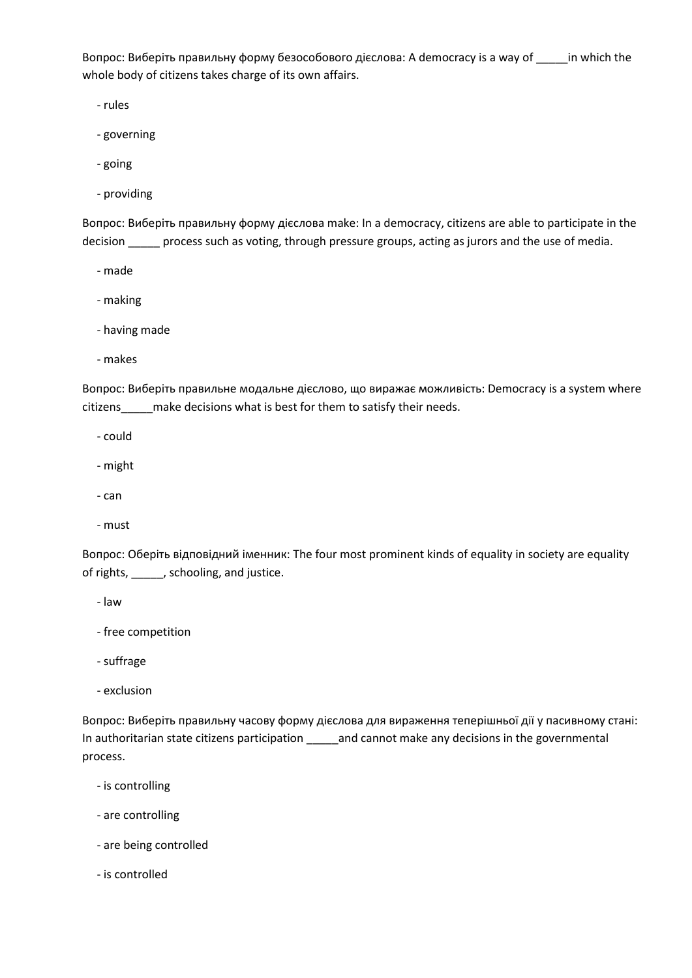Вопрос: Виберіть правильну форму безособового дієслова: A democracy is a way of \_\_\_\_\_in which the whole body of citizens takes charge of its own affairs.

- rules

- governing
- going
- providing

Вопрос: Виберіть правильну форму дієслова make: In a democracy, citizens are able to participate in the decision \_\_\_\_\_ process such as voting, through pressure groups, acting as jurors and the use of media.

- made
- making
- having made
- makes

Вопрос: Виберіть правильне модальне дієслово, що виражає можливість: Democracy is a system where citizens\_\_\_\_\_make decisions what is best for them to satisfy their needs.

- could
- might
- can
- must

Вопрос: Оберіть відповідний іменник: The four most prominent kinds of equality in society are equality of rights, \_\_\_\_\_, schooling, and justice.

- law

- free competition
- suffrage
- exclusion

Вопрос: Виберіть правильну часову форму дієслова для вираження теперішньої дії у пасивному стані: In authoritarian state citizens participation \_\_\_\_\_and cannot make any decisions in the governmental process.

- is controlling
- are controlling
- are being controlled
- is controlled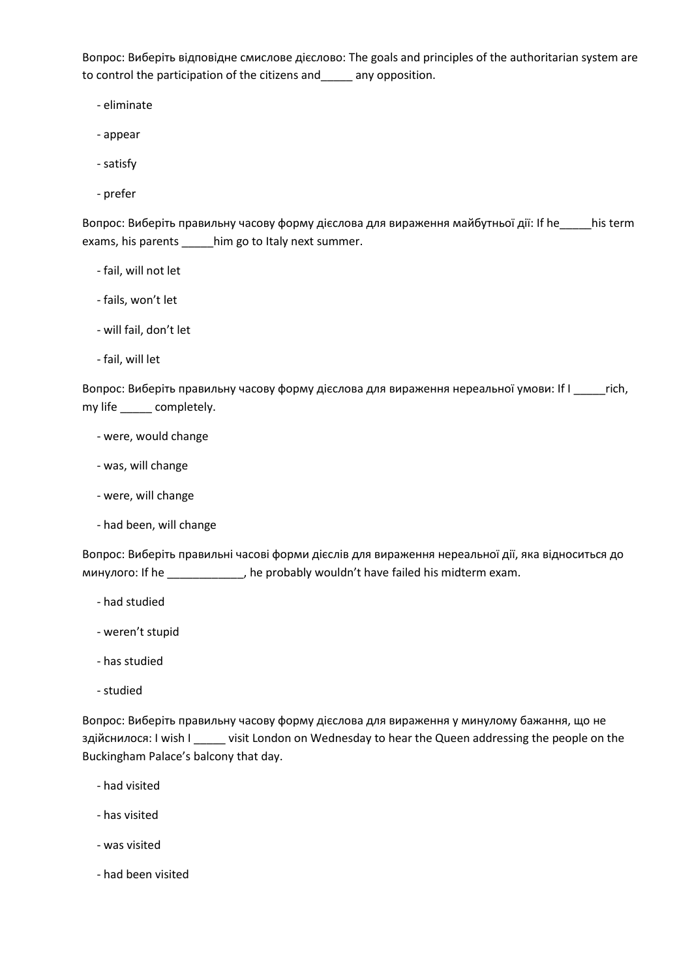Вопрос: Виберіть відповідне смислове дієслово: The goals and principles of the authoritarian system are to control the participation of the citizens and\_\_\_\_\_ any opposition.

- eliminate

- appear
- satisfy
- prefer

Вопрос: Виберіть правильну часову форму дієслова для вираження майбутньої дії: If he\_\_\_\_\_his term exams, his parents \_\_\_\_\_him go to Italy next summer.

- fail, will not let
- fails, won't let
- will fail, don't let
- fail, will let

Вопрос: Виберіть правильну часову форму дієслова для вираження нереальної умови: If I \_\_\_\_\_rich, my life \_\_\_\_\_ completely.

- were, would change
- was, will change
- were, will change
- had been, will change

Вопрос: Виберіть правильні часові форми дієслів для вираження нереальної дії, яка відноситься до минулого: If he \_\_\_\_\_\_\_\_\_\_\_\_, he probably wouldn't have failed his midterm exam.

- had studied
- weren't stupid
- has studied
- studied

Вопрос: Виберіть правильну часову форму дієслова для вираження у минулому бажання, що не здійснилося: I wish I \_\_\_\_\_ visit London on Wednesday to hear the Queen addressing the people on the Buckingham Palace's balcony that day.

- had visited
- has visited
- was visited
- had been visited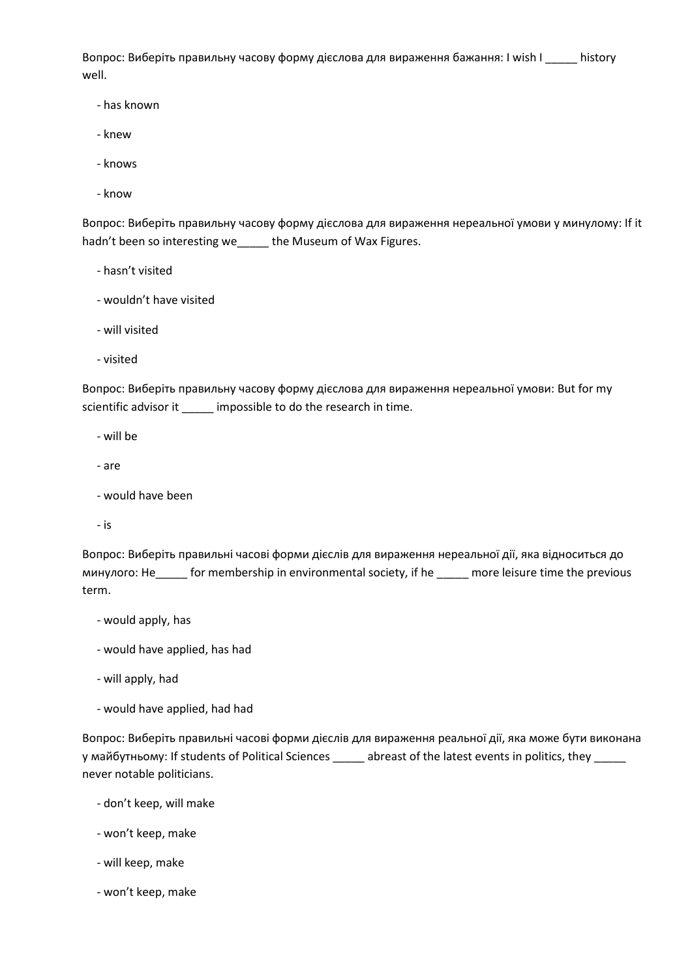Вопрос: Виберіть правильну часову форму дієслова для вираження бажання: I wish I \_\_\_\_\_ history well.

- has known
- knew
- knows
- know

Вопрос: Виберіть правильну часову форму дієслова для вираження нереальної умови у минулому: If it hadn't been so interesting we\_\_\_\_\_ the Museum of Wax Figures.

- hasn't visited
- wouldn't have visited
- will visited
- visited

Вопрос: Виберіть правильну часову форму дієслова для вираження нереальної умови: But for my scientific advisor it \_\_\_\_\_ impossible to do the research in time.

- will be
- are
- would have been
- is

Вопрос: Виберіть правильні часові форми дієслів для вираження нереальної дії, яка відноситься до минулого: He\_\_\_\_\_ for membership in environmental society, if he \_\_\_\_\_ more leisure time the previous term.

- would apply, has
- would have applied, has had
- will apply, had
- would have applied, had had

Вопрос: Виберіть правильні часові форми дієслів для вираження реальної дії, яка може бути виконана у майбутньому: If students of Political Sciences \_\_\_\_\_ abreast of the latest events in politics, they \_\_\_\_\_ never notable politicians.

- don't keep, will make
- won't keep, make
- will keep, make
- won't keep, make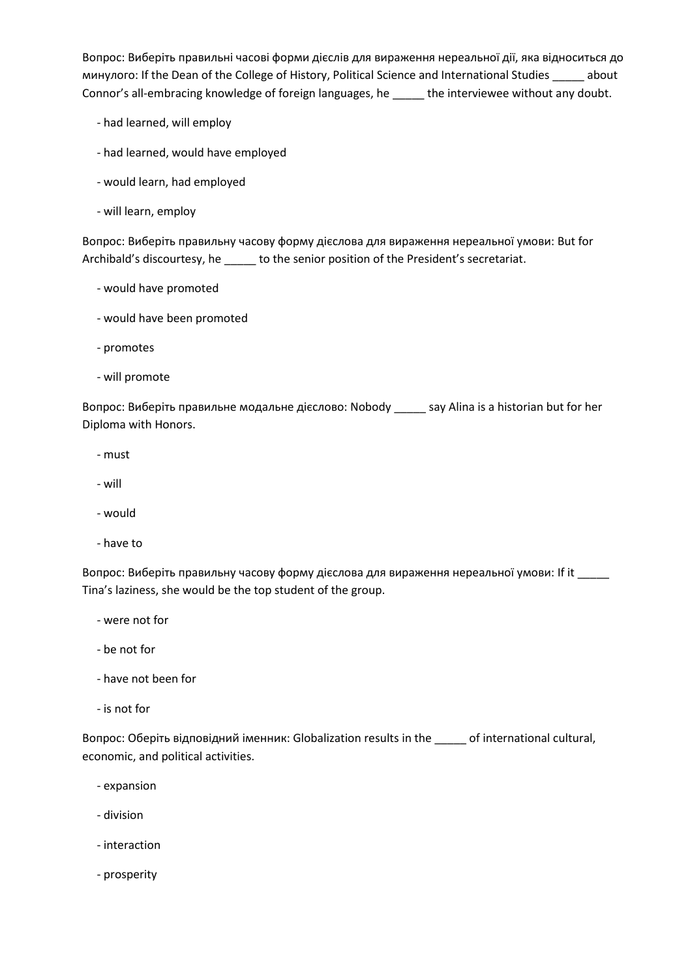Вопрос: Виберіть правильні часові форми дієслів для вираження нереальної дії, яка відноситься до минулого: If the Dean of the College of History, Political Science and International Studies \_\_\_\_\_ about Connor's all-embracing knowledge of foreign languages, he \_\_\_\_\_ the interviewee without any doubt.

- had learned, will employ
- had learned, would have employed
- would learn, had employed
- will learn, employ

Вопрос: Виберіть правильну часову форму дієслова для вираження нереальної умови: But for Archibald's discourtesy, he \_\_\_\_\_ to the senior position of the President's secretariat.

- would have promoted
- would have been promoted
- promotes
- will promote

Вопрос: Виберіть правильне модальне дієслово: Nobody \_\_\_\_\_ say Alina is a historian but for her Diploma with Honors.

- must
- will
- would
- have to

Вопрос: Виберіть правильну часову форму дієслова для вираження нереальної умови: If it \_\_\_\_\_ Tina's laziness, she would be the top student of the group.

- were not for
- be not for
- have not been for
- is not for

Вопрос: Оберіть відповідний іменник: Globalization results in the \_\_\_\_\_ of international cultural, economic, and political activities.

- expansion
- division
- interaction
- prosperity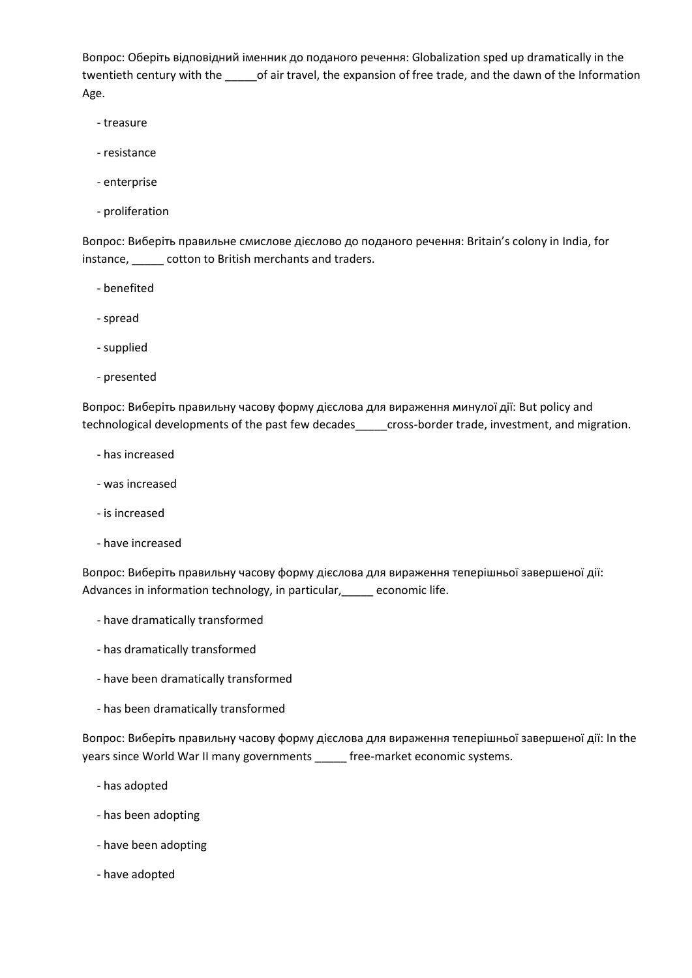Вопрос: Оберіть відповідний іменник до поданого речення: Globalization sped up dramatically in the twentieth century with the \_\_\_\_\_of air travel, the expansion of free trade, and the dawn of the Information Age.

- treasure
- resistance
- enterprise
- proliferation

Вопрос: Виберіть правильне смислове дієслово до поданого речення: Britain's colony in India, for instance, \_\_\_\_\_ cotton to British merchants and traders.

- benefited
- spread
- supplied
- presented

Вопрос: Виберіть правильну часову форму дієслова для вираження минулої дії: But policy and technological developments of the past few decades\_\_\_\_\_cross-border trade, investment, and migration.

- has increased
- was increased
- is increased
- have increased

Вопрос: Виберіть правильну часову форму дієслова для вираження теперішньої завершеної дії: Advances in information technology, in particular, economic life.

- have dramatically transformed
- has dramatically transformed
- have been dramatically transformed
- has been dramatically transformed

Вопрос: Виберіть правильну часову форму дієслова для вираження теперішньої завершеної дії: In the years since World War II many governments \_\_\_\_\_ free-market economic systems.

- has adopted
- has been adopting
- have been adopting
- have adopted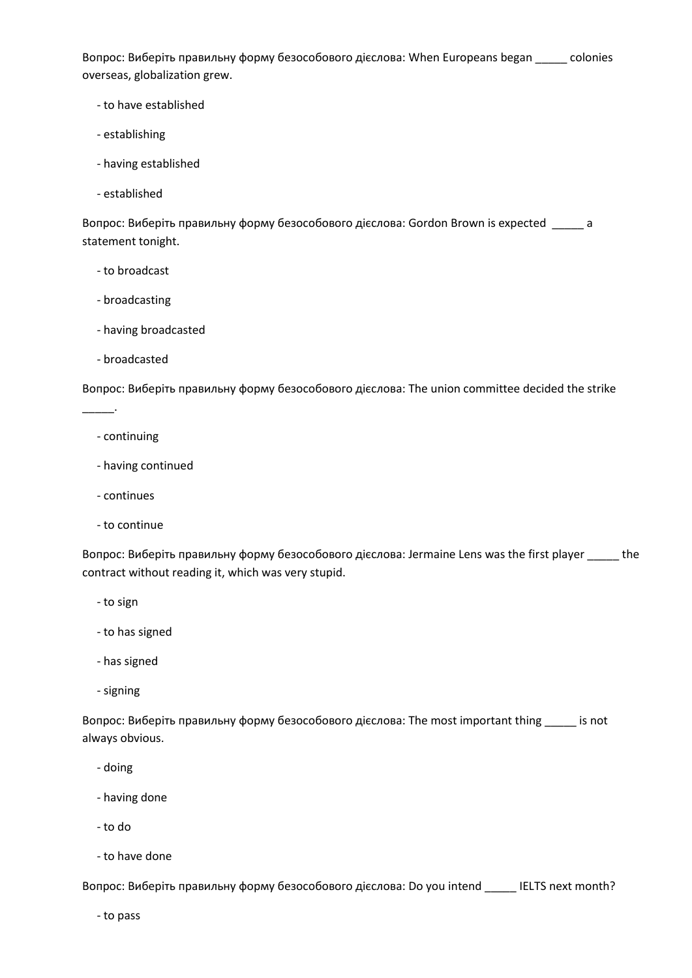Вопрос: Виберіть правильну форму безособового дієслова: When Europeans began \_\_\_\_\_ colonies overseas, globalization grew.

- to have established
- establishing
- having established
- established

Вопрос: Виберіть правильну форму безособового дієслова: Gordon Brown is expected \_\_\_\_\_ a statement tonight.

- to broadcast
- broadcasting
- having broadcasted
- broadcasted

Вопрос: Виберіть правильну форму безособового дієслова: The union committee decided the strike

- continuing

\_\_\_\_\_.

- having continued
- continues
- to continue

Вопрос: Виберіть правильну форму безособового дієслова: Jermaine Lens was the first player \_\_\_\_\_ the contract without reading it, which was very stupid.

- to sign
- to has signed
- has signed
- signing

Вопрос: Виберіть правильну форму безособового дієслова: The most important thing \_\_\_\_\_ is not always obvious.

- doing
- having done
- to do
- to have done

Вопрос: Виберіть правильну форму безособового дієслова: Do you intend \_\_\_\_\_ IELTS next month?

- to pass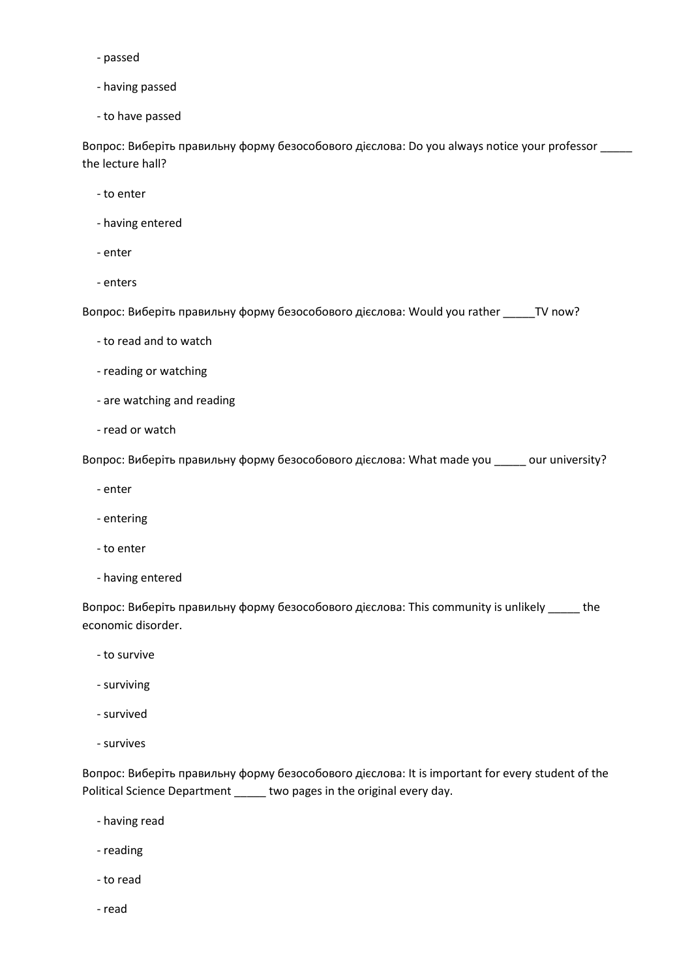- passed
- having passed
- to have passed

Вопрос: Виберіть правильну форму безособового дієслова: Do you always notice your professor \_\_\_\_\_ the lecture hall?

- to enter
- having entered
- enter
- enters

Вопрос: Виберіть правильну форму безособового дієслова: Would you rather \_\_\_\_\_TV now?

- to read and to watch
- reading or watching
- are watching and reading
- read or watch

Вопрос: Виберіть правильну форму безособового дієслова: What made you \_\_\_\_\_ our university?

- enter
- entering
- to enter
- having entered

Вопрос: Виберіть правильну форму безособового дієслова: This community is unlikely \_\_\_\_\_ the economic disorder.

- to survive
- surviving
- survived
- survives

Вопрос: Виберіть правильну форму безособового дієслова: It is important for every student of the Political Science Department \_\_\_\_\_ two pages in the original every day.

- having read
- reading
- to read
- read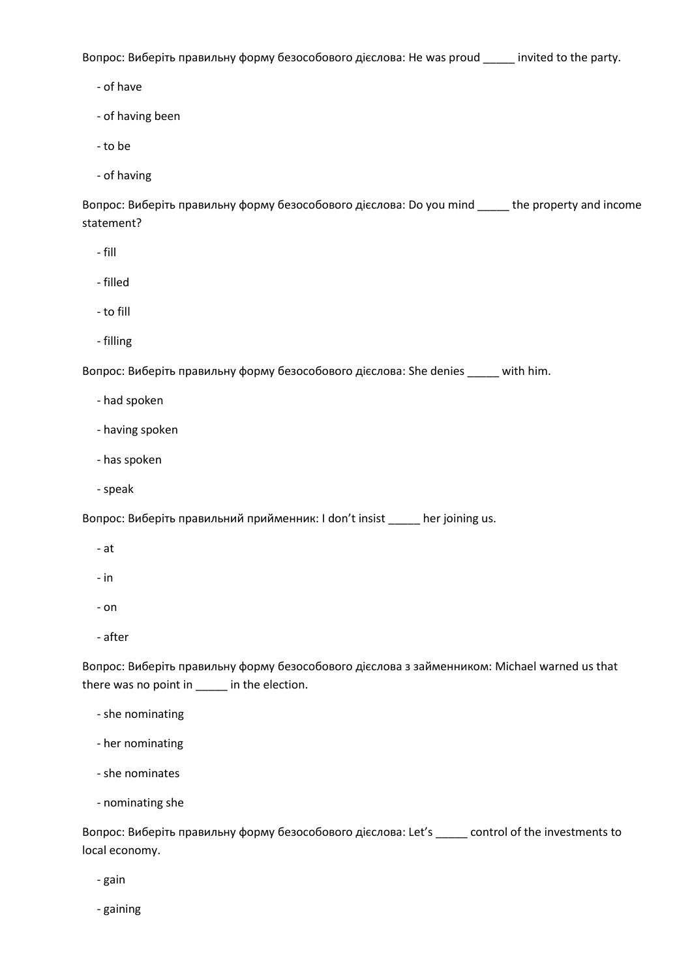Вопрос: Виберіть правильну форму безособового дієслова: He was proud \_\_\_\_\_ invited to the party.

- of have

- of having been
- to be
- of having

Вопрос: Виберіть правильну форму безособового дієслова: Do you mind \_\_\_\_\_ the property and income statement?

- fill
- filled
- to fill
- filling

Вопрос: Виберіть правильну форму безособового дієслова: She denies \_\_\_\_\_ with him.

- had spoken
- having spoken
- has spoken
- speak

Вопрос: Виберіть правильний прийменник: I don't insist \_\_\_\_\_ her joining us.

- at
- in
- on
- after

Вопрос: Виберіть правильну форму безособового дієслова з займенником: Michael warned us that there was no point in \_\_\_\_\_ in the election.

- she nominating
- her nominating
- she nominates
- nominating she

Вопрос: Виберіть правильну форму безособового дієслова: Let's \_\_\_\_\_ control of the investments to local economy.

- gain

- gaining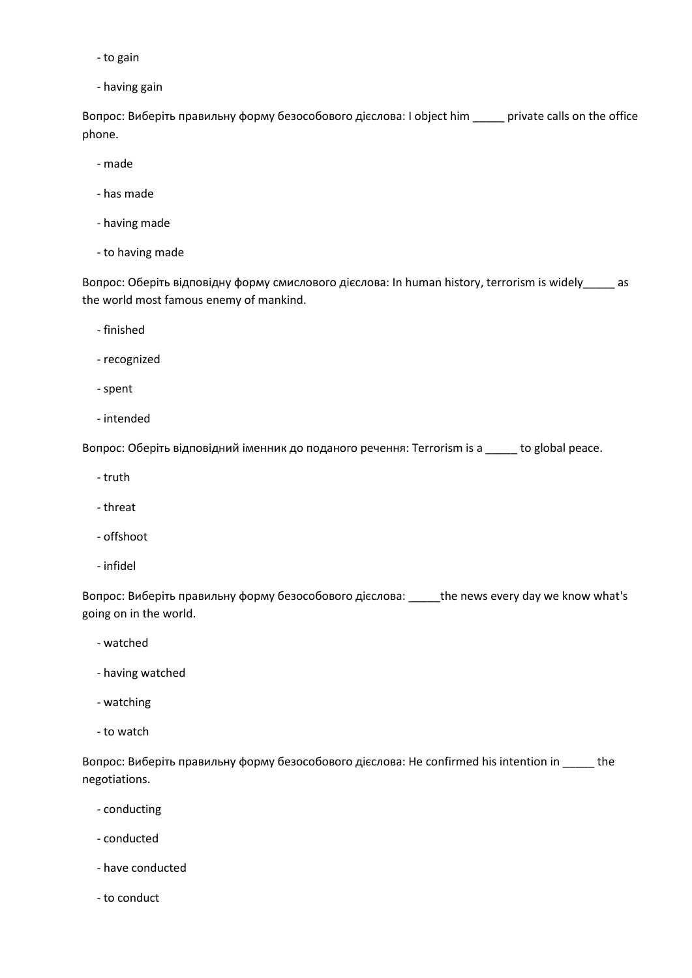- to gain
- having gain

Вопрос: Виберіть правильну форму безособового дієслова: I object him \_\_\_\_\_ private calls on the office phone.

- made
- has made
- having made
- to having made

Вопрос: Оберіть відповідну форму смислового дієслова: In human history, terrorism is widely\_\_\_\_\_ as the world most famous enemy of mankind.

- finished
- recognized
- spent
- intended

Вопрос: Оберіть відповідний іменник до поданого речення: Terrorism is a \_\_\_\_\_ to global peace.

- truth
- threat
- offshoot
- infidel

Вопрос: Виберіть правильну форму безособового дієслова: \_\_\_\_\_the news every day we know what's going on in the world.

- watched
- having watched
- watching
- to watch

Вопрос: Виберіть правильну форму безособового дієслова: He confirmed his intention in \_\_\_\_\_ the negotiations.

- conducting
- conducted
- have conducted
- to conduct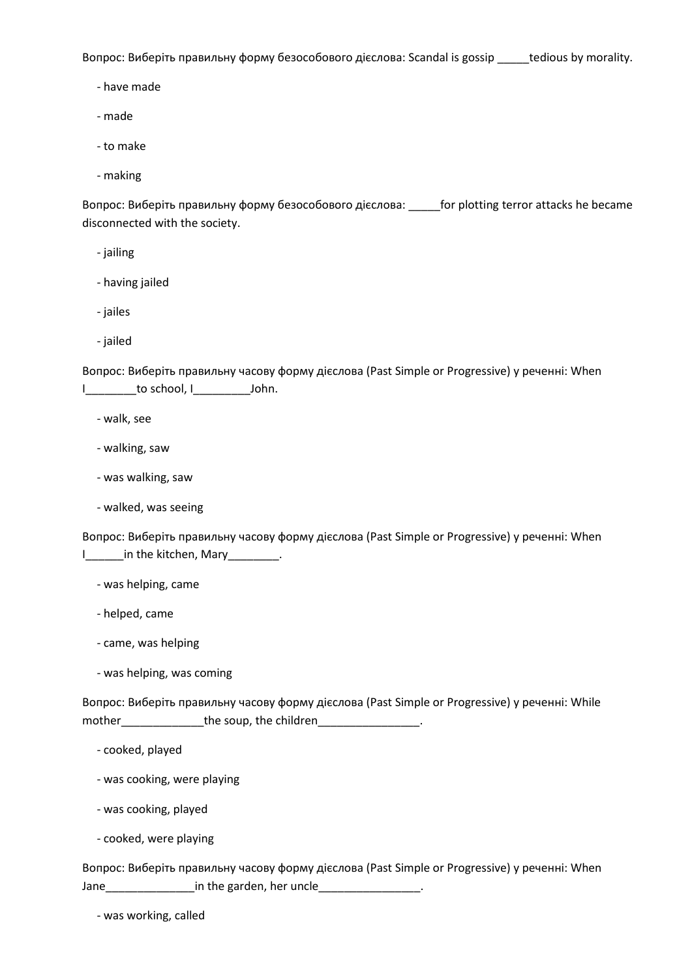Вопрос: Виберіть правильну форму безособового дієслова: Scandal is gossip \_\_\_\_\_tedious by morality.

- have made

- made

- to make

- making

Вопрос: Виберіть правильну форму безособового дієслова: \_\_\_\_\_for plotting terror attacks he became disconnected with the society.

- jailing

- having jailed
- jailes
- jailed

Вопрос: Виберіть правильну часову форму дієслова (Past Simple or Progressive) у реченні: When I do school, I dohn.

- walk, see
- walking, saw
- was walking, saw
- walked, was seeing

Вопрос: Виберіть правильну часову форму дієслова (Past Simple or Progressive) у реченні: When I\_\_\_\_\_\_in the kitchen, Mary\_\_\_\_\_\_\_\_.

- was helping, came

- helped, came
- came, was helping
- was helping, was coming

Вопрос: Виберіть правильну часову форму дієслова (Past Simple or Progressive) у реченні: While mother\_\_\_\_\_\_\_\_\_\_\_\_\_the soup, the children\_\_\_\_\_\_\_\_\_\_\_\_\_\_\_\_.

- cooked, played
- was cooking, were playing
- was cooking, played
- cooked, were playing

Вопрос: Виберіть правильну часову форму дієслова (Past Simple or Progressive) у реченні: When Jane\_\_\_\_\_\_\_\_\_\_\_\_\_\_in the garden, her uncle\_\_\_\_\_\_\_\_\_\_\_\_\_\_\_\_.

- was working, called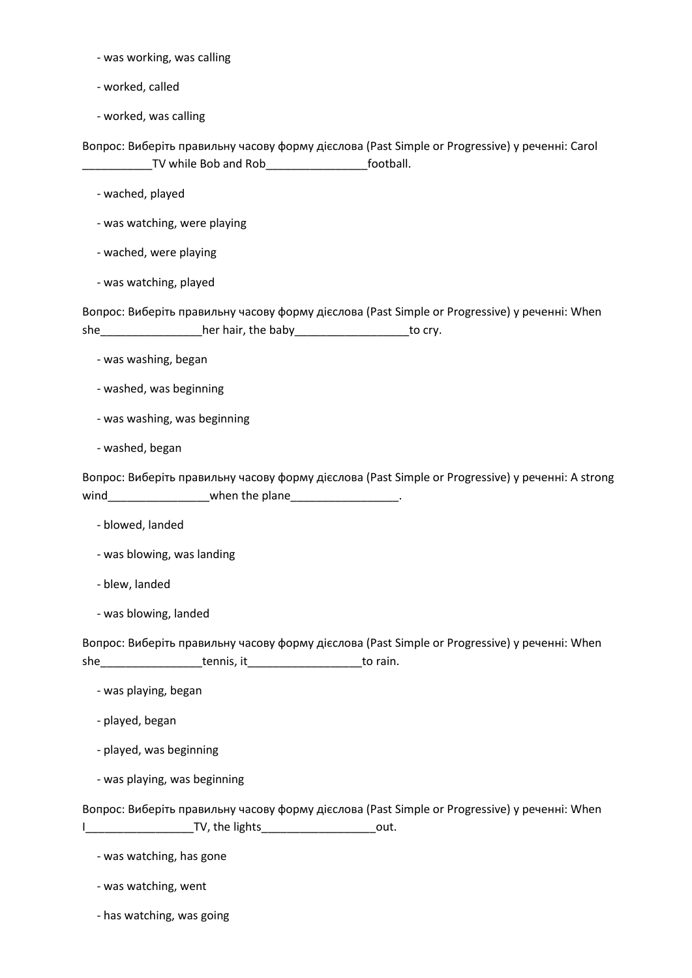- was working, was calling
- worked, called
- worked, was calling

Вопрос: Виберіть правильну часову форму дієслова (Past Simple or Progressive) у реченні: Carol \_\_\_\_\_\_\_\_\_\_\_TV while Bob and Rob\_\_\_\_\_\_\_\_\_\_\_\_\_\_\_\_football.

- wached, played
- was watching, were playing
- wached, were playing
- was watching, played

Вопрос: Виберіть правильну часову форму дієслова (Past Simple or Progressive) у реченні: When she \_\_\_\_\_\_\_\_\_\_\_\_\_\_\_\_\_\_\_her hair, the baby \_\_\_\_\_\_\_\_\_\_\_\_\_\_\_\_\_\_\_\_\_\_\_to cry.

- was washing, began
- washed, was beginning
- was washing, was beginning
- washed, began

Вопрос: Виберіть правильну часову форму дієслова (Past Simple or Progressive) у реченні: A strong wind\_\_\_\_\_\_\_\_\_\_\_\_\_\_\_\_\_\_\_\_when the plane\_\_\_\_\_\_\_\_\_\_\_\_\_\_\_\_\_\_.

- blowed, landed
- was blowing, was landing
- blew, landed
- was blowing, landed

Вопрос: Виберіть правильну часову форму дієслова (Past Simple or Progressive) у реченні: When she\_\_\_\_\_\_\_\_\_\_\_\_\_\_\_\_tennis, it\_\_\_\_\_\_\_\_\_\_\_\_\_\_\_\_\_\_to rain.

- was playing, began
- played, began
- played, was beginning
- was playing, was beginning

Вопрос: Виберіть правильну часову форму дієслова (Past Simple or Progressive) у реченні: When I\_\_\_\_\_\_\_\_\_\_\_\_\_\_\_\_\_TV, the lights\_\_\_\_\_\_\_\_\_\_\_\_\_\_\_\_\_\_out.

- was watching, has gone
- was watching, went
- has watching, was going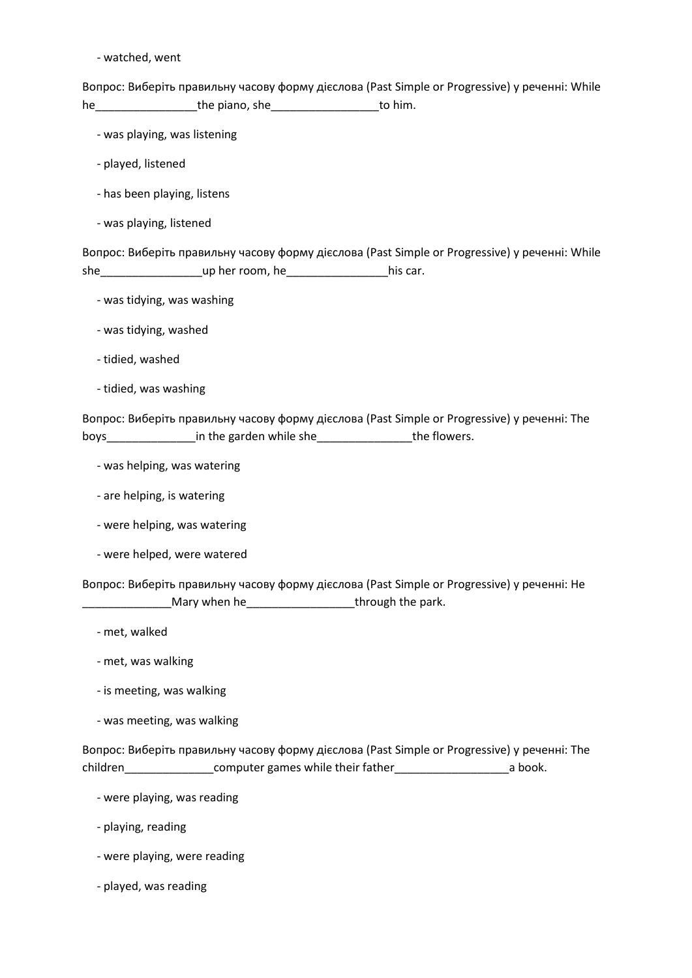- watched, went

Вопрос: Виберіть правильну часову форму дієслова (Past Simple or Progressive) у реченні: While he\_\_\_\_\_\_\_\_\_\_\_\_\_\_\_\_the piano, she\_\_\_\_\_\_\_\_\_\_\_\_\_\_\_\_\_to him.

- was playing, was listening

- played, listened
- has been playing, listens
- was playing, listened

Вопрос: Виберіть правильну часову форму дієслова (Past Simple or Progressive) у реченні: While she\_\_\_\_\_\_\_\_\_\_\_\_\_\_\_\_up her room, he\_\_\_\_\_\_\_\_\_\_\_\_\_\_\_\_his car.

- was tidying, was washing
- was tidying, washed
- tidied, washed
- tidied, was washing

Вопрос: Виберіть правильну часову форму дієслова (Past Simple or Progressive) у реченні: The boys\_\_\_\_\_\_\_\_\_\_\_\_\_\_\_\_\_\_\_\_\_\_in the garden while she\_\_\_\_\_\_\_\_\_\_\_\_\_\_\_\_\_\_\_\_\_the flowers.

- was helping, was watering
- are helping, is watering
- were helping, was watering
- were helped, were watered

Вопрос: Виберіть правильну часову форму дієслова (Past Simple or Progressive) у реченні: He **EXECUTE:** Mary when he <u>EXECUTE: The parent through the park.</u>

- met, walked
- met, was walking
- is meeting, was walking
- was meeting, was walking

Вопрос: Виберіть правильну часову форму дієслова (Past Simple or Progressive) у реченні: The children\_\_\_\_\_\_\_\_\_\_\_\_\_\_computer games while their father\_\_\_\_\_\_\_\_\_\_\_\_\_\_\_\_\_\_a book.

- were playing, was reading
- playing, reading
- were playing, were reading
- played, was reading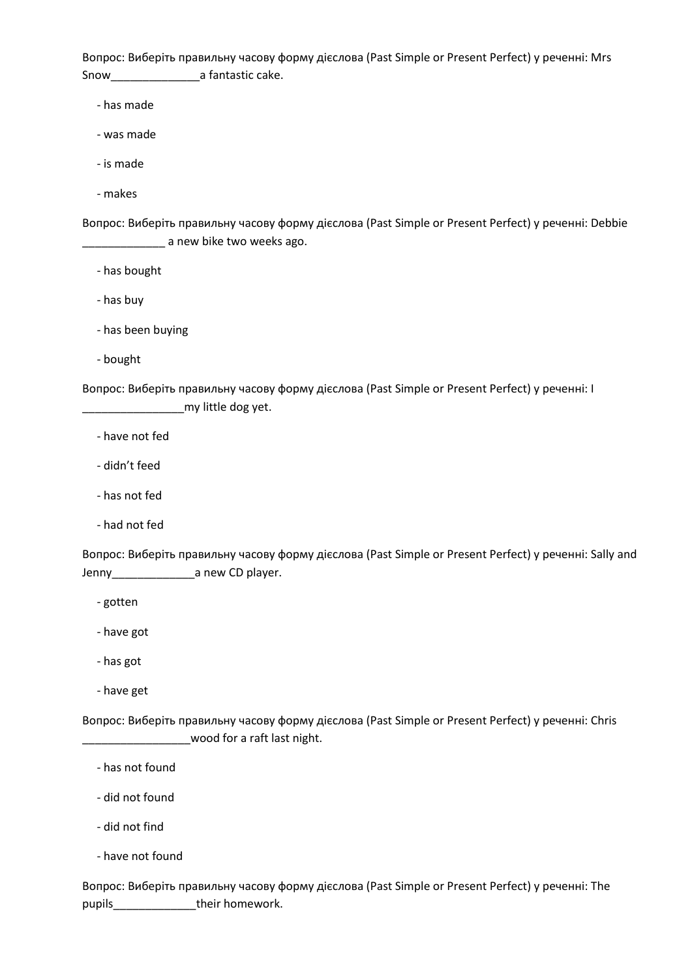Вопрос: Виберіть правильну часову форму дієслова (Past Simple or Present Perfect) у реченні: Mrs Snow\_\_\_\_\_\_\_\_\_\_\_\_\_\_a fantastic cake.

- has made

- was made

- is made

- makes

Вопрос: Виберіть правильну часову форму дієслова (Past Simple or Present Perfect) у реченні: Debbie **with the summan as a set of the set of the set of the set of the set of the set of the set of the set of the s** 

- has bought

- has buy

- has been buying

- bought

Вопрос: Виберіть правильну часову форму дієслова (Past Simple or Present Perfect) у реченні: I \_\_\_\_\_\_\_\_\_\_\_\_\_\_\_\_my little dog yet.

- have not fed

- didn't feed

- has not fed

- had not fed

Вопрос: Виберіть правильну часову форму дієслова (Past Simple or Present Perfect) у реченні: Sally and Jenny\_\_\_\_\_\_\_\_\_\_\_\_\_a new CD player.

- gotten

- have got

- has got

- have get

Вопрос: Виберіть правильну часову форму дієслова (Past Simple or Present Perfect) у реченні: Chris wood for a raft last night.

- has not found

- did not found

- did not find

- have not found

Вопрос: Виберіть правильну часову форму дієслова (Past Simple or Present Perfect) у реченні: The pupils\_\_\_\_\_\_\_\_\_\_\_\_\_\_\_\_\_their homework.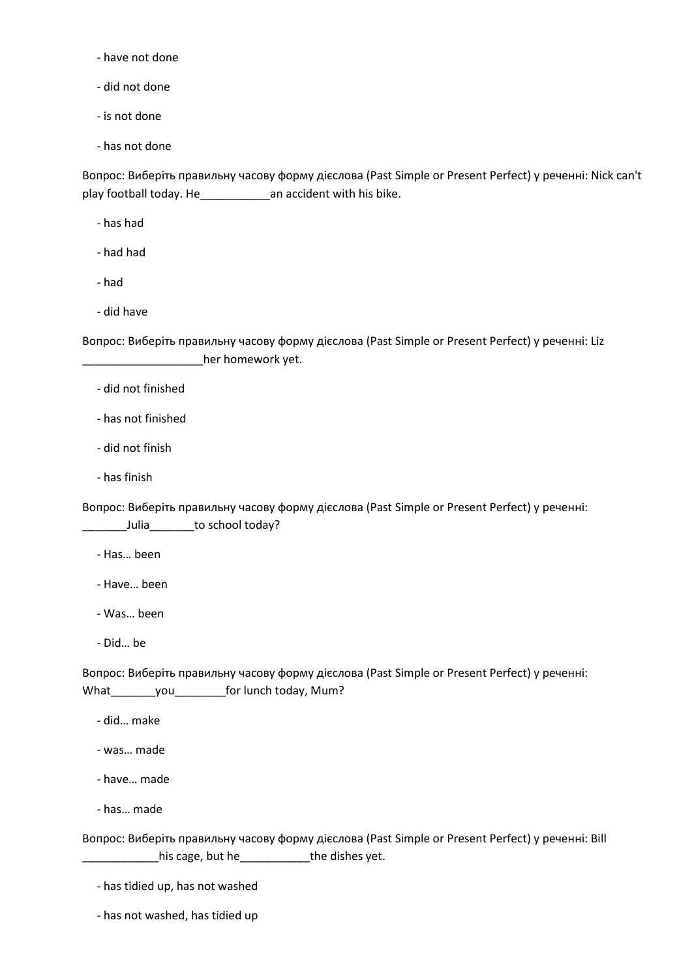- have not done

- did not done

- is not done

- has not done

Вопрос: Виберіть правильну часову форму дієслова (Past Simple or Present Perfect) у реченні: Nick can't play football today. He\_\_\_\_\_\_\_\_\_\_\_an accident with his bike.

- has had

- had had

- had

- did have

Вопрос: Виберіть правильну часову форму дієслова (Past Simple or Present Perfect) у реченні: Liz \_\_\_\_\_\_\_\_\_\_\_\_\_\_\_\_\_\_\_her homework yet.

- did not finished

- has not finished

- did not finish

- has finish

Вопрос: Виберіть правильну часову форму дієслова (Past Simple or Present Perfect) у реченні: \_\_\_\_\_\_\_Julia\_\_\_\_\_\_\_to school today?

- Has… been

- Have… been

- Was… been

- Did… be

Вопрос: Виберіть правильну часову форму дієслова (Past Simple or Present Perfect) у реченні: What\_\_\_\_\_\_\_\_you\_\_\_\_\_\_\_\_\_for lunch today, Mum?

- did… make

- was… made

- have… made

- has… made

Вопрос: Виберіть правильну часову форму дієслова (Past Simple or Present Perfect) у реченні: Bill \_\_\_\_\_\_\_\_\_\_\_\_his cage, but he\_\_\_\_\_\_\_\_\_\_\_the dishes yet.

- has tidied up, has not washed

- has not washed, has tidied up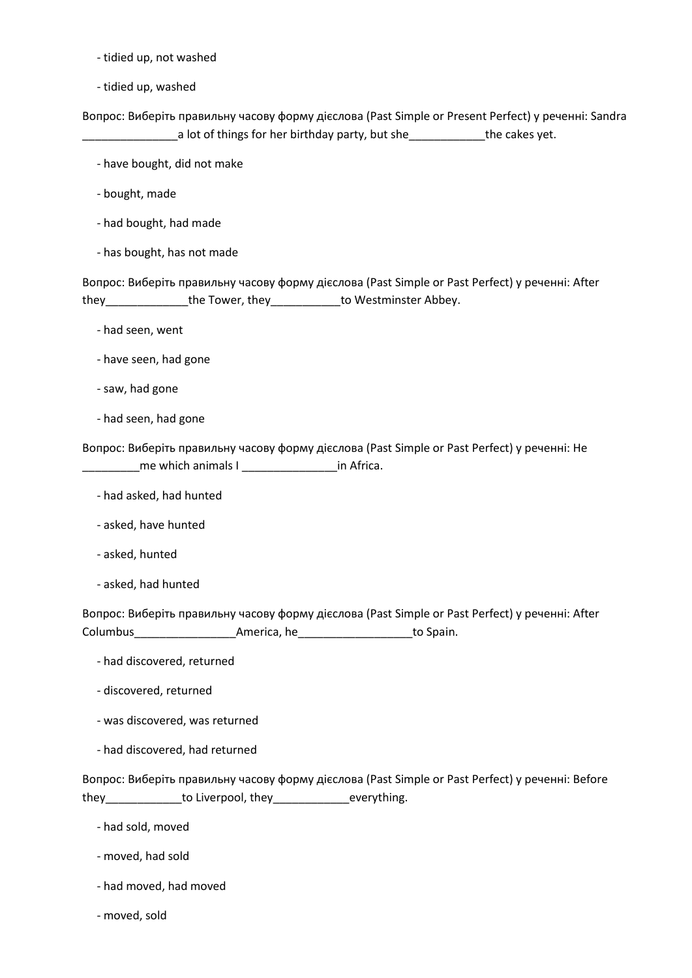- tidied up, not washed
- tidied up, washed

Вопрос: Виберіть правильну часову форму дієслова (Past Simple or Present Perfect) у реченні: Sandra a lot of things for her birthday party, but she the cakes yet.

- have bought, did not make
- bought, made
- had bought, had made
- has bought, has not made

Вопрос: Виберіть правильну часову форму дієслова (Past Simple or Past Perfect) у реченні: After they the Tower, they to Westminster Abbey.

- had seen, went
- have seen, had gone
- saw, had gone
- had seen, had gone

Вопрос: Виберіть правильну часову форму дієслова (Past Simple or Past Perfect) у реченні: He \_\_\_\_\_\_\_\_\_me which animals I \_\_\_\_\_\_\_\_\_\_\_\_\_\_\_in Africa.

- had asked, had hunted
- asked, have hunted
- asked, hunted
- asked, had hunted

Вопрос: Виберіть правильну часову форму дієслова (Past Simple or Past Perfect) у реченні: After Columbus\_\_\_\_\_\_\_\_\_\_\_\_\_\_\_\_America, he\_\_\_\_\_\_\_\_\_\_\_\_\_\_\_\_\_\_to Spain.

- had discovered, returned
- discovered, returned
- was discovered, was returned
- had discovered, had returned

Вопрос: Виберіть правильну часову форму дієслова (Past Simple or Past Perfect) у реченні: Before they\_\_\_\_\_\_\_\_\_\_\_\_\_\_to Liverpool, they\_\_\_\_\_\_\_\_\_\_\_\_\_everything.

- had sold, moved
- moved, had sold
- had moved, had moved
- moved, sold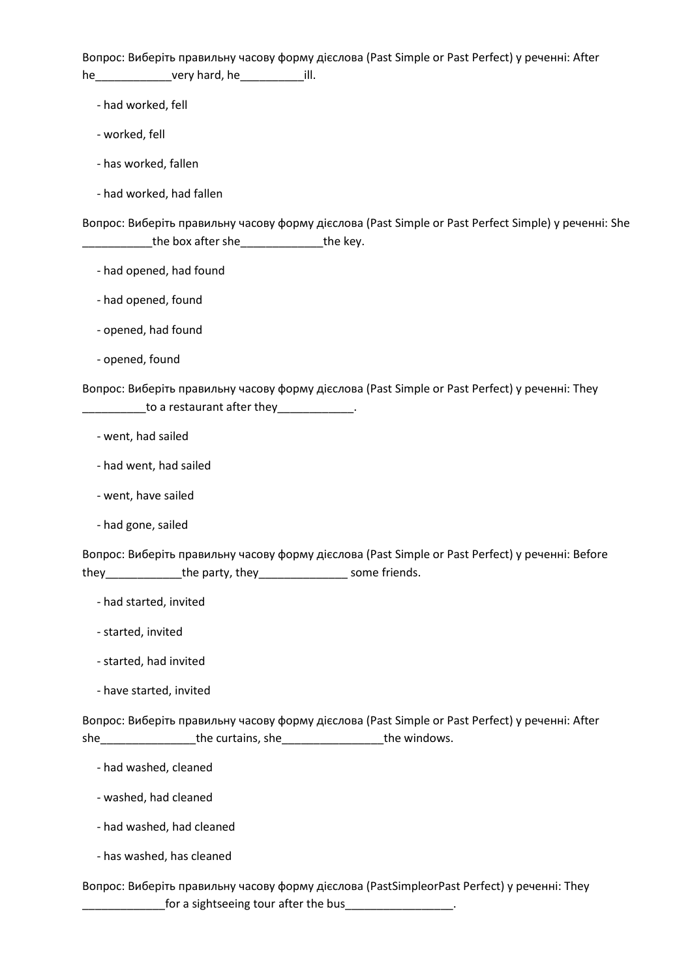Вопрос: Виберіть правильну часову форму дієслова (Past Simple or Past Perfect) у реченні: After he\_\_\_\_\_\_\_\_\_\_\_\_very hard, he\_\_\_\_\_\_\_\_\_\_ill.

- had worked, fell

- worked, fell
- has worked, fallen
- had worked, had fallen

Вопрос: Виберіть правильну часову форму дієслова (Past Simple or Past Perfect Simple) у реченні: She \_\_\_\_\_\_\_\_\_\_\_\_the box after she\_\_\_\_\_\_\_\_\_\_\_\_\_\_\_\_\_\_the key.

- had opened, had found
- had opened, found
- opened, had found
- opened, found

Вопрос: Виберіть правильну часову форму дієслова (Past Simple or Past Perfect) у реченні: They  $\frac{1}{2}$  to a restaurant after they  $\frac{1}{2}$ .

- went, had sailed
- had went, had sailed
- went, have sailed
- had gone, sailed

Вопрос: Виберіть правильну часову форму дієслова (Past Simple or Past Perfect) у реченні: Before they\_\_\_\_\_\_\_\_\_\_\_\_the party, they\_\_\_\_\_\_\_\_\_\_\_\_\_\_ some friends.

- had started, invited
- started, invited
- started, had invited
- have started, invited

Вопрос: Виберіть правильну часову форму дієслова (Past Simple or Past Perfect) у реченні: After she\_\_\_\_\_\_\_\_\_\_\_\_\_\_\_\_\_\_the curtains, she\_\_\_\_\_\_\_\_\_\_\_\_\_\_\_\_\_\_\_\_\_\_\_\_the windows.

- had washed, cleaned
- washed, had cleaned
- had washed, had cleaned
- has washed, has cleaned

Вопрос: Виберіть правильну часову форму дієслова (PastSimpleorPast Perfect) у реченні: They **water 10 Terman is a set of the state of the contract of the bus\_\_\_\_\_\_\_\_\_\_\_\_\_\_\_**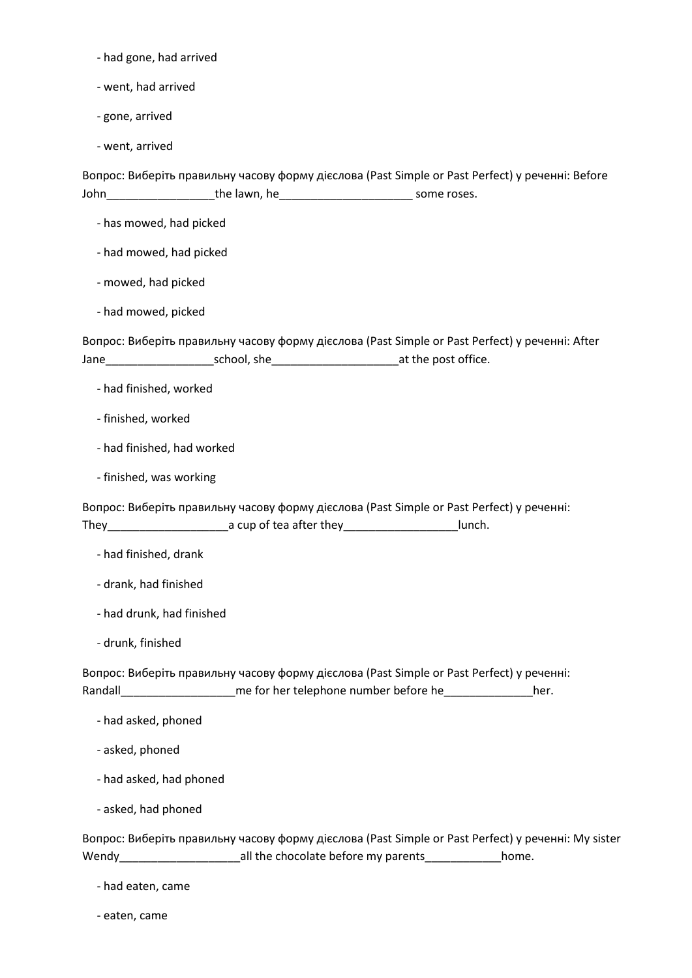- had gone, had arrived

- went, had arrived

- gone, arrived

- went, arrived

Вопрос: Виберіть правильну часову форму дієслова (Past Simple or Past Perfect) у реченні: Before John\_\_\_\_\_\_\_\_\_\_\_\_\_\_\_\_\_the lawn, he\_\_\_\_\_\_\_\_\_\_\_\_\_\_\_\_\_\_\_\_\_ some roses.

- has mowed, had picked
- had mowed, had picked
- mowed, had picked
- had mowed, picked

Вопрос: Виберіть правильну часову форму дієслова (Past Simple or Past Perfect) у реченні: After Jane\_\_\_\_\_\_\_\_\_\_\_\_\_\_\_\_\_school, she\_\_\_\_\_\_\_\_\_\_\_\_\_\_\_\_\_\_\_\_at the post office.

- had finished, worked
- finished, worked
- had finished, had worked
- finished, was working

Вопрос: Виберіть правильну часову форму дієслова (Past Simple or Past Perfect) у реченні: They\_\_\_\_\_\_\_\_\_\_\_\_\_\_\_\_\_\_\_a cup of tea after they\_\_\_\_\_\_\_\_\_\_\_\_\_\_\_\_\_\_lunch.

- had finished, drank
- drank, had finished
- had drunk, had finished
- drunk, finished

Вопрос: Виберіть правильну часову форму дієслова (Past Simple or Past Perfect) у реченні: Randall\_\_\_\_\_\_\_\_\_\_\_\_\_\_\_\_\_\_\_\_\_\_\_\_\_\_me for her telephone number before he\_\_\_\_\_\_\_\_\_\_\_\_\_\_\_\_\_\_\_\_her.

- had asked, phoned
- asked, phoned
- had asked, had phoned
- asked, had phoned

Вопрос: Виберіть правильну часову форму дієслова (Past Simple or Past Perfect) у реченні: My sister Wendy\_\_\_\_\_\_\_\_\_\_\_\_\_\_\_\_\_\_\_all the chocolate before my parents\_\_\_\_\_\_\_\_\_\_\_\_home.

- had eaten, came
- eaten, came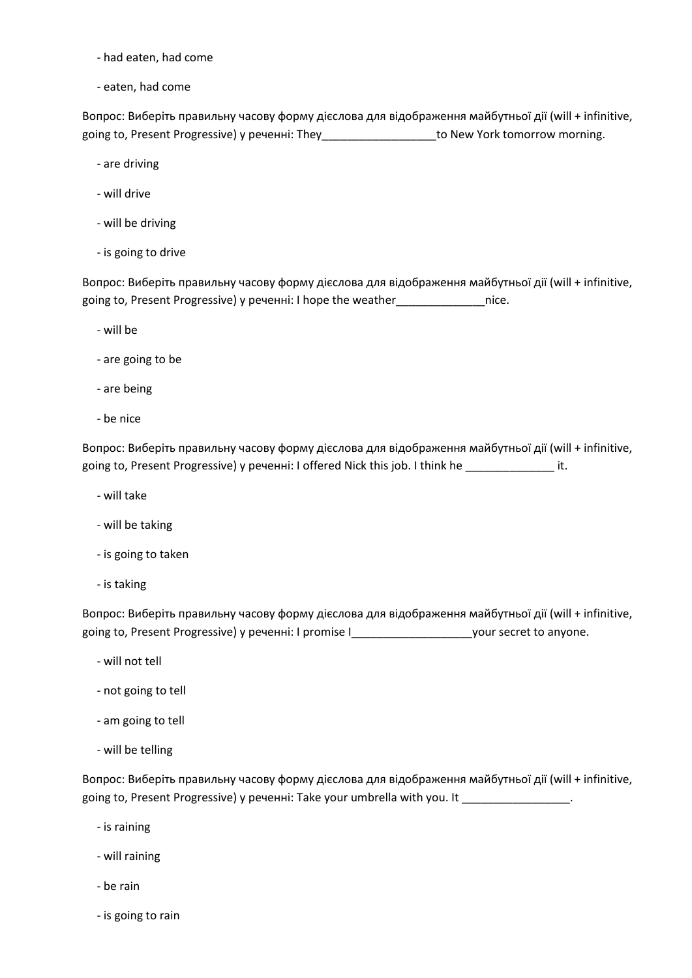- had eaten, had come
- eaten, had come

Вопрос: Виберіть правильну часову форму дієслова для відображення майбутньої дії (will + infinitive, going to, Present Progressive) у реченні: They state of the New York tomorrow morning.

- are driving
- will drive
- will be driving
- is going to drive

Вопрос: Виберіть правильну часову форму дієслова для відображення майбутньої дії (will + infinitive, going to, Present Progressive) у реченні: I hope the weather\_\_\_\_\_\_\_\_\_\_\_\_\_\_nice.

- will be
- are going to be
- are being
- be nice

Вопрос: Виберіть правильну часову форму дієслова для відображення майбутньої дії (will + infinitive, going to, Present Progressive) у реченні: I offered Nick this job. I think he \_\_\_\_\_\_\_\_\_\_\_\_\_\_ it.

- will take
- will be taking
- is going to taken
- is taking

Вопрос: Виберіть правильну часову форму дієслова для відображення майбутньої дії (will + infinitive, going to, Present Progressive) у реченні: I promise I\_\_\_\_\_\_\_\_\_\_\_\_\_\_\_\_\_\_\_your secret to anyone.

- will not tell
- not going to tell
- am going to tell
- will be telling

Вопрос: Виберіть правильну часову форму дієслова для відображення майбутньої дії (will + infinitive, going to, Present Progressive) у реченні: Take your umbrella with you. It

- is raining
- will raining
- be rain
- is going to rain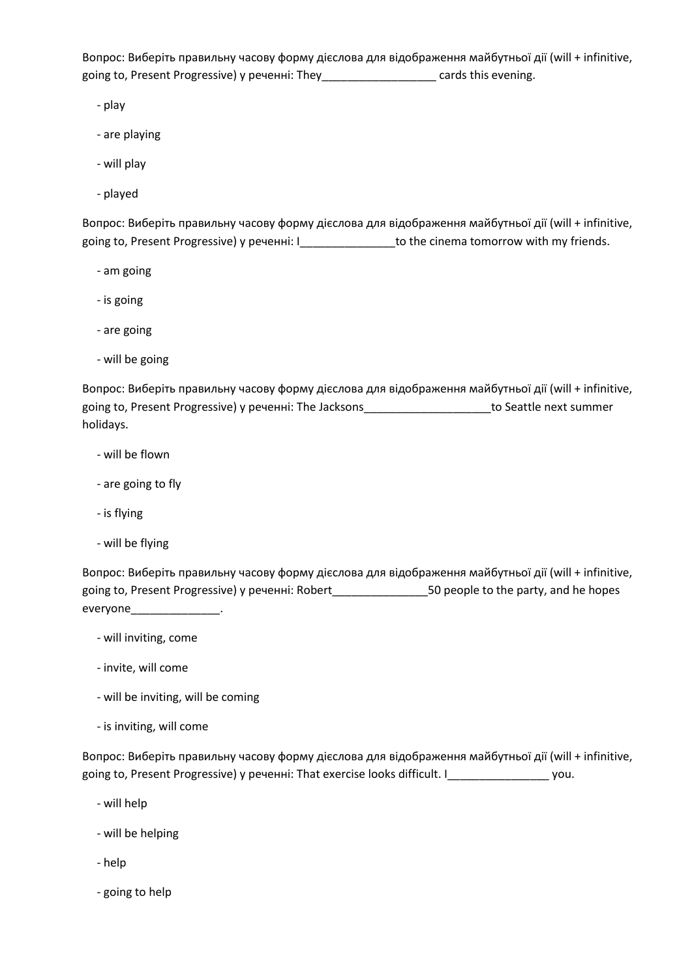Вопрос: Виберіть правильну часову форму дієслова для відображення майбутньої дії (will + infinitive, going to, Present Progressive) у реченні: They\_\_\_\_\_\_\_\_\_\_\_\_\_\_\_\_\_\_ cards this evening.

- play

- are playing
- will play
- played

Вопрос: Виберіть правильну часову форму дієслова для відображення майбутньої дії (will + infinitive, going to, Present Progressive) у реченні: I\_\_\_\_\_\_\_\_\_\_\_\_\_\_\_to the cinema tomorrow with my friends.

- am going
- is going
- are going
- will be going

Вопрос: Виберіть правильну часову форму дієслова для відображення майбутньої дії (will + infinitive, going to, Present Progressive) у реченні: The Jacksons\_\_\_\_\_\_\_\_\_\_\_\_\_\_\_\_\_\_\_\_to Seattle next summer holidays.

- will be flown
- are going to fly
- is flying
- will be flying

Вопрос: Виберіть правильну часову форму дієслова для відображення майбутньої дії (will + infinitive, going to, Present Progressive) у реченні: Robert\_\_\_\_\_\_\_\_\_\_\_\_\_\_\_50 people to the party, and he hopes everyone\_\_\_\_\_\_\_\_\_\_\_\_\_\_\_\_\_\_\_\_.

- will inviting, come
- invite, will come
- will be inviting, will be coming
- is inviting, will come

Вопрос: Виберіть правильну часову форму дієслова для відображення майбутньої дії (will + infinitive, going to, Present Progressive) у реченні: That exercise looks difficult. I\_\_\_\_\_\_\_\_\_\_\_\_\_\_\_\_\_\_\_\_ you.

- will help
- will be helping
- help
- going to help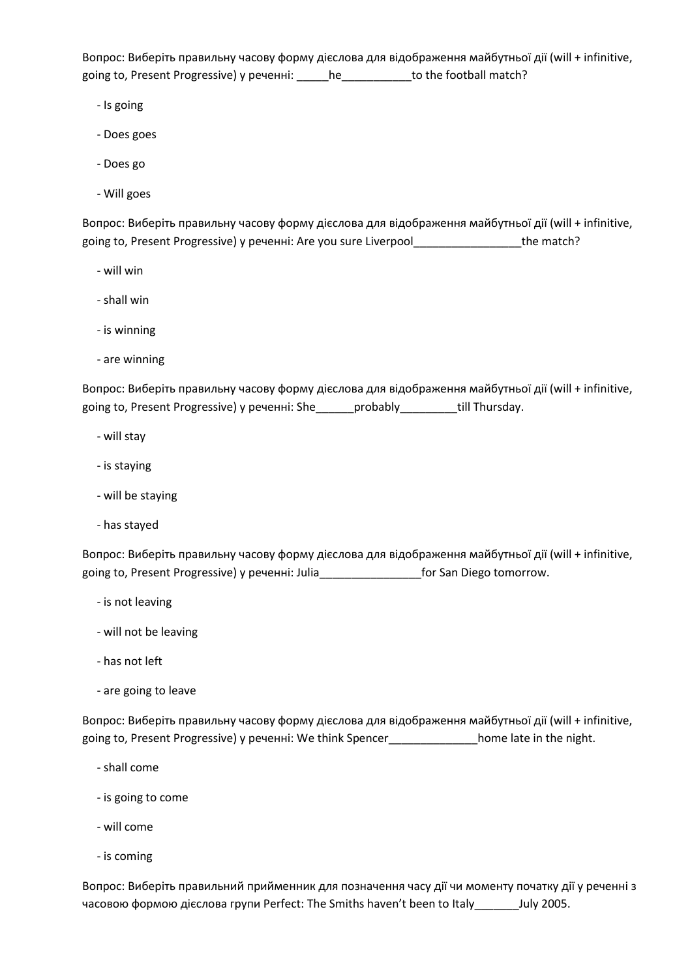Вопрос: Виберіть правильну часову форму дієслова для відображення майбутньої дії (will + infinitive, going to, Present Progressive) у реченні: \_\_\_\_\_he\_\_\_\_\_\_\_\_\_\_\_\_to the football match?

- Is going
- Does goes
- Does go
- Will goes

Вопрос: Виберіть правильну часову форму дієслова для відображення майбутньої дії (will + infinitive, going to, Present Progressive) у реченні: Are you sure Liverpool\_\_\_\_\_\_\_\_\_\_\_\_\_\_\_\_\_\_\_\_\_\_\_\_the match?

- will win
- shall win
- is winning
- are winning

Вопрос: Виберіть правильну часову форму дієслова для відображення майбутньої дії (will + infinitive, going to, Present Progressive) у реченні: She\_\_\_\_\_\_probably\_\_\_\_\_\_\_\_\_till Thursday.

- will stay
- іs staying
- will be staying
- has stayed

Вопрос: Виберіть правильну часову форму дієслова для відображення майбутньої дії (will + infinitive, going to, Present Progressive) у реченні: Julia\_\_\_\_\_\_\_\_\_\_\_\_\_\_\_\_for San Diego tomorrow.

- is not leaving
- will not be leaving
- has not left
- are going to leave

Вопрос: Виберіть правильну часову форму дієслова для відображення майбутньої дії (will + infinitive, going to, Present Progressive) у реченні: We think Spencer\_\_\_\_\_\_\_\_\_\_\_\_\_\_home late in the night.

- shall come
- is going to come
- will come
- is coming

Вопрос: Виберіть правильний прийменник для позначення часу дії чи моменту початку дії у реченні з часовою формою дієслова групи Perfect: The Smiths haven't been to Italy\_\_\_\_\_\_\_July 2005.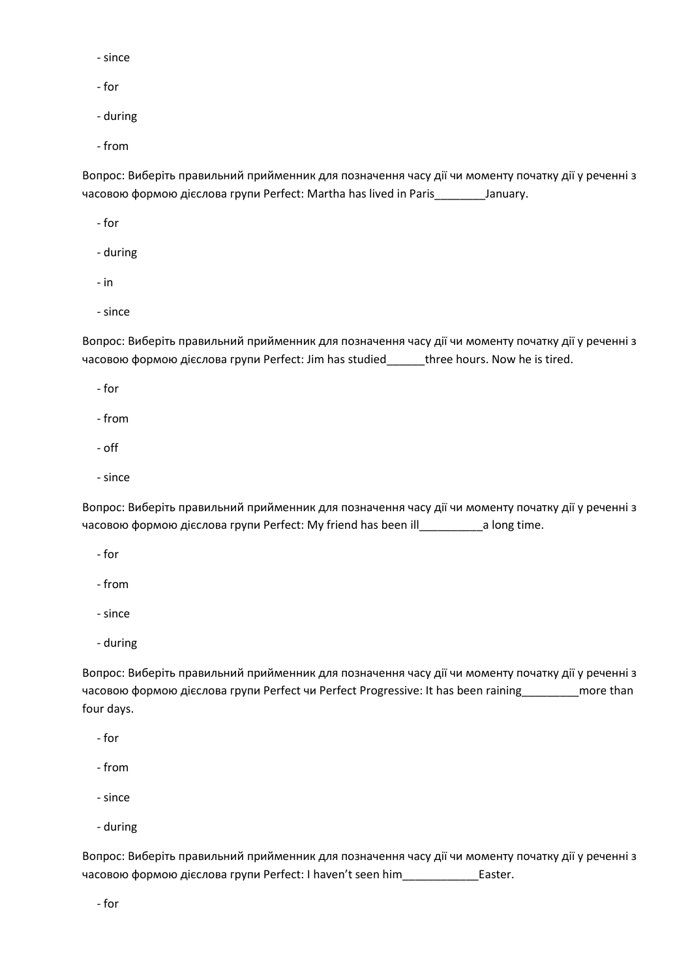- since
- for
- during
- from

Вопрос: Виберіть правильний прийменник для позначення часу дії чи моменту початку дії у реченні з часовою формою дієслова групи Perfect: Martha has lived in Paris\_\_\_\_\_\_\_\_January.

- for
- during
- in
- since

Вопрос: Виберіть правильний прийменник для позначення часу дії чи моменту початку дії у реченні з часовою формою дієслова групи Perfect: Jim has studied\_\_\_\_\_\_three hours. Now he is tired.

- for
- from
- off
- since

Вопрос: Виберіть правильний прийменник для позначення часу дії чи моменту початку дії у реченні з часовою формою дієслова групи Perfect: My friend has been ill\_\_\_\_\_\_\_\_\_\_a long time.

- for
- from
- since
- during

Вопрос: Виберіть правильний прийменник для позначення часу дії чи моменту початку дії у реченні з часовою формою дієслова групи Perfect чи Perfect Progressive: It has been raining\_\_\_\_\_\_\_\_\_more than four days.

- for
- from
- since
- during

Вопрос: Виберіть правильний прийменник для позначення часу дії чи моменту початку дії у реченні з часовою формою дієслова групи Perfect: I haven't seen him\_\_\_\_\_\_\_\_\_\_\_\_Easter.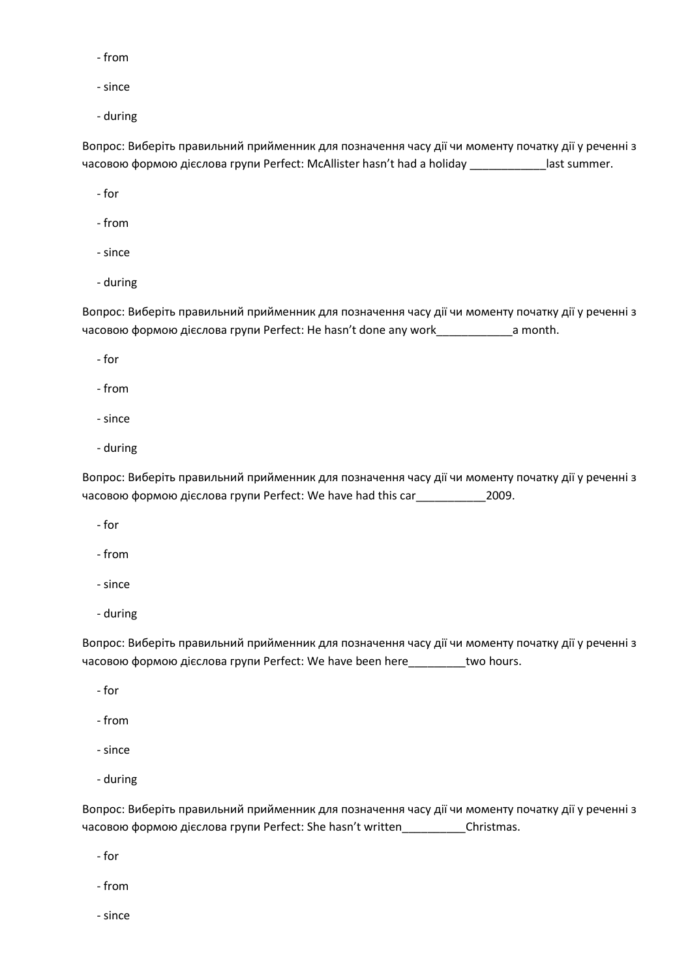- from
- since
- during

Вопрос: Виберіть правильний прийменник для позначення часу дії чи моменту початку дії у реченні з часовою формою дієслова групи Perfect: McAllister hasn't had a holiday \_\_\_\_\_\_\_\_\_\_\_\_last summer.

- for
- from
- since
- during

Вопрос: Виберіть правильний прийменник для позначення часу дії чи моменту початку дії у реченні з часовою формою дієслова групи Perfect: He hasn't done any work\_\_\_\_\_\_\_\_\_\_\_\_a month.

- for
- from
- since
- during

Вопрос: Виберіть правильний прийменник для позначення часу дії чи моменту початку дії у реченні з часовою формою дієслова групи Perfect: We have had this car\_\_\_\_\_\_\_\_\_\_\_2009.

- for
- from
- since
- during

Вопрос: Виберіть правильний прийменник для позначення часу дії чи моменту початку дії у реченні з часовою формою дієслова групи Perfect: We have been here\_\_\_\_\_\_\_\_\_two hours.

- for
- from
- since
- during

Вопрос: Виберіть правильний прийменник для позначення часу дії чи моменту початку дії у реченні з часовою формою дієслова групи Perfect: She hasn't written\_\_\_\_\_\_\_\_\_\_Christmas.

- for
- from
- since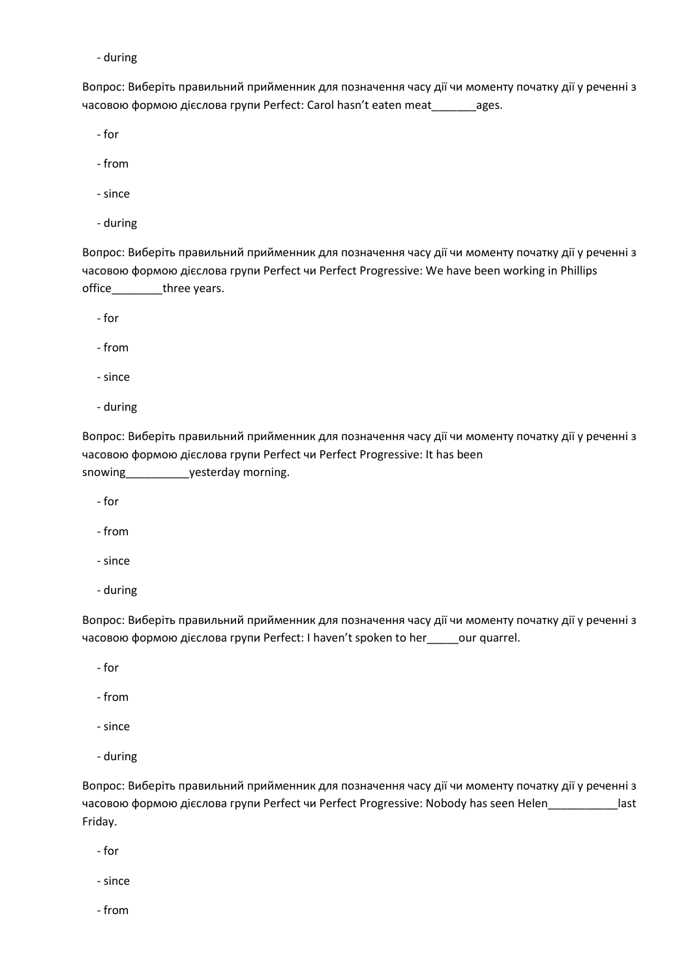Вопрос: Виберіть правильний прийменник для позначення часу дії чи моменту початку дії у реченні з часовою формою дієслова групи Perfect: Carol hasn't eaten meat\_\_\_\_\_\_\_ages.

- for

- from
- since
- during

Вопрос: Виберіть правильний прийменник для позначення часу дії чи моменту початку дії у реченні з часовою формою дієслова групи Perfect чи Perfect Progressive: We have been working in Phillips office three years.

- for

- from
- since
- during

Вопрос: Виберіть правильний прийменник для позначення часу дії чи моменту початку дії у реченні з часовою формою дієслова групи Perfect чи Perfect Progressive: It has been snowing\_\_\_\_\_\_\_\_\_\_\_\_\_yesterday morning.

- for
- from
- since
- during

Вопрос: Виберіть правильний прийменник для позначення часу дії чи моменту початку дії у реченні з часовою формою дієслова групи Perfect: I haven't spoken to her\_\_\_\_\_our quarrel.

- for
- from
- since
- during

Вопрос: Виберіть правильний прийменник для позначення часу дії чи моменту початку дії у реченні з часовою формою дієслова групи Perfect чи Perfect Progressive: Nobody has seen Helen\_\_\_\_\_\_\_\_\_\_\_last Friday.

- for
- since
- from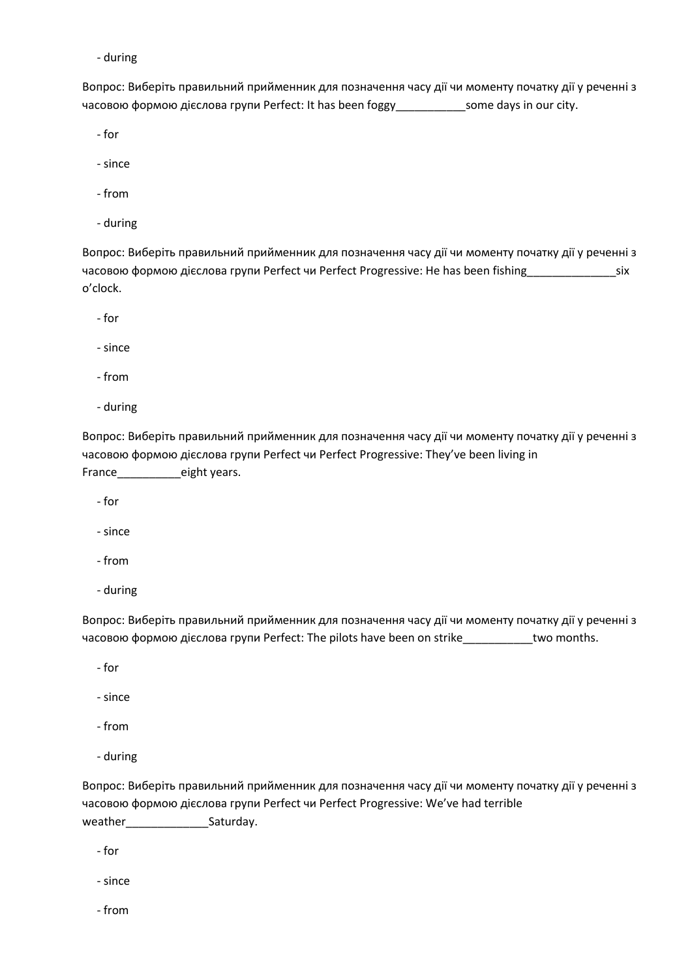Вопрос: Виберіть правильний прийменник для позначення часу дії чи моменту початку дії у реченні з часовою формою дієслова групи Perfect: It has been foggy\_\_\_\_\_\_\_\_\_\_\_some days in our city.

- for

- since
- from
- during

Вопрос: Виберіть правильний прийменник для позначення часу дії чи моменту початку дії у реченні з часовою формою дієслова групи Perfect чи Perfect Progressive: He has been fishing\_\_\_\_\_\_\_\_\_\_\_\_\_\_six o'clock.

- for

- since

- from

- during

Вопрос: Виберіть правильний прийменник для позначення часу дії чи моменту початку дії у реченні з часовою формою дієслова групи Perfect чи Perfect Progressive: They've been living in France\_\_\_\_\_\_\_\_\_eight years.

- for

- since
- from
- during

Вопрос: Виберіть правильний прийменник для позначення часу дії чи моменту початку дії у реченні з часовою формою дієслова групи Perfect: The pilots have been on strike\_\_\_\_\_\_\_\_\_\_\_two months.

- for

- since

- from
- during

Вопрос: Виберіть правильний прийменник для позначення часу дії чи моменту початку дії у реченні з часовою формою дієслова групи Perfect чи Perfect Progressive: We've had terrible weather\_\_\_\_\_\_\_\_\_\_\_\_\_\_\_\_\_\_Saturday.

- for

- since

- from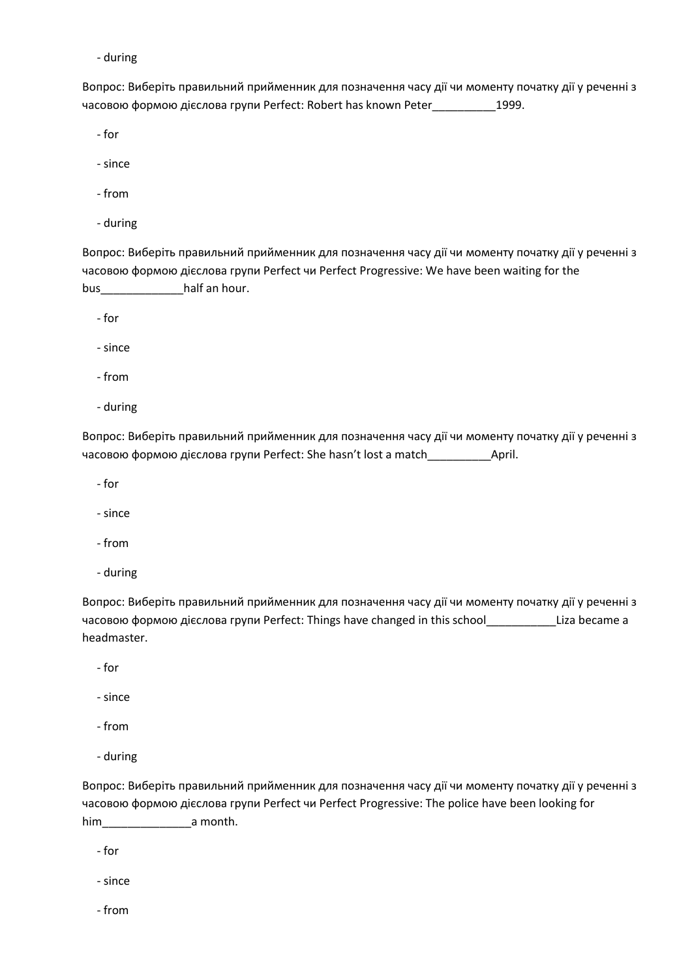Вопрос: Виберіть правильний прийменник для позначення часу дії чи моменту початку дії у реченні з часовою формою дієслова групи Perfect: Robert has known Peter\_\_\_\_\_\_\_\_\_\_1999.

- for

- since
- from
- during

Вопрос: Виберіть правильний прийменник для позначення часу дії чи моменту початку дії у реченні з часовою формою дієслова групи Perfect чи Perfect Progressive: We have been waiting for the bus\_\_\_\_\_\_\_\_\_\_\_\_\_half an hour.

- for

- since

- from

- during

Вопрос: Виберіть правильний прийменник для позначення часу дії чи моменту початку дії у реченні з часовою формою дієслова групи Perfect: She hasn't lost a match\_\_\_\_\_\_\_\_\_\_April.

- for

- since

- from

- during

Вопрос: Виберіть правильний прийменник для позначення часу дії чи моменту початку дії у реченні з часовою формою дієслова групи Perfect: Things have changed in this school \_\_\_\_\_\_\_\_\_\_\_\_\_\_\_\_\_\_\_\_Liza became a headmaster.

- for

- since

- from
- during

Вопрос: Виберіть правильний прийменник для позначення часу дії чи моменту початку дії у реченні з часовою формою дієслова групи Perfect чи Perfect Progressive: The police have been looking for him\_\_\_\_\_\_\_\_\_\_\_\_\_\_a month.

- for

- since

- from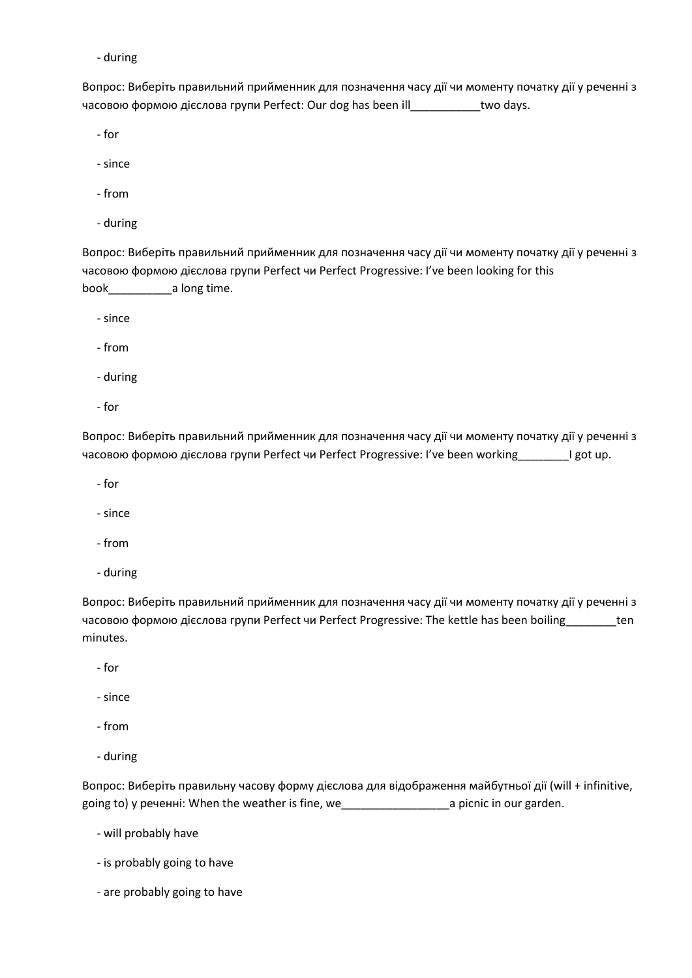Вопрос: Виберіть правильний прийменник для позначення часу дії чи моменту початку дії у реченні з часовою формою дієслова групи Perfect: Our dog has been ill\_\_\_\_\_\_\_\_\_\_\_two days.

- for

- since
- from
- during

Вопрос: Виберіть правильний прийменник для позначення часу дії чи моменту початку дії у реченні з часовою формою дієслова групи Perfect чи Perfect Progressive: I've been looking for this book\_\_\_\_\_\_\_\_\_\_a long time.

- since

- from

- during

- for

Вопрос: Виберіть правильний прийменник для позначення часу дії чи моменту початку дії у реченні з часовою формою дієслова групи Perfect чи Perfect Progressive: I've been working\_\_\_\_\_\_\_\_I got up.

- for

- since

- from

- during

Вопрос: Виберіть правильний прийменник для позначення часу дії чи моменту початку дії у реченні з часовою формою дієслова групи Perfect чи Perfect Progressive: The kettle has been boiling\_\_\_\_\_\_\_\_ten minutes.

- for

- since

- from
- during

Вопрос: Виберіть правильну часову форму дієслова для відображення майбутньої дії (will + infinitive, going to) у реченні: When the weather is fine, we\_\_\_\_\_\_\_\_\_\_\_\_\_\_\_\_\_a picnic in our garden.

- will probably have

- is probably going to have
- are probably going to have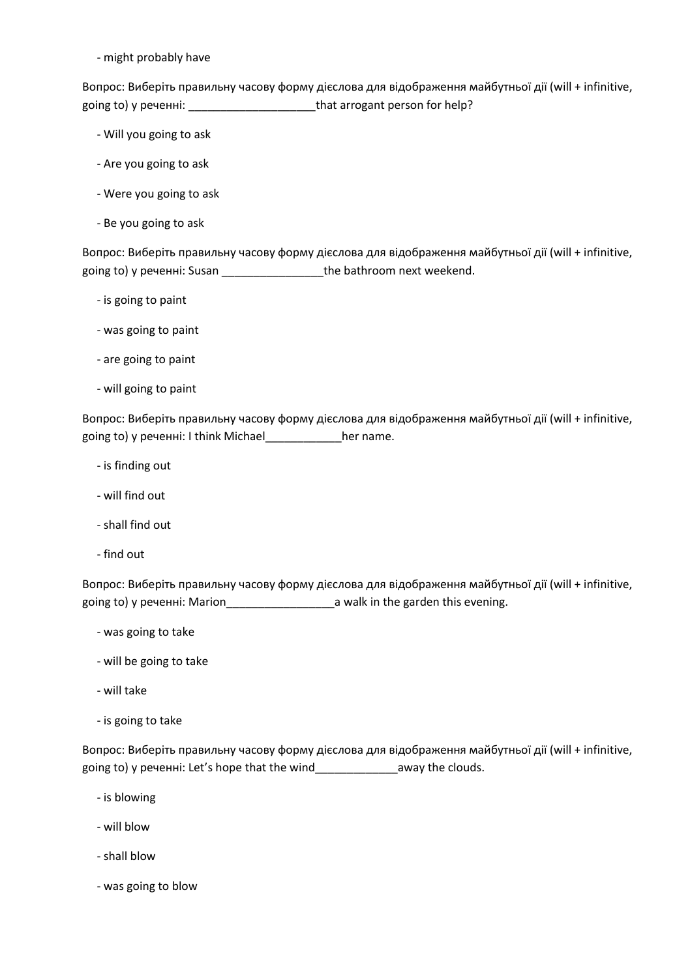- might probably have

Вопрос: Виберіть правильну часову форму дієслова для відображення майбутньої дії (will + infinitive, going to) у реченні: \_\_\_\_\_\_\_\_\_\_\_\_\_\_\_\_\_\_\_\_that arrogant person for help?

- Will you going to ask
- Are you going to ask
- Were you going to ask
- Be you going to ask

Вопрос: Виберіть правильну часову форму дієслова для відображення майбутньої дії (will + infinitive, going to) у реченні: Susan \_\_\_\_\_\_\_\_\_\_\_\_\_\_\_\_the bathroom next weekend.

- is going to paint
- was going to paint
- are going to paint
- will going to paint

Вопрос: Виберіть правильну часову форму дієслова для відображення майбутньої дії (will + infinitive, going to) у реченні: I think Michael\_\_\_\_\_\_\_\_\_\_\_\_her name.

- is finding out
- will find out
- shall find out
- find out

Вопрос: Виберіть правильну часову форму дієслова для відображення майбутньої дії (will + infinitive, going to) у реченні: Marion\_\_\_\_\_\_\_\_\_\_\_\_\_\_\_\_\_a walk in the garden this evening.

- was going to take
- will be going to take
- will take
- is going to take

Вопрос: Виберіть правильну часову форму дієслова для відображення майбутньої дії (will + infinitive, going to) у реченні: Let's hope that the wind\_\_\_\_\_\_\_\_\_\_\_\_\_away the clouds.

- is blowing
- will blow
- shall blow
- was going to blow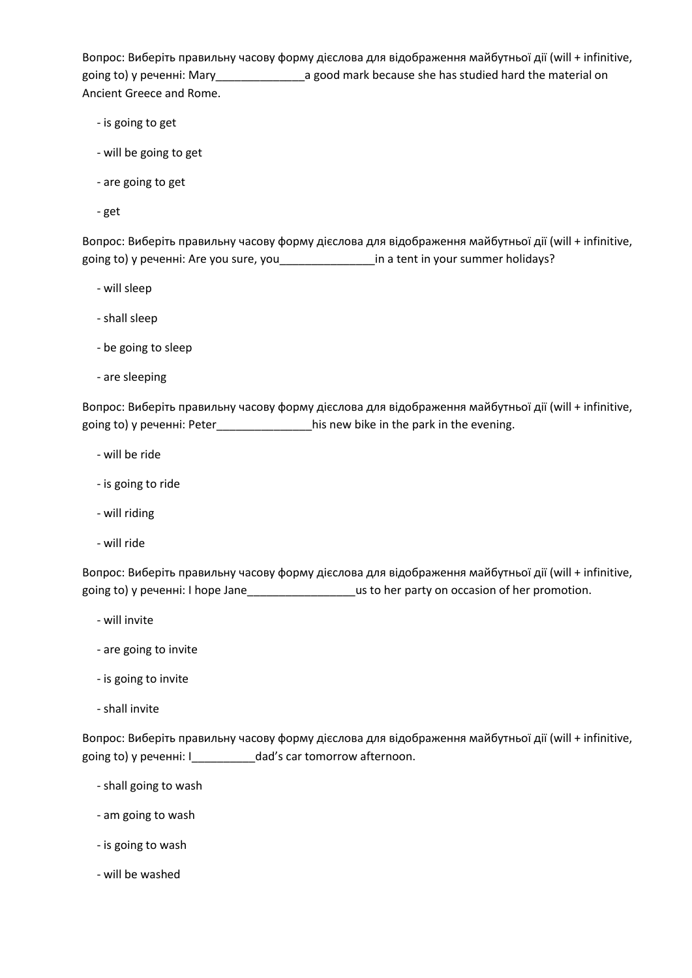Вопрос: Виберіть правильну часову форму дієслова для відображення майбутньої дії (will + infinitive, going to) у реченні: Mary\_\_\_\_\_\_\_\_\_\_\_\_\_\_a good mark because she has studied hard the material on Ancient Greece and Rome.

- is going to get
- will be going to get
- are going to get
- get

Вопрос: Виберіть правильну часову форму дієслова для відображення майбутньої дії (will + infinitive, going to) у реченні: Are you sure, you\_\_\_\_\_\_\_\_\_\_\_\_\_\_\_in a tent in your summer holidays?

- will sleep
- shall sleep
- be going to sleep
- are sleeping

Вопрос: Виберіть правильну часову форму дієслова для відображення майбутньої дії (will + infinitive, going to) у реченні: Peter\_\_\_\_\_\_\_\_\_\_\_\_\_\_\_\_\_\_\_\_\_his new bike in the park in the evening.

- will be ride
- is going to ride
- will riding
- will ride

Вопрос: Виберіть правильну часову форму дієслова для відображення майбутньої дії (will + infinitive, going to) у реченні: I hope Jane\_\_\_\_\_\_\_\_\_\_\_\_\_\_\_\_\_us to her party on occasion of her promotion.

- will invite
- are going to invite
- is going to invite
- shall invite

Вопрос: Виберіть правильну часову форму дієслова для відображення майбутньої дії (will + infinitive, going to) у реченні: I\_\_\_\_\_\_\_\_\_\_dad's car tomorrow afternoon.

- shall going to wash
- am going to wash
- is going to wash
- will be washed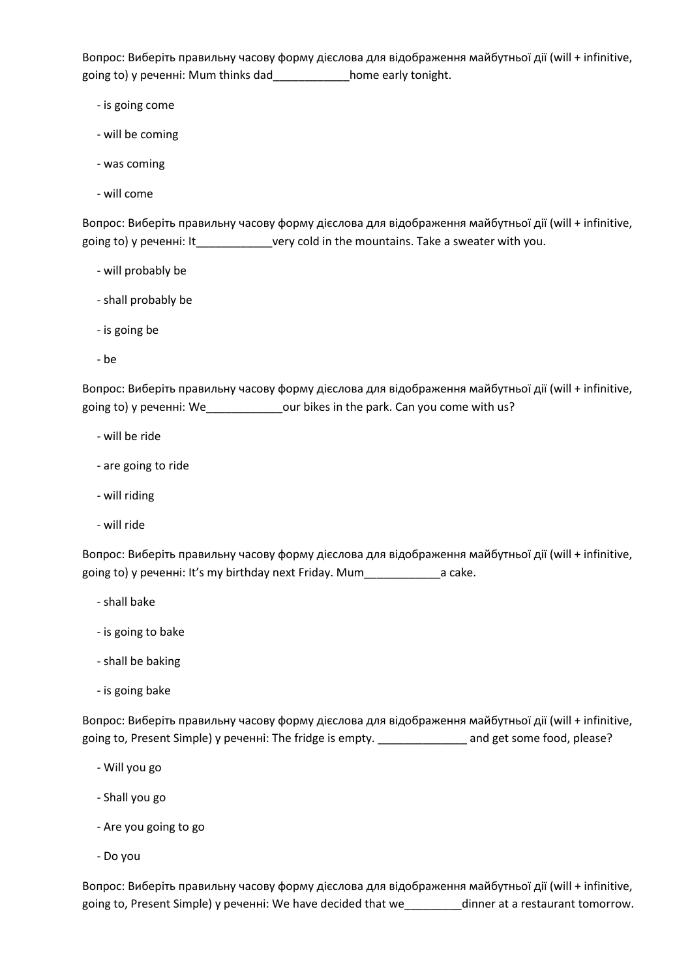Вопрос: Виберіть правильну часову форму дієслова для відображення майбутньої дії (will + infinitive, going to) у реченні: Mum thinks dad\_\_\_\_\_\_\_\_\_\_\_\_home early tonight.

- is going come
- will be coming
- was coming
- will come

Вопрос: Виберіть правильну часову форму дієслова для відображення майбутньої дії (will + infinitive, going to) у реченні: It\_\_\_\_\_\_\_\_\_\_\_\_very cold in the mountains. Take a sweater with you.

- will probably be
- shall probably be
- is going be
- be

Вопрос: Виберіть правильну часову форму дієслова для відображення майбутньої дії (will + infinitive, going to) у реченні: We\_\_\_\_\_\_\_\_\_\_\_\_\_\_our bikes in the park. Can you come with us?

- will be ride
- are going to ride
- will riding
- will ride

Вопрос: Виберіть правильну часову форму дієслова для відображення майбутньої дії (will + infinitive, going to) у реченні: It's my birthday next Friday. Mum a cake.

- shall bake
- is going to bake
- shall be baking
- is going bake

Вопрос: Виберіть правильну часову форму дієслова для відображення майбутньої дії (will + infinitive, going to, Present Simple) у реченні: The fridge is empty. \_\_\_\_\_\_\_\_\_\_\_\_\_\_\_\_ and get some food, please?

- Will you go
- Shall you go
- Are you going to go
- Do you

Вопрос: Виберіть правильну часову форму дієслова для відображення майбутньої дії (will + infinitive, going to, Present Simple) у реченні: We have decided that we\_\_\_\_\_\_\_\_\_dinner at a restaurant tomorrow.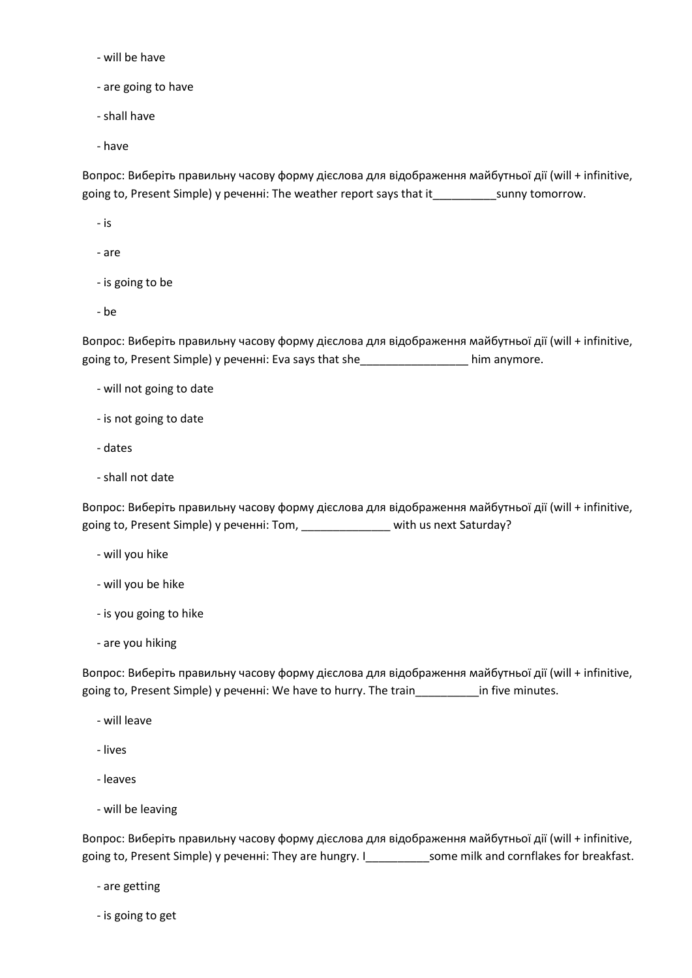- will be have
- are going to have
- shall have
- have

Вопрос: Виберіть правильну часову форму дієслова для відображення майбутньої дії (will + infinitive, going to, Present Simple) у реченні: The weather report says that it\_\_\_\_\_\_\_\_\_\_sunny tomorrow.

- is
- are
- is going to be
- be

Вопрос: Виберіть правильну часову форму дієслова для відображення майбутньої дії (will + infinitive, going to, Present Simple) у реченні: Eva says that she\_\_\_\_\_\_\_\_\_\_\_\_\_\_\_\_\_ him anymore.

- will not going to date
- is not going to date
- dates
- shall not date

Вопрос: Виберіть правильну часову форму дієслова для відображення майбутньої дії (will + infinitive, going to, Present Simple) у реченні: Tom, \_\_\_\_\_\_\_\_\_\_\_\_\_\_ with us next Saturday?

- will you hike
- will you be hike
- is you going to hike
- are you hiking

Вопрос: Виберіть правильну часову форму дієслова для відображення майбутньої дії (will + infinitive, going to, Present Simple) у реченні: We have to hurry. The train\_\_\_\_\_\_\_\_\_\_in five minutes.

- will leave
- lives
- leaves
- will be leaving

Вопрос: Виберіть правильну часову форму дієслова для відображення майбутньої дії (will + infinitive, going to, Present Simple) у реченні: They are hungry. I\_\_\_\_\_\_\_\_\_\_\_\_\_some milk and cornflakes for breakfast.

- are getting
- is going to get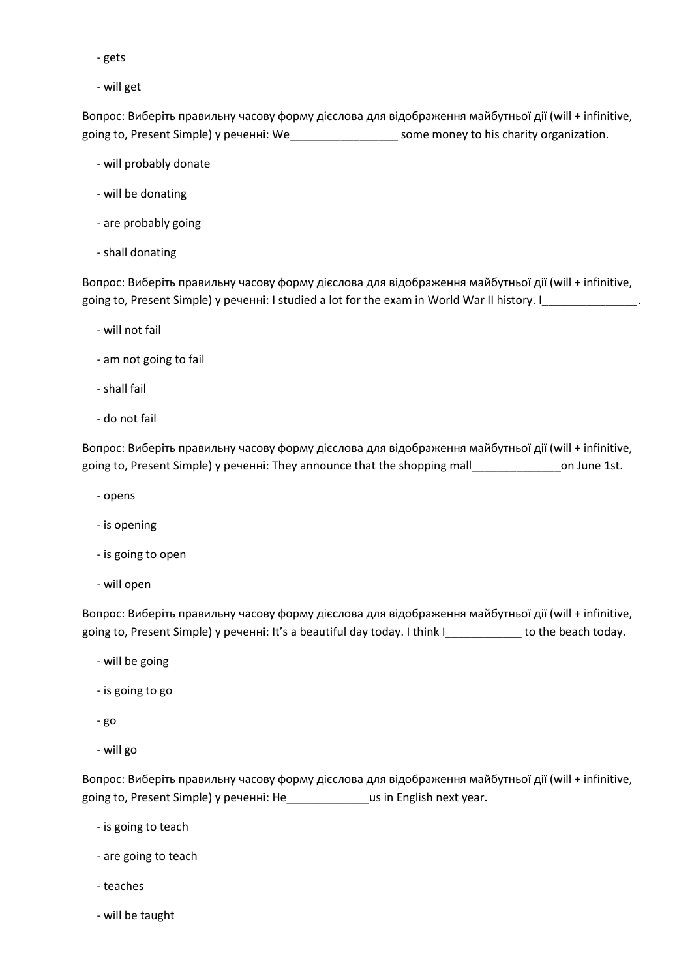- gets
- will get

Вопрос: Виберіть правильну часову форму дієслова для відображення майбутньої дії (will + infinitive, going to, Present Simple) у реченні: We\_\_\_\_\_\_\_\_\_\_\_\_\_\_\_\_\_ some money to his charity organization.

- will probably donate
- will be donating
- are probably going
- shall donating

Вопрос: Виберіть правильну часову форму дієслова для відображення майбутньої дії (will + infinitive, going to, Present Simple) у реченні: I studied a lot for the exam in World War II history. I\_\_\_\_\_\_\_\_\_\_\_\_\_\_\_\_\_\_

- will not fail
- am not going to fail
- shall fail
- do not fail

Вопрос: Виберіть правильну часову форму дієслова для відображення майбутньої дії (will + infinitive, going to, Present Simple) у реченні: They announce that the shopping mall\_\_\_\_\_\_\_\_\_\_\_\_\_\_on June 1st.

- opens
- is opening
- is going to open
- will open

Вопрос: Виберіть правильну часову форму дієслова для відображення майбутньої дії (will + infinitive, going to, Present Simple) у реченні: It's a beautiful day today. I think I\_\_\_\_\_\_\_\_\_\_\_\_\_ to the beach today.

- will be going
- is going to go
- go
- will go

Вопрос: Виберіть правильну часову форму дієслова для відображення майбутньої дії (will + infinitive, going to, Present Simple) у реченні: He\_\_\_\_\_\_\_\_\_\_\_\_\_us in English next year.

- is going to teach
- are going to teach
- teaches
- will be taught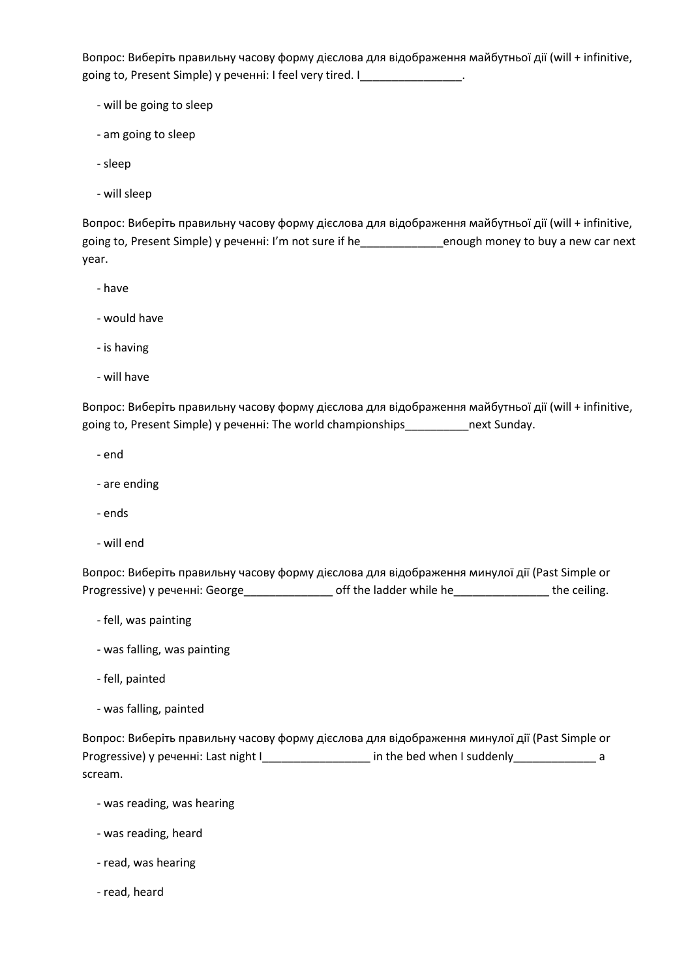Вопрос: Виберіть правильну часову форму дієслова для відображення майбутньої дії (will + infinitive, going to, Present Simple) у реченні: I feel very tired. I \_\_\_\_\_\_\_\_\_\_\_\_\_\_\_.

- will be going to sleep
- am going to sleep
- sleep
- will sleep

Вопрос: Виберіть правильну часову форму дієслова для відображення майбутньої дії (will + infinitive, going to, Present Simple) у реченні: I'm not sure if he\_\_\_\_\_\_\_\_\_\_\_\_\_enough money to buy a new car next year.

- have
- would have
- is having
- will have

Вопрос: Виберіть правильну часову форму дієслова для відображення майбутньої дії (will + infinitive, going to, Present Simple) у реченні: The world championships\_\_\_\_\_\_\_\_\_\_next Sunday.

- end
- are ending
- ends
- will end

Вопрос: Виберіть правильну часову форму дієслова для відображення минулої дії (Past Simple or Progressive) у реченні: George\_\_\_\_\_\_\_\_\_\_\_\_\_\_\_\_\_ off the ladder while he\_\_\_\_\_\_\_\_\_\_\_\_\_\_\_\_\_\_ the ceiling.

- fell, was painting
- was falling, was painting
- fell, painted
- was falling, painted

Вопрос: Виберіть правильну часову форму дієслова для відображення минулої дії (Past Simple or Progressive) у реченні: Last night I\_\_\_\_\_\_\_\_\_\_\_\_\_\_\_\_\_\_\_ in the bed when I suddenly\_\_\_\_\_\_\_\_\_\_\_\_\_\_\_\_ a scream.

- was reading, was hearing
- was reading, heard
- read, was hearing
- read, heard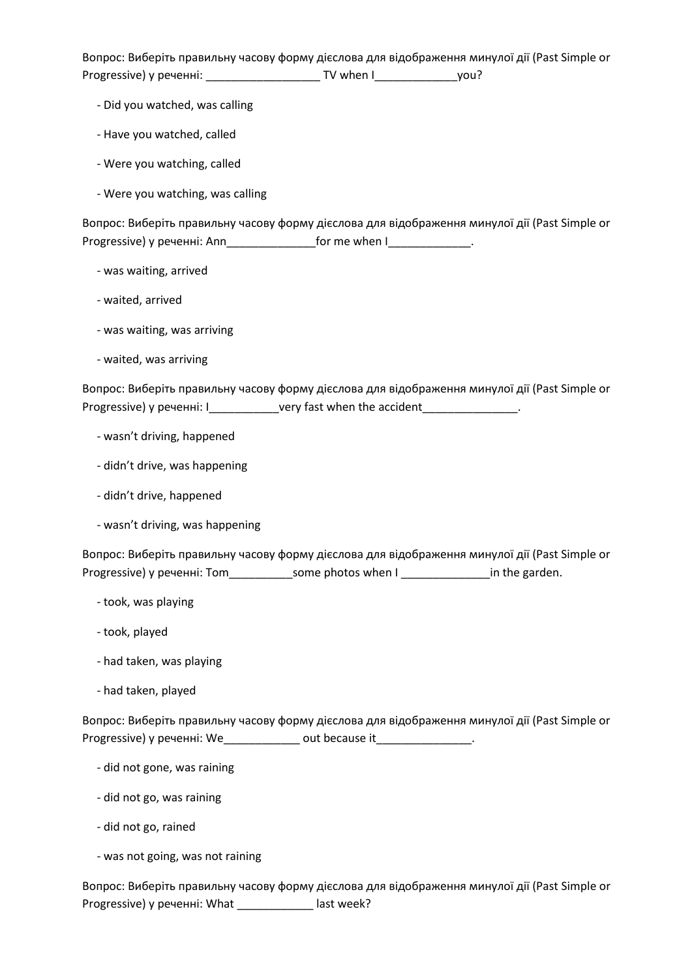Вопрос: Виберіть правильну часову форму дієслова для відображення минулої дії (Past Simple or Progressive) у реченні: \_\_\_\_\_\_\_\_\_\_\_\_\_\_\_\_\_\_ TV when I\_\_\_\_\_\_\_\_\_\_\_\_\_you?

- Did you watched, was calling
- Have you watched, called
- Were you watching, called
- Were you watching, was calling

Вопрос: Виберіть правильну часову форму дієслова для відображення минулої дії (Past Simple or Progressive) у реченні: Ann\_\_\_\_\_\_\_\_\_\_\_\_\_\_\_\_\_\_for me when I\_\_\_\_\_\_\_\_\_\_\_\_\_\_.

- was waiting, arrived
- waited, arrived
- was waiting, was arriving
- waited, was arriving

Вопрос: Виберіть правильну часову форму дієслова для відображення минулої дії (Past Simple or Progressive) у реченні: I\_\_\_\_\_\_\_\_\_\_\_\_\_very fast when the accident\_\_\_\_\_\_\_\_\_\_\_\_\_\_\_.

- wasn't driving, happened
- didn't drive, was happening
- didn't drive, happened
- wasn't driving, was happening

Вопрос: Виберіть правильну часову форму дієслова для відображення минулої дії (Past Simple or Progressive) у реченні: Tom\_\_\_\_\_\_\_\_\_\_\_\_\_some photos when I \_\_\_\_\_\_\_\_\_\_\_\_\_\_\_\_\_\_in the garden.

- took, was playing
- took, played
- had taken, was playing
- had taken, played

Вопрос: Виберіть правильну часову форму дієслова для відображення минулої дії (Past Simple or Progressive) у реченні: We\_\_\_\_\_\_\_\_\_\_\_\_\_\_ out because it\_\_\_\_\_\_\_\_\_\_\_\_\_\_\_\_.

- did not gone, was raining
- did not go, was raining
- did not go, rained

- was not going, was not raining

Вопрос: Виберіть правильну часову форму дієслова для відображення минулої дії (Past Simple or Progressive) у реченні: What \_\_\_\_\_\_\_\_\_\_\_\_ last week?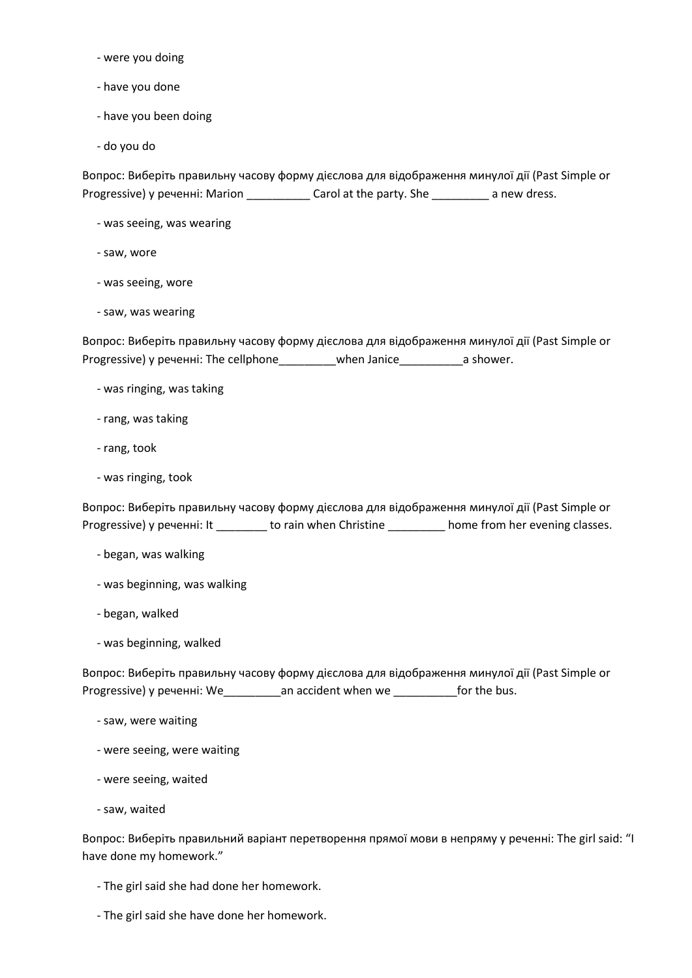- were you doing
- have you done
- have you been doing
- do you do

Вопрос: Виберіть правильну часову форму дієслова для відображення минулої дії (Past Simple or Progressive) у реченні: Marion \_\_\_\_\_\_\_\_\_\_\_\_ Carol at the party. She \_\_\_\_\_\_\_\_\_\_ a new dress.

- was seeing, was wearing
- saw, wore
- was seeing, wore
- saw, was wearing

Вопрос: Виберіть правильну часову форму дієслова для відображення минулої дії (Past Simple or Progressive) у реченні: The cellphone\_\_\_\_\_\_\_\_\_when Janice\_\_\_\_\_\_\_\_\_\_a shower.

- was ringing, was taking
- rang, was taking
- rang, took
- was ringing, took

Вопрос: Виберіть правильну часову форму дієслова для відображення минулої дії (Past Simple or Progressive) у реченні: It \_\_\_\_\_\_\_\_ to rain when Christine \_\_\_\_\_\_\_\_\_ home from her evening classes.

- began, was walking
- was beginning, was walking
- began, walked
- was beginning, walked

Вопрос: Виберіть правильну часову форму дієслова для відображення минулої дії (Past Simple or Progressive) у реченні: We\_\_\_\_\_\_\_\_\_an accident when we \_\_\_\_\_\_\_\_\_\_for the bus.

- saw, were waiting
- were seeing, were waiting
- were seeing, waited
- saw, waited

Вопрос: Виберіть правильний варіант перетворення прямої мови в непряму у реченні: The girl said: "I have done my homework."

- The girl said she had done her homework.
- The girl said she have done her homework.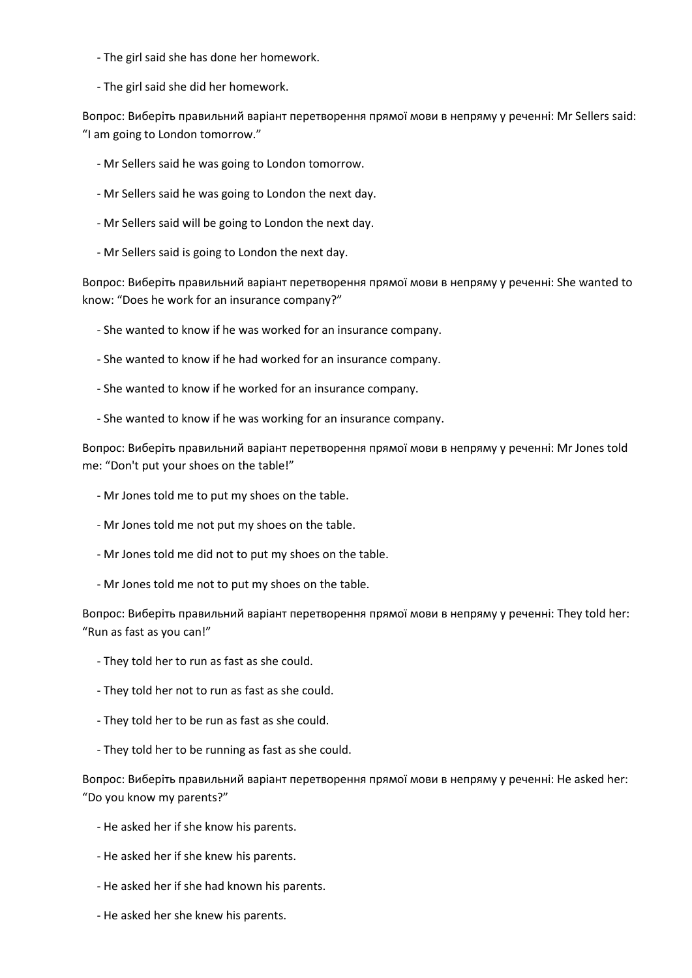- The girl said she has done her homework.
- The girl said she did her homework.

Вопрос: Виберіть правильний варіант перетворення прямої мови в непряму у реченні: Mr Sellers said: "I am going to London tomorrow."

- Mr Sellers said he was going to London tomorrow.
- Mr Sellers said he was going to London the next day.
- Mr Sellers said will be going to London the next day.
- Mr Sellers said is going to London the next day.

Вопрос: Виберіть правильний варіант перетворення прямої мови в непряму у реченні: She wanted to know: "Does he work for an insurance company?"

- She wanted to know if he was worked for an insurance company.
- She wanted to know if he had worked for an insurance company.
- She wanted to know if he worked for an insurance company.
- She wanted to know if he was working for an insurance company.

Вопрос: Виберіть правильний варіант перетворення прямої мови в непряму у реченні: Mr Jones told me: "Don't put your shoes on the table!"

- Mr Jones told me to put my shoes on the table.
- Mr Jones told me not put my shoes on the table.
- Mr Jones told me did not to put my shoes on the table.
- Mr Jones told me not to put my shoes on the table.

Вопрос: Виберіть правильний варіант перетворення прямої мови в непряму у реченні: They told her: "Run as fast as you can!"

- They told her to run as fast as she could.
- They told her not to run as fast as she could.
- They told her to be run as fast as she could.
- They told her to be running as fast as she could.

Вопрос: Виберіть правильний варіант перетворення прямої мови в непряму у реченні: He asked her: "Do you know my parents?"

- He asked her if she know his parents.
- He asked her if she knew his parents.
- He asked her if she had known his parents.
- He asked her she knew his parents.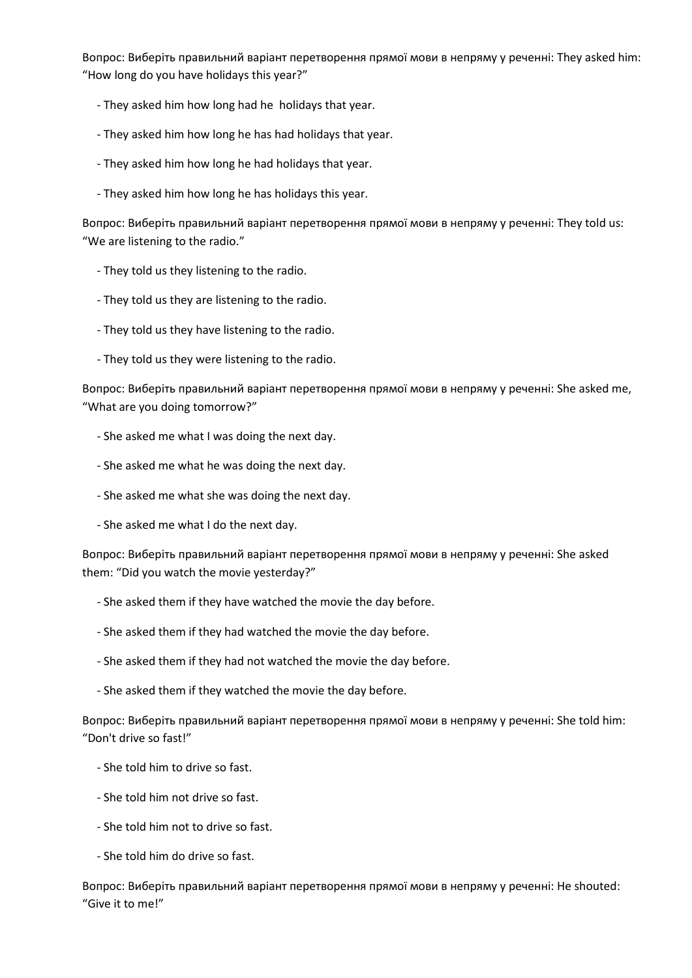Вопрос: Виберіть правильний варіант перетворення прямої мови в непряму у реченні: They asked him: "How long do you have holidays this year?"

- They asked him how long had he holidays that year.
- They asked him how long he has had holidays that year.
- They asked him how long he had holidays that year.
- They asked him how long he has holidays this year.

Вопрос: Виберіть правильний варіант перетворення прямої мови в непряму у реченні: They told us: "We are listening to the radio."

- They told us they listening to the radio.
- They told us they are listening to the radio.
- They told us they have listening to the radio.
- They told us they were listening to the radio.

Вопрос: Виберіть правильний варіант перетворення прямої мови в непряму у реченні: She asked me, "What are you doing tomorrow?"

- She asked me what I was doing the next day.
- She asked me what he was doing the next day.
- She asked me what she was doing the next day.
- She asked me what I do the next day.

Вопрос: Виберіть правильний варіант перетворення прямої мови в непряму у реченні: She asked them: "Did you watch the movie yesterday?"

- She asked them if they have watched the movie the day before.
- She asked them if they had watched the movie the day before.
- She asked them if they had not watched the movie the day before.
- She asked them if they watched the movie the day before.

Вопрос: Виберіть правильний варіант перетворення прямої мови в непряму у реченні: She told him: "Don't drive so fast!"

- She told him to drive so fast.
- She told him not drive so fast.
- She told him not to drive so fast.
- She told him do drive so fast.

Вопрос: Виберіть правильний варіант перетворення прямої мови в непряму у реченні: He shouted: "Give it to me!"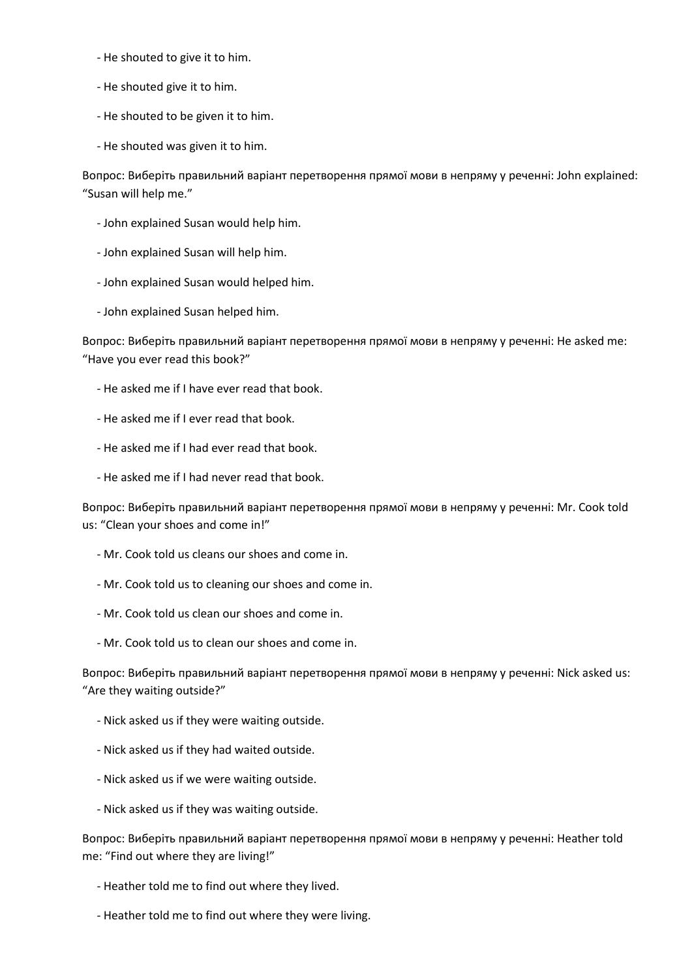- He shouted to give it to him.
- He shouted give it to him.
- He shouted to be given it to him.
- He shouted was given it to him.

Вопрос: Виберіть правильний варіант перетворення прямої мови в непряму у реченні: John explained: "Susan will help me."

- John explained Susan would help him.
- John explained Susan will help him.
- John explained Susan would helped him.
- John explained Susan helped him.

Вопрос: Виберіть правильний варіант перетворення прямої мови в непряму у реченні: He asked me: "Have you ever read this book?"

- He asked me if I have ever read that book.
- He asked me if I ever read that book.
- He asked me if I had ever read that book.
- He asked me if I had never read that book.

Вопрос: Виберіть правильний варіант перетворення прямої мови в непряму у реченні: Mr. Cook told us: "Clean your shoes and come in!"

- Mr. Cook told us cleans our shoes and come in.
- Mr. Cook told us to cleaning our shoes and come in.
- Mr. Cook told us clean our shoes and come in.
- Mr. Cook told us to clean our shoes and come in.

Вопрос: Виберіть правильний варіант перетворення прямої мови в непряму у реченні: Nick asked us: "Are they waiting outside?"

- Nick asked us if they were waiting outside.
- Nick asked us if they had waited outside.
- Nick asked us if we were waiting outside.
- Nick asked us if they was waiting outside.

Вопрос: Виберіть правильний варіант перетворення прямої мови в непряму у реченні: Heather told me: "Find out where they are living!"

- Heather told me to find out where they lived.
- Heather told me to find out where they were living.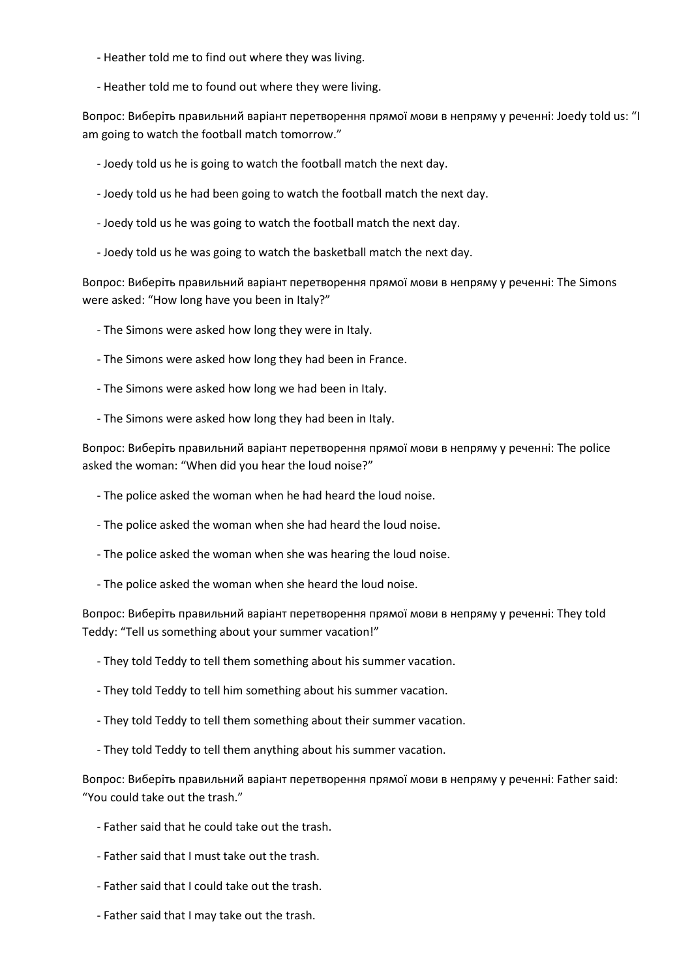- Heather told me to find out where they was living.

- Heather told me to found out where they were living.

Вопрос: Виберіть правильний варіант перетворення прямої мови в непряму у реченні: Joedy told us: "I am going to watch the football match tomorrow."

- Joedy told us he is going to watch the football match the next day.
- Joedy told us he had been going to watch the football match the next day.
- Joedy told us he was going to watch the football match the next day.
- Joedy told us he was going to watch the basketball match the next day.

Вопрос: Виберіть правильний варіант перетворення прямої мови в непряму у реченні: The Simons were asked: "How long have you been in Italy?"

- The Simons were asked how long they were in Italy.
- The Simons were asked how long they had been in France.
- The Simons were asked how long we had been in Italy.
- The Simons were asked how long they had been in Italy.

Вопрос: Виберіть правильний варіант перетворення прямої мови в непряму у реченні: The police asked the woman: "When did you hear the loud noise?"

- The police asked the woman when he had heard the loud noise.
- The police asked the woman when she had heard the loud noise.
- The police asked the woman when she was hearing the loud noise.
- The police asked the woman when she heard the loud noise.

Вопрос: Виберіть правильний варіант перетворення прямої мови в непряму у реченні: They told Teddy: "Tell us something about your summer vacation!"

- They told Teddy to tell them something about his summer vacation.
- They told Teddy to tell him something about his summer vacation.
- They told Teddy to tell them something about their summer vacation.
- They told Teddy to tell them anything about his summer vacation.

Вопрос: Виберіть правильний варіант перетворення прямої мови в непряму у реченні: Father said: "You could take out the trash."

- Father said that he could take out the trash.
- Father said that I must take out the trash.
- Father said that I could take out the trash.
- Father said that I may take out the trash.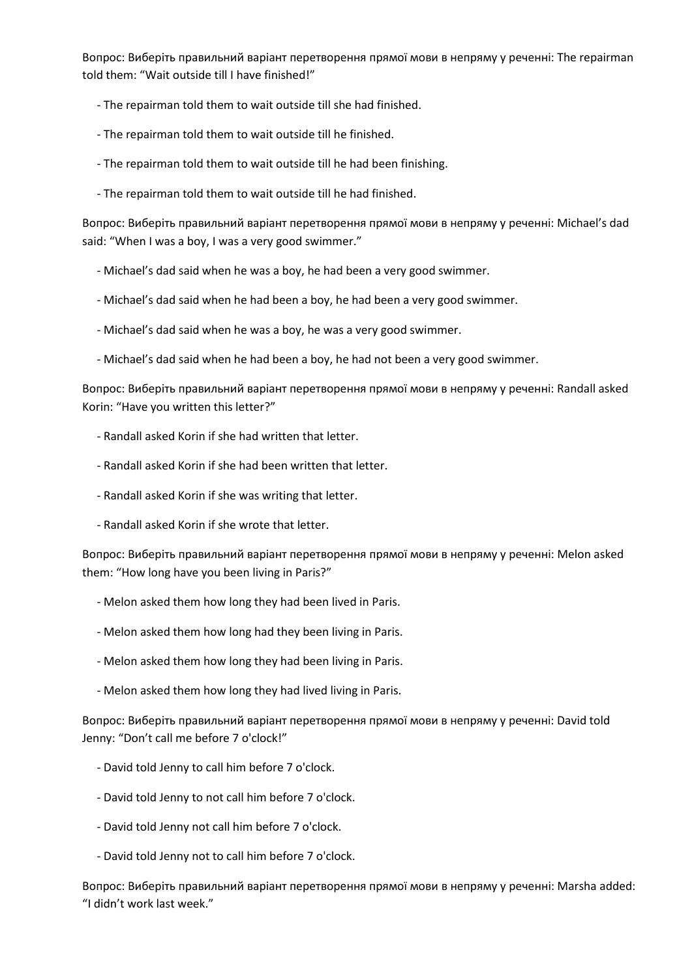Вопрос: Виберіть правильний варіант перетворення прямої мови в непряму у реченні: The repairman told them: "Wait outside till I have finished!"

- The repairman told them to wait outside till she had finished.
- The repairman told them to wait outside till he finished.
- The repairman told them to wait outside till he had been finishing.
- The repairman told them to wait outside till he had finished.

Вопрос: Виберіть правильний варіант перетворення прямої мови в непряму у реченні: Michael's dad said: "When I was a boy, I was a very good swimmer."

- Michael's dad said when he was a boy, he had been a very good swimmer.
- Michael's dad said when he had been a boy, he had been a very good swimmer.
- Michael's dad said when he was a boy, he was a very good swimmer.
- Michael's dad said when he had been a boy, he had not been a very good swimmer.

Вопрос: Виберіть правильний варіант перетворення прямої мови в непряму у реченні: Randall asked Korin: "Have you written this letter?"

- Randall asked Korin if she had written that letter.
- Randall asked Korin if she had been written that letter.
- Randall asked Korin if she was writing that letter.
- Randall asked Korin if she wrote that letter.

Вопрос: Виберіть правильний варіант перетворення прямої мови в непряму у реченні: Melon asked them: "How long have you been living in Paris?"

- Melon asked them how long they had been lived in Paris.
- Melon asked them how long had they been living in Paris.
- Melon asked them how long they had been living in Paris.
- Melon asked them how long they had lived living in Paris.

Вопрос: Виберіть правильний варіант перетворення прямої мови в непряму у реченні: David told Jenny: "Don't call me before 7 o'clock!"

- David told Jenny to call him before 7 o'clock.
- David told Jenny to not call him before 7 o'clock.
- David told Jenny not call him before 7 o'clock.
- David told Jenny not to call him before 7 o'clock.

Вопрос: Виберіть правильний варіант перетворення прямої мови в непряму у реченні: Marsha added: "I didn't work last week."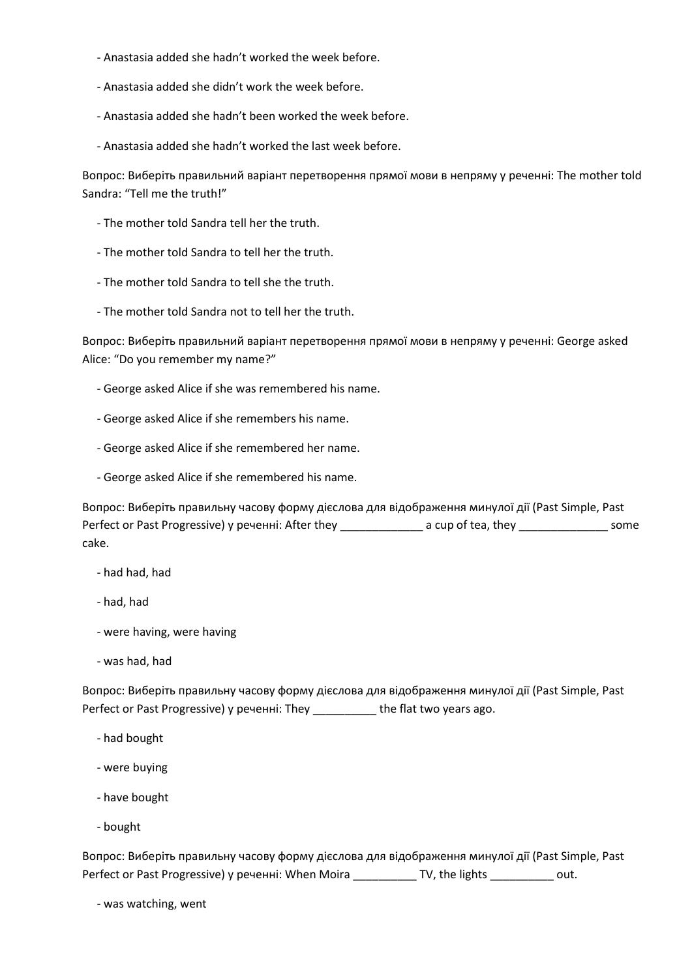- Anastasia added she hadn't worked the week before.
- Anastasia added she didn't work the week before.
- Anastasia added she hadn't been worked the week before.
- Anastasia added she hadn't worked the last week before.

Вопрос: Виберіть правильний варіант перетворення прямої мови в непряму у реченні: The mother told Sandra: "Tell me the truth!"

- The mother told Sandra tell her the truth.
- The mother told Sandra to tell her the truth.
- The mother told Sandra to tell she the truth.
- The mother told Sandra not to tell her the truth.

Вопрос: Виберіть правильний варіант перетворення прямої мови в непряму у реченні: George asked Alice: "Do you remember my name?"

- George asked Alice if she was remembered his name.
- George asked Alice if she remembers his name.
- George asked Alice if she remembered her name.
- George asked Alice if she remembered his name.

Вопрос: Виберіть правильну часову форму дієслова для відображення минулої дії (Past Simple, Past Perfect or Past Progressive) у реченні: After they \_\_\_\_\_\_\_\_\_\_\_\_\_\_\_\_ a cup of tea, they \_\_\_\_\_\_\_\_\_\_\_\_\_\_\_\_\_ some cake.

- had had, had
- had, had
- were having, were having
- was had, had

Вопрос: Виберіть правильну часову форму дієслова для відображення минулої дії (Past Simple, Past Perfect or Past Progressive) у реченні: They \_\_\_\_\_\_\_\_\_\_ the flat two years ago.

- had bought
- were buying
- have bought
- bought

Вопрос: Виберіть правильну часову форму дієслова для відображення минулої дії (Past Simple, Past Perfect or Past Progressive) у реченні: When Moira \_\_\_\_\_\_\_\_\_\_ TV, the lights \_\_\_\_\_\_\_\_\_\_ out.

- was watching, went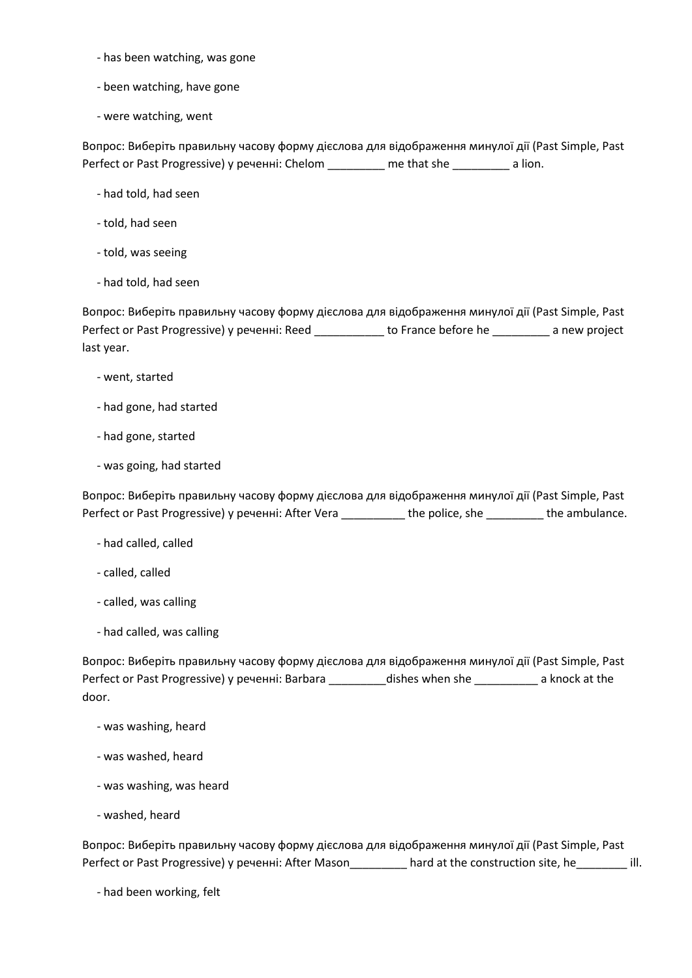- has been watching, was gone
- been watching, have gone
- were watching, went

Вопрос: Виберіть правильну часову форму дієслова для відображення минулої дії (Past Simple, Past Perfect or Past Progressive) у реченні: Chelom \_\_\_\_\_\_\_\_\_ me that she \_\_\_\_\_\_\_\_\_ a lion.

- had told, had seen
- told, had seen
- told, was seeing
- had told, had seen

Вопрос: Виберіть правильну часову форму дієслова для відображення минулої дії (Past Simple, Past Perfect or Past Progressive) у реченні: Reed \_\_\_\_\_\_\_\_\_\_\_ to France before he \_\_\_\_\_\_\_\_\_ a new project last year.

- went, started
- had gone, had started
- had gone, started
- was going, had started

Вопрос: Виберіть правильну часову форму дієслова для відображення минулої дії (Past Simple, Past Perfect or Past Progressive) у реченні: After Vera \_\_\_\_\_\_\_\_\_\_ the police, she \_\_\_\_\_\_\_\_\_ the ambulance.

- had called, called
- called, called
- called, was calling
- had called, was calling

Вопрос: Виберіть правильну часову форму дієслова для відображення минулої дії (Past Simple, Past Perfect or Past Progressive) у реченні: Barbara \_\_\_\_\_\_\_\_\_dishes when she \_\_\_\_\_\_\_\_\_\_ a knock at the door.

- was washing, heard
- was washed, heard
- was washing, was heard
- washed, heard

Вопрос: Виберіть правильну часову форму дієслова для відображення минулої дії (Past Simple, Past Perfect or Past Progressive) у реченні: After Mason\_\_\_\_\_\_\_\_\_ hard at the construction site, he\_\_\_\_\_\_\_\_ ill.

- had been working, felt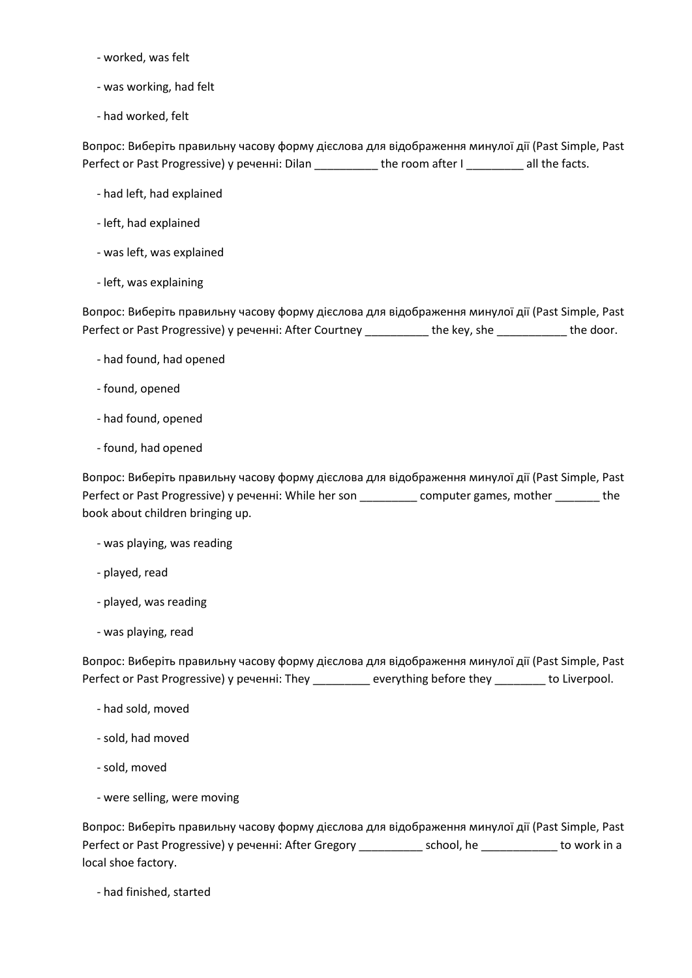- worked, was felt
- was working, had felt
- had worked, felt

Вопрос: Виберіть правильну часову форму дієслова для відображення минулої дії (Past Simple, Past Perfect or Past Progressive) у реченні: Dilan \_\_\_\_\_\_\_\_\_\_ the room after I \_\_\_\_\_\_\_\_ all the facts.

- had left, had explained
- left, had explained
- was left, was explained
- left, was explaining

Вопрос: Виберіть правильну часову форму дієслова для відображення минулої дії (Past Simple, Past Perfect or Past Progressive) у реченні: After Courtney \_\_\_\_\_\_\_\_\_\_ the key, she \_\_\_\_\_\_\_\_\_\_\_ the door.

- had found, had opened
- found, opened
- had found, opened
- found, had opened

Вопрос: Виберіть правильну часову форму дієслова для відображення минулої дії (Past Simple, Past Perfect or Past Progressive) у реченні: While her son \_\_\_\_\_\_\_\_\_ computer games, mother \_\_\_\_\_\_\_ the book about children bringing up.

- was playing, was reading
- played, read
- played, was reading
- was playing, read

Вопрос: Виберіть правильну часову форму дієслова для відображення минулої дії (Past Simple, Past Perfect or Past Progressive) у реченні: They \_\_\_\_\_\_\_\_ everything before they \_\_\_\_\_\_\_\_ to Liverpool.

- had sold, moved
- sold, had moved
- sold, moved
- were selling, were moving

Вопрос: Виберіть правильну часову форму дієслова для відображення минулої дії (Past Simple, Past Perfect or Past Progressive) у реченні: After Gregory \_\_\_\_\_\_\_\_\_\_ school, he \_\_\_\_\_\_\_\_\_\_\_\_ to work in a local shoe factory.

- had finished, started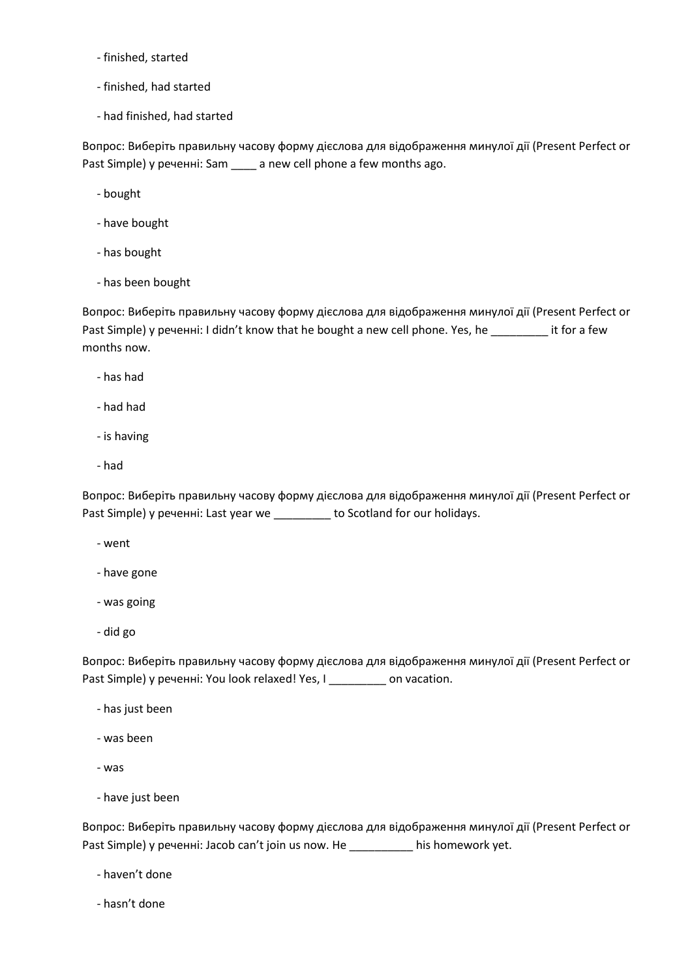- finished, started
- finished, had started
- had finished, had started

Вопрос: Виберіть правильну часову форму дієслова для відображення минулої дії (Present Perfect or Past Simple) у реченні: Sam \_\_\_\_ a new cell phone a few months ago.

- bought
- have bought
- has bought
- has been bought

Вопрос: Виберіть правильну часову форму дієслова для відображення минулої дії (Present Perfect or Past Simple) у реченні: I didn't know that he bought a new cell phone. Yes, he \_\_\_\_\_\_\_\_\_ it for a few months now.

- has had
- had had
- is having
- had

Вопрос: Виберіть правильну часову форму дієслова для відображення минулої дії (Present Perfect or Past Simple) у реченні: Last year we \_\_\_\_\_\_\_\_\_ to Scotland for our holidays.

- went
- have gone
- was going
- did go

Вопрос: Виберіть правильну часову форму дієслова для відображення минулої дії (Present Perfect or Past Simple) у реченні: You look relaxed! Yes, I \_\_\_\_\_\_\_\_\_ on vacation.

- has just been
- was been
- was
- have just been

Вопрос: Виберіть правильну часову форму дієслова для відображення минулої дії (Present Perfect or Past Simple) у реченні: Jacob can't join us now. He \_\_\_\_\_\_\_\_\_\_ his homework yet.

- haven't done
- hasn't done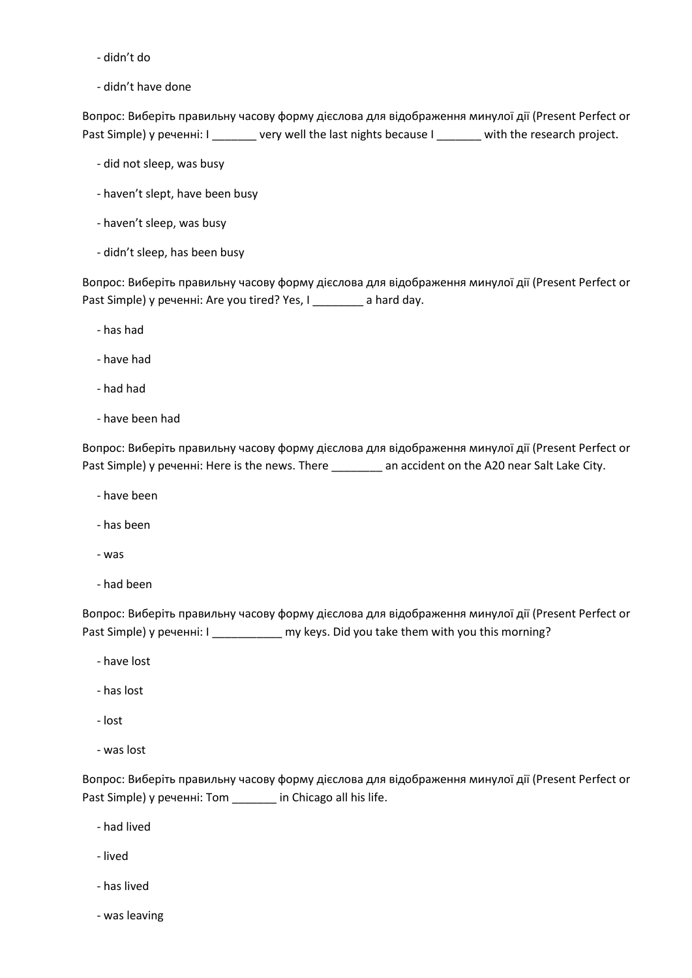- didn't do

- didn't have done

Вопрос: Виберіть правильну часову форму дієслова для відображення минулої дії (Present Perfect or Past Simple) у реченні: I \_\_\_\_\_\_\_ very well the last nights because I \_\_\_\_\_\_ with the research project.

- did not sleep, was busy
- haven't slept, have been busy
- haven't sleep, was busy
- didn't sleep, has been busy

Вопрос: Виберіть правильну часову форму дієслова для відображення минулої дії (Present Perfect or Past Simple) у реченні: Are you tired? Yes, I \_\_\_\_\_\_\_\_ a hard day.

- has had
- have had
- had had
- have been had

Вопрос: Виберіть правильну часову форму дієслова для відображення минулої дії (Present Perfect or Past Simple) у реченні: Here is the news. There \_\_\_\_\_\_\_\_ an accident on the A20 near Salt Lake City.

- have been
- has been
- was
- had been

Вопрос: Виберіть правильну часову форму дієслова для відображення минулої дії (Present Perfect or Past Simple) у реченні: I \_\_\_\_\_\_\_\_\_\_\_\_ my keys. Did you take them with you this morning?

- have lost
- has lost
- lost
- was lost

Вопрос: Виберіть правильну часову форму дієслова для відображення минулої дії (Present Perfect or Past Simple) у реченні: Tom \_\_\_\_\_\_\_ in Chicago all his life.

- had lived
- lived
- has lived
- was leaving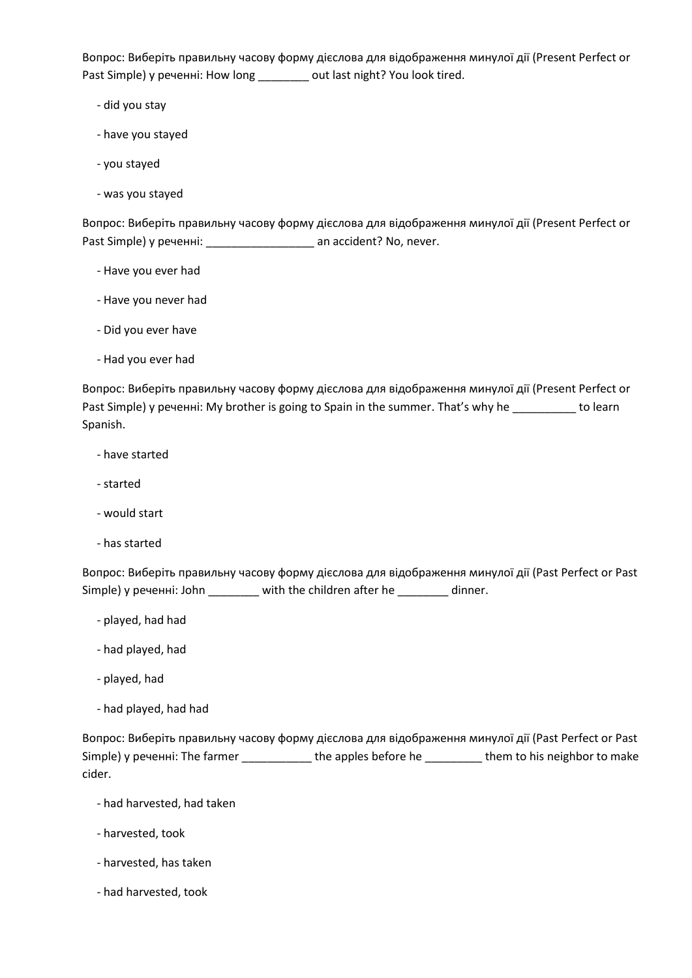Вопрос: Виберіть правильну часову форму дієслова для відображення минулої дії (Present Perfect or Past Simple) у реченні: How long \_\_\_\_\_\_\_\_ out last night? You look tired.

- did you stay
- have you stayed
- you stayed
- was you stayed

Вопрос: Виберіть правильну часову форму дієслова для відображення минулої дії (Present Perfect or Past Simple) у реченні: \_\_\_\_\_\_\_\_\_\_\_\_\_\_\_\_\_\_\_\_\_\_\_\_ an accident? No, never.

- Have you ever had
- Have you never had
- Did you ever have
- Had you ever had

Вопрос: Виберіть правильну часову форму дієслова для відображення минулої дії (Present Perfect or Past Simple) у реченні: My brother is going to Spain in the summer. That's why he \_\_\_\_\_\_\_\_\_\_ to learn Spanish.

- have started
- started
- would start
- has started

Вопрос: Виберіть правильну часову форму дієслова для відображення минулої дії (Past Perfect or Past Simple) у реченні: John \_\_\_\_\_\_\_\_ with the children after he \_\_\_\_\_\_\_\_ dinner.

- played, had had
- had played, had
- played, had
- had played, had had

Вопрос: Виберіть правильну часову форму дієслова для відображення минулої дії (Past Perfect or Past Simple) у реченні: The farmer \_\_\_\_\_\_\_\_\_\_\_ the apples before he \_\_\_\_\_\_\_\_\_ them to his neighbor to make cider.

- had harvested, had taken
- harvested, took
- harvested, has taken
- had harvested, took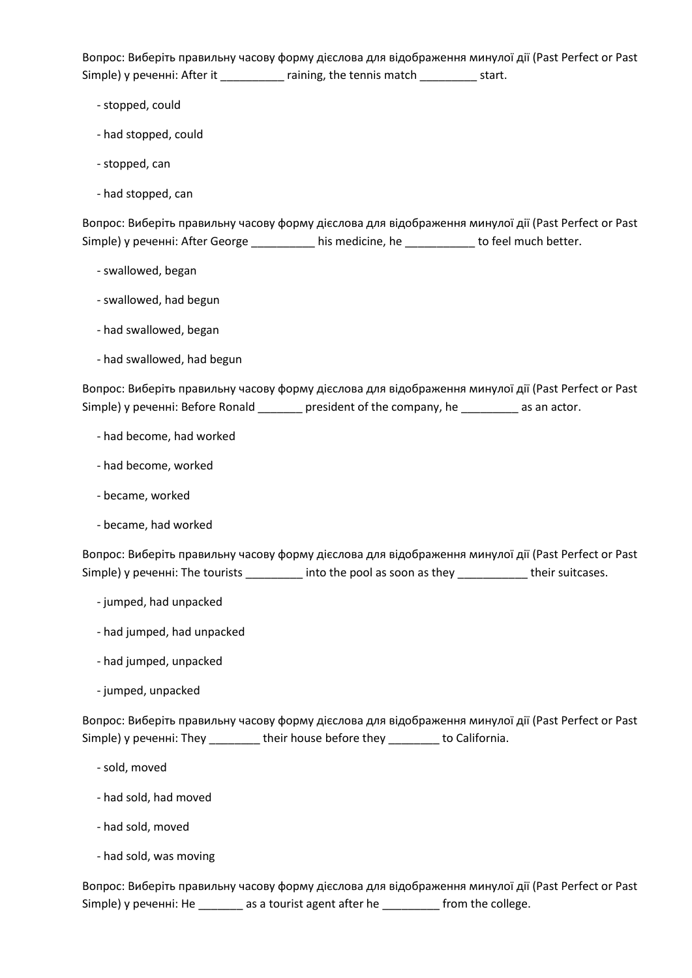Вопрос: Виберіть правильну часову форму дієслова для відображення минулої дії (Past Perfect or Past Simple) у реченні: After it \_\_\_\_\_\_\_\_\_\_ raining, the tennis match \_\_\_\_\_\_\_\_\_ start.

- stopped, could
- had stopped, could
- stopped, can
- had stopped, can

Вопрос: Виберіть правильну часову форму дієслова для відображення минулої дії (Past Perfect or Past Simple) у реченні: After George \_\_\_\_\_\_\_\_\_\_ his medicine, he \_\_\_\_\_\_\_\_\_\_\_ to feel much better.

- swallowed, began
- swallowed, had begun
- had swallowed, began
- had swallowed, had begun

Вопрос: Виберіть правильну часову форму дієслова для відображення минулої дії (Past Perfect or Past Simple) у реченні: Before Ronald \_\_\_\_\_\_\_ president of the company, he \_\_\_\_\_\_\_\_\_ as an actor.

- had become, had worked
- had become, worked
- became, worked
- became, had worked

Вопрос: Виберіть правильну часову форму дієслова для відображення минулої дії (Past Perfect or Past Simple) у реченні: The tourists \_\_\_\_\_\_\_\_\_\_ into the pool as soon as they \_\_\_\_\_\_\_\_\_\_\_\_ their suitcases.

- jumped, had unpacked
- had jumped, had unpacked
- had jumped, unpacked
- jumped, unpacked

Вопрос: Виберіть правильну часову форму дієслова для відображення минулої дії (Past Perfect or Past Simple) у реченні: They \_\_\_\_\_\_\_\_ their house before they \_\_\_\_\_\_\_\_ to California.

- sold, moved
- had sold, had moved
- had sold, moved
- had sold, was moving

Вопрос: Виберіть правильну часову форму дієслова для відображення минулої дії (Past Perfect or Past Simple) у реченні: He \_\_\_\_\_\_\_ as a tourist agent after he \_\_\_\_\_\_\_\_ from the college.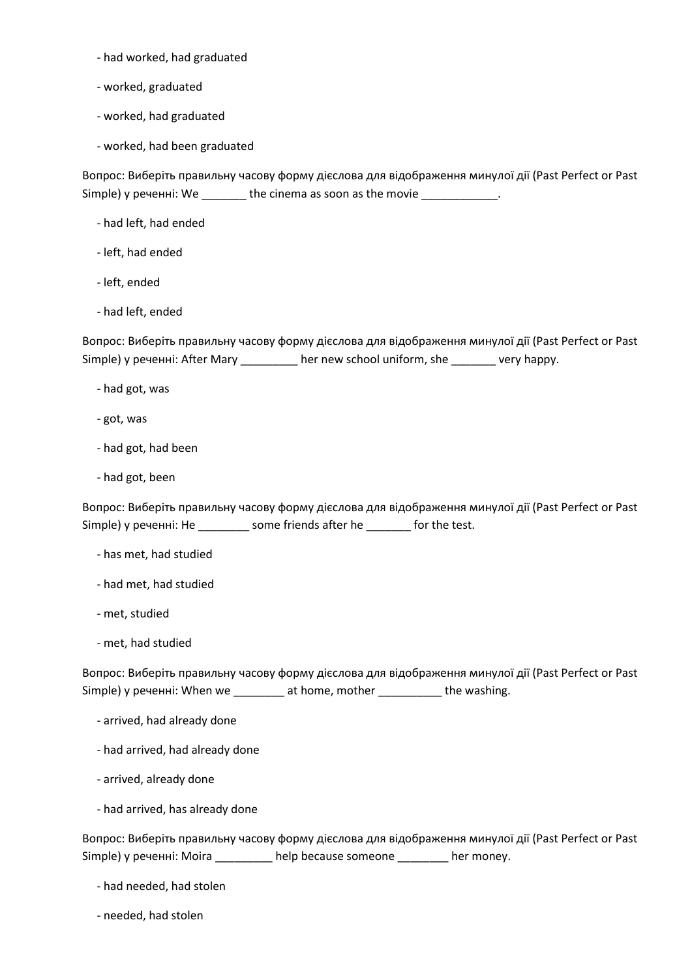- had worked, had graduated
- worked, graduated
- worked, had graduated
- worked, had been graduated

Вопрос: Виберіть правильну часову форму дієслова для відображення минулої дії (Past Perfect or Past Simple) у реченні: We \_\_\_\_\_\_\_\_ the cinema as soon as the movie \_\_\_\_\_\_\_\_\_\_\_\_.

- had left, had ended
- left, had ended
- left, ended
- had left, ended

Вопрос: Виберіть правильну часову форму дієслова для відображення минулої дії (Past Perfect or Past Simple) у реченні: After Mary \_\_\_\_\_\_\_\_\_ her new school uniform, she \_\_\_\_\_\_\_ very happy.

- had got, was
- got, was
- had got, had been
- had got, been

Вопрос: Виберіть правильну часову форму дієслова для відображення минулої дії (Past Perfect or Past Simple) у реченні: He \_\_\_\_\_\_\_\_ some friends after he \_\_\_\_\_\_\_ for the test.

- has met, had studied
- had met, had studied
- met, studied
- met, had studied

Вопрос: Виберіть правильну часову форму дієслова для відображення минулої дії (Past Perfect or Past Simple) у реченні: When we \_\_\_\_\_\_\_\_ at home, mother \_\_\_\_\_\_\_\_\_\_\_ the washing.

- arrived, had already done
- had arrived, had already done
- arrived, already done
- had arrived, has already done

Вопрос: Виберіть правильну часову форму дієслова для відображення минулої дії (Past Perfect or Past Simple) у реченні: Moira \_\_\_\_\_\_\_\_\_ help because someone \_\_\_\_\_\_\_\_ her money.

- had needed, had stolen
- needed, had stolen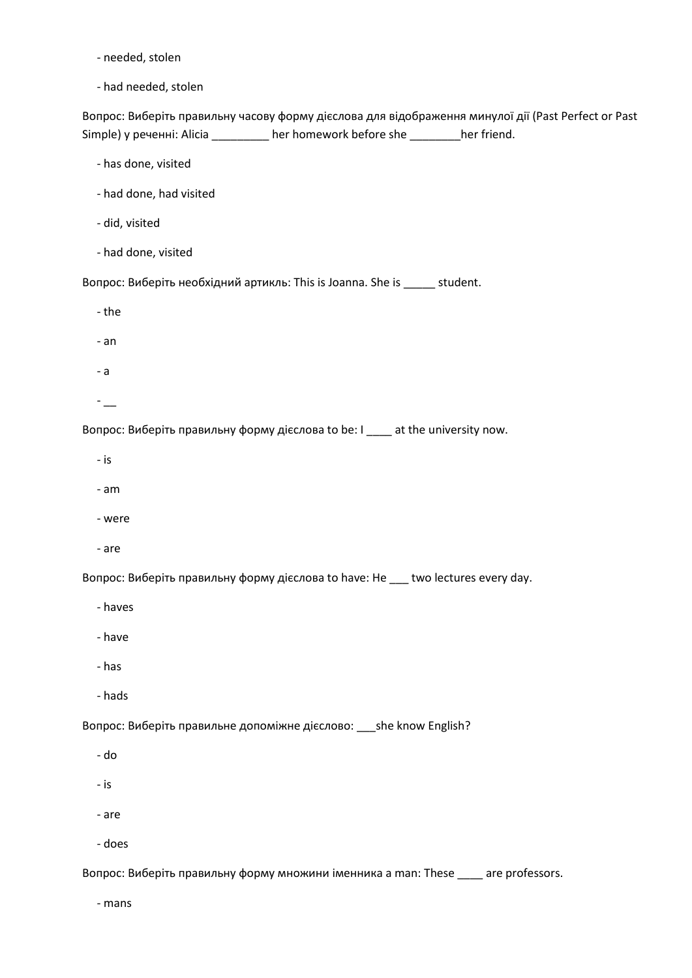- needed, stolen

- had needed, stolen

Вопрос: Виберіть правильну часову форму дієслова для відображення минулої дії (Past Perfect or Past Simple) у реченні: Alicia \_\_\_\_\_\_\_\_\_ her homework before she \_\_\_\_\_\_\_\_her friend.

- has done, visited
- had done, had visited
- did, visited
- had done, visited

Вопрос: Виберіть необхідний артикль: This is Joanna. She is \_\_\_\_\_ student.

- the
- an
- a
- $-$

Вопрос: Виберіть правильну форму дієслова to be: I \_\_\_\_ at the university now.

- is
- am
- were
- are

Вопрос: Виберіть правильну форму дієслова to have: He \_\_\_ two lectures every day.

- haves
- have
- has
- hads

Вопрос: Виберіть правильне допоміжне дієслово: \_\_\_she know English?

- do
- is
- are
- does

Вопрос: Виберіть правильну форму множини іменника a man: These \_\_\_\_ are professors.

- mans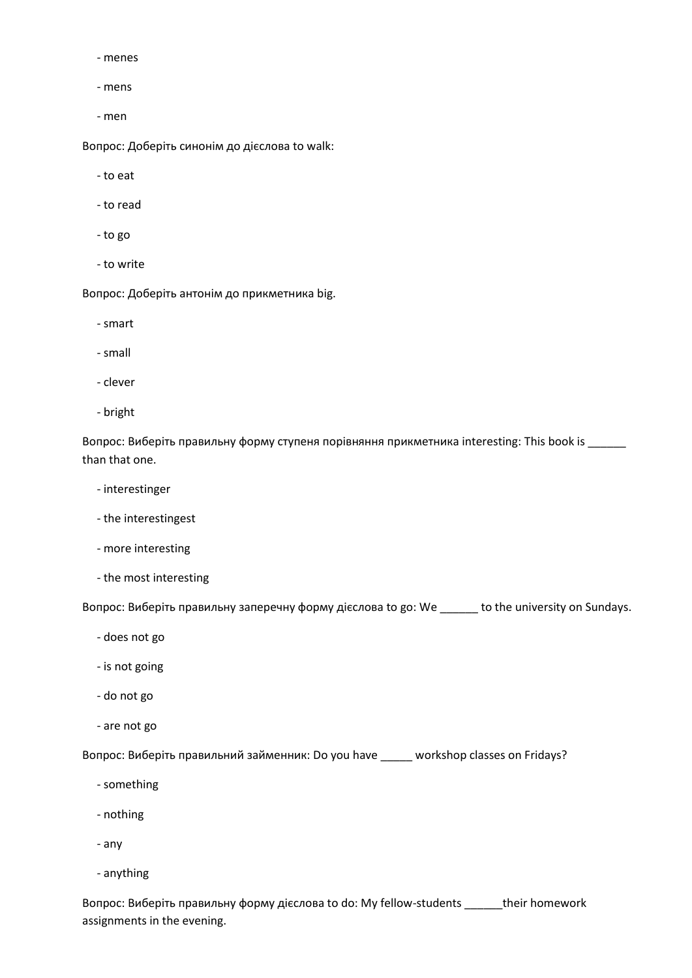- menes
- mens
- men

Вопрос: Доберіть синонім до дієслова to walk:

- to eat
- to read
- to go
- to write

Вопрос: Доберіть антонім до прикметника big.

- smart
- small
- clever
- bright

Вопрос: Виберіть правильну форму ступеня порівняння прикметника interesting: This book is \_\_\_\_\_\_ than that one.

- interestinger
- the interestingest
- more interesting
- the most interesting

Вопрос: Виберіть правильну заперечну форму дієслова to go: We \_\_\_\_\_\_ to the university on Sundays.

- does not go
- is not going
- do not go
- are not go

Вопрос: Виберіть правильний займенник: Do you have \_\_\_\_\_ workshop classes on Fridays?

- something
- nothing
- any
- anything

Вопрос: Виберіть правильну форму дієслова to do: My fellow-students \_\_\_\_\_\_their homework assignments in the evening.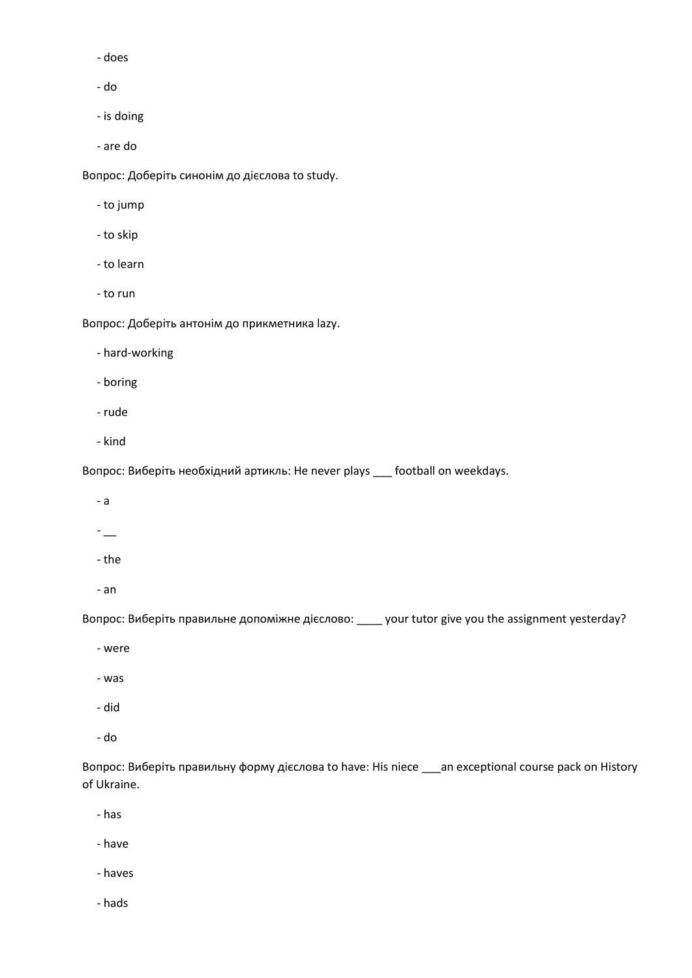- does

- do

- is doing

- are do

Вопрос: Доберіть синонім до дієслова to study.

- to jump

- to skip
- to learn
- to run

Вопрос: Доберіть антонім до прикметника lazy.

- hard-working

- boring

- rude
- kind

Вопрос: Виберіть необхідний артикль: He never plays \_\_\_ football on weekdays.

- a
- $-$
- the
- an

Вопрос: Виберіть правильне допоміжне дієслово: \_\_\_\_ your tutor give you the assignment yesterday?

- were
- was
- did
- do

Вопрос: Виберіть правильну форму дієслова to have: His niece \_\_\_an exceptional course pack on History of Ukraine.

- has
- have
- haves
- hads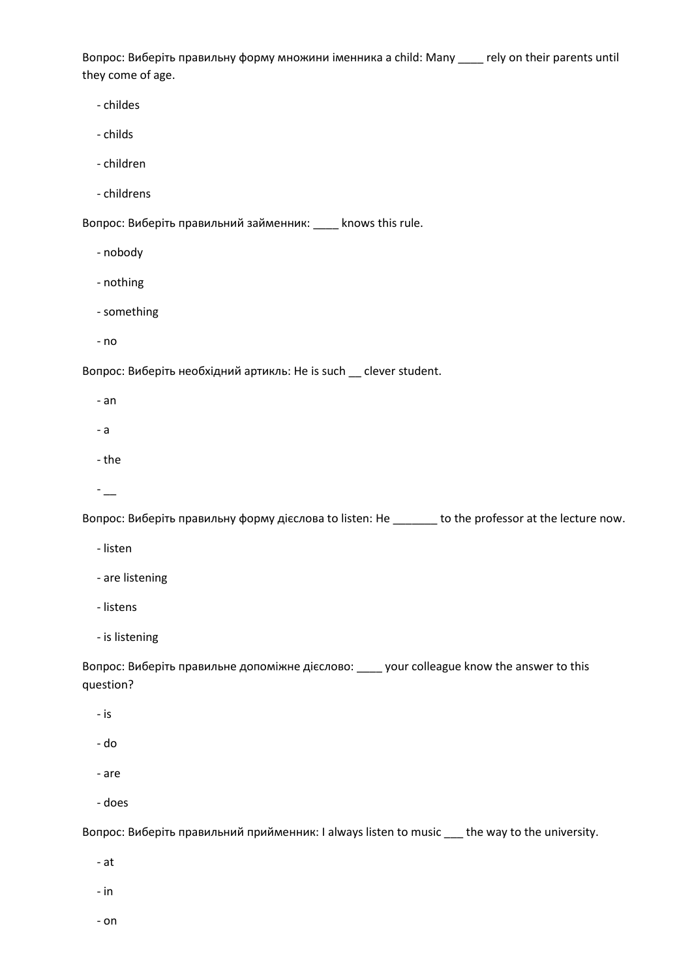Вопрос: Виберіть правильну форму множини іменника a child: Many \_\_\_\_ rely on their parents until they come of age.

- childes
- childs
- children
- childrens

Вопрос: Виберіть правильний займенник: \_\_\_\_ knows this rule.

- nobody
- nothing
- something
- no

Вопрос: Виберіть необхідний артикль: He is such \_\_ clever student.

- an
- a
- the
- $-$

Вопрос: Виберіть правильну форму дієслова to listen: He \_\_\_\_\_\_\_ to the professor at the lecture now.

- listen
- are listening
- listens
- is listening

Вопрос: Виберіть правильне допоміжне дієслово: \_\_\_\_ your colleague know the answer to this question?

- is
- do
- are
- does

Вопрос: Виберіть правильний прийменник: I always listen to music \_\_\_ the way to the university.

- at
- in
- on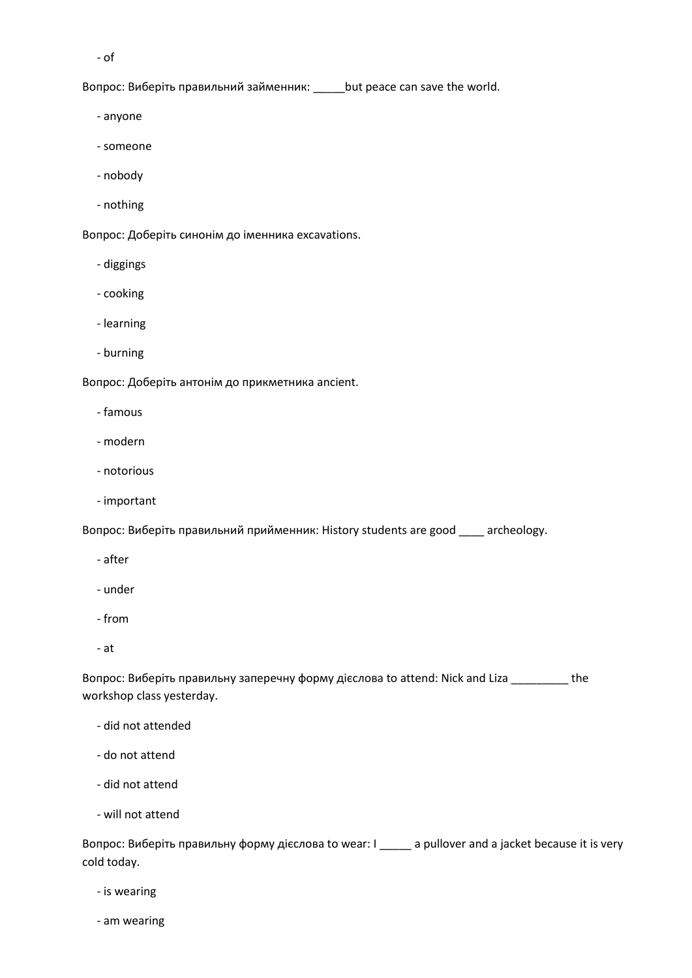- of

Вопрос: Виберіть правильний займенник: \_\_\_\_\_but peace can save the world.

- anyone
- someone
- nobody
- nothing

Вопрос: Доберіть синонім до іменника excavations.

- diggings
- cooking
- learning
- burning

Вопрос: Доберіть антонім до прикметника ancient.

- famous
- modern
- notorious
- important

Вопрос: Виберіть правильний прийменник: History students are good \_\_\_\_ archeology.

- after
- under
- from
- at

Вопрос: Виберіть правильну заперечну форму дієслова to attend: Nick and Liza \_\_\_\_\_\_\_\_\_ the workshop class yesterday.

- did not attended
- do not attend
- did not attend
- will not attend

Вопрос: Виберіть правильну форму дієслова to wear: I \_\_\_\_\_ a pullover and a jacket because it is very cold today.

- is wearing
- am wearing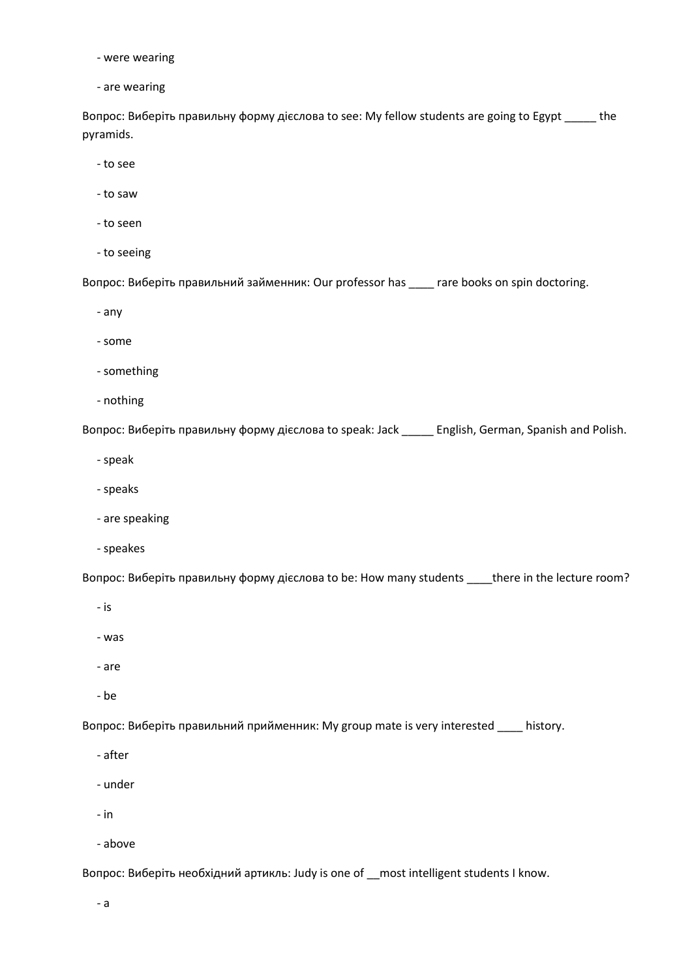- were wearing

- are wearing

Вопрос: Виберіть правильну форму дієслова to see: My fellow students are going to Egypt \_\_\_\_\_ the pyramids.

- to see

- to saw

- to seen

- to seeing

Вопрос: Виберіть правильний займенник: Our professor has \_\_\_\_ rare books on spin doctoring.

- any

- some

- something

- nothing

Вопрос: Виберіть правильну форму дієслова to speak: Jack \_\_\_\_\_ English, German, Spanish and Polish.

- speak

- speaks
- are speaking
- speakes

Вопрос: Виберіть правильну форму дієслова to be: How many students \_\_\_\_there in the lecture room?

- is

- was

- are

- be

Вопрос: Виберіть правильний прийменник: My group mate is very interested \_\_\_\_ history.

- after

- under

- in

- above

Вопрос: Виберіть необхідний артикль: Judy is one of \_\_most intelligent students I know.

- a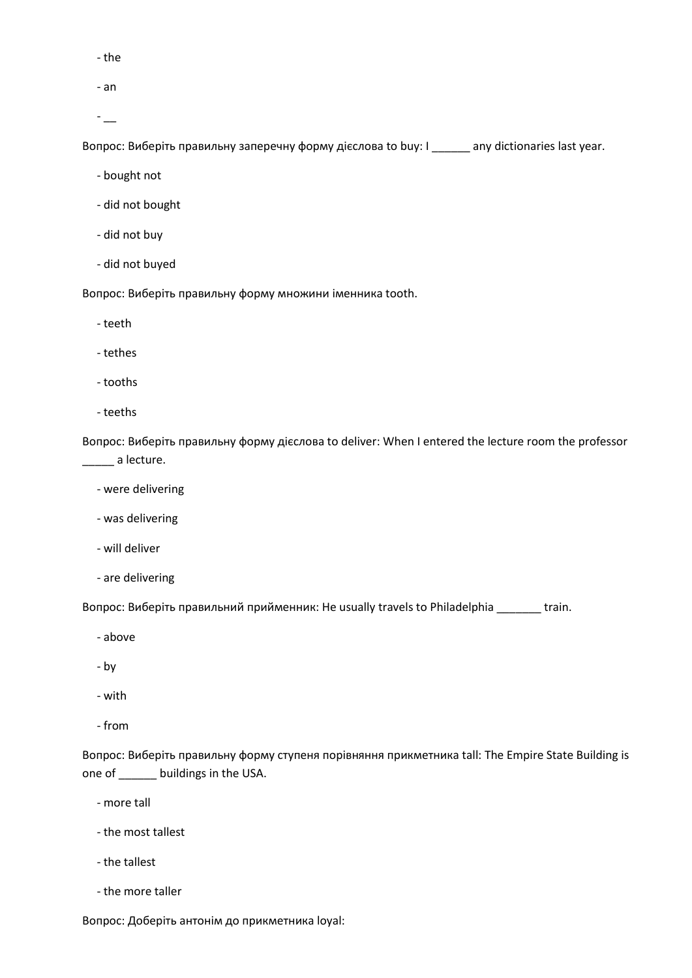- the

- an

 $-$ 

Вопрос: Виберіть правильну заперечну форму дієслова to buy: I \_\_\_\_\_\_ any dictionaries last year.

- bought not
- did not bought
- did not buy
- did not buyed

Вопрос: Виберіть правильну форму множини іменника tooth.

- teeth
- tethes

- tooths

- teeths

Вопрос: Виберіть правильну форму дієслова to deliver: When I entered the lecture room the professor **\_\_\_\_\_** a lecture.

- were delivering
- was delivering
- will deliver
- are delivering

Вопрос: Виберіть правильний прийменник: He usually travels to Philadelphia \_\_\_\_\_\_\_ train.

- above
- by
- with
- from

Вопрос: Виберіть правильну форму ступеня порівняння прикметника tall: The Empire State Building is one of \_\_\_\_\_\_ buildings in the USA.

- more tall

- the most tallest
- the tallest
- the more taller

Вопрос: Доберіть антонім до прикметника loyal: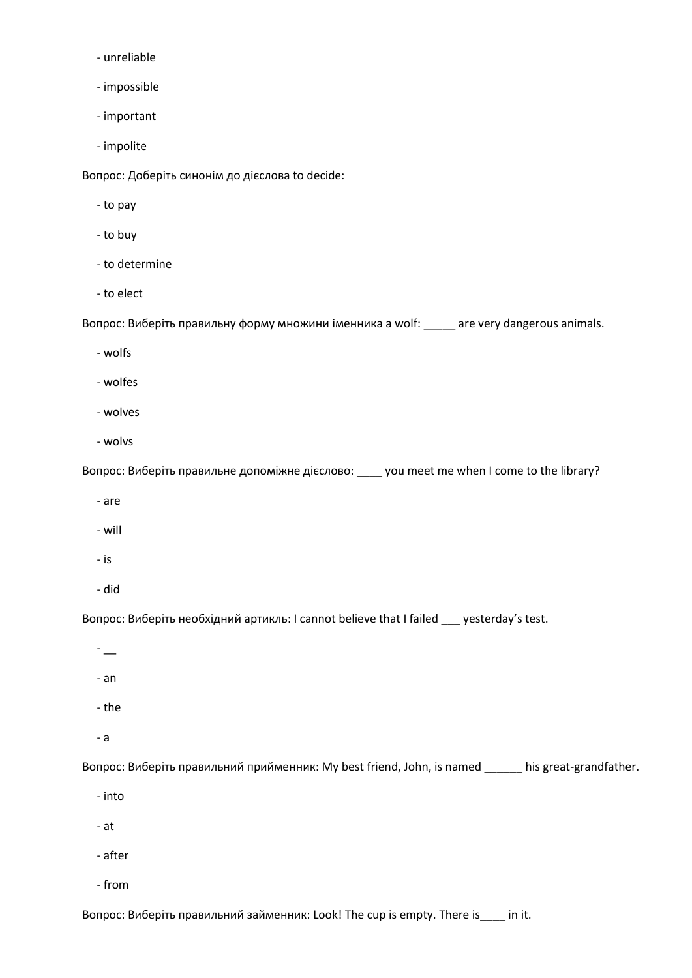- unreliable
- impossible
- important
- impolite

Вопрос: Доберіть синонім до дієслова to decide:

- to pay
- to buy
- to determine
- to elect

Вопрос: Виберіть правильну форму множини іменника a wolf: \_\_\_\_\_ are very dangerous animals.

- wolfs
- wolfes
- wolves
- wolvs

Вопрос: Виберіть правильне допоміжне дієслово: \_\_\_\_ you meet me when I come to the library?

- are
- will
- is
- did

Вопрос: Виберіть необхідний артикль: I cannot believe that I failed \_\_\_ yesterday's test.

- $\overline{\phantom{a}}$
- an
- the
- a

Вопрос: Виберіть правильний прийменник: My best friend, John, is named \_\_\_\_\_\_ his great-grandfather.

- into
- at
- after
- from

Вопрос: Виберіть правильний займенник: Look! The cup is empty. There is\_\_\_\_ in it.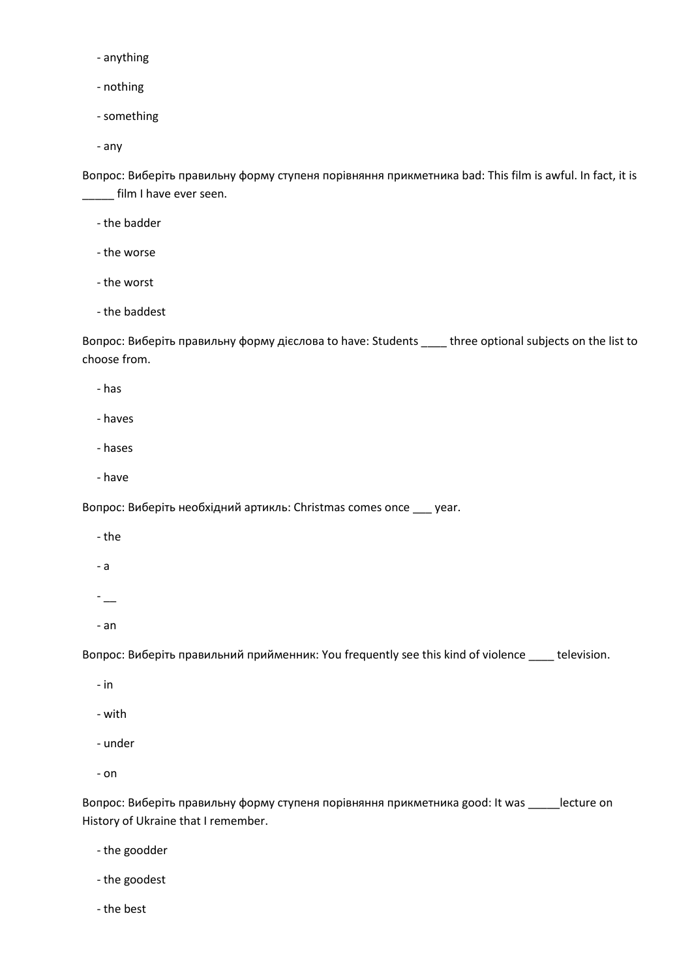- anything

- nothing

- something

- any

Вопрос: Виберіть правильну форму ступеня порівняння прикметника bad: This film is awful. In fact, it is \_\_\_\_\_ film I have ever seen.

- the badder

- the worse

- the worst

- the baddest

Вопрос: Виберіть правильну форму дієслова to have: Students \_\_\_\_ three optional subjects on the list to choose from.

- has

- haves
- hases
- have

Вопрос: Виберіть необхідний артикль: Christmas comes once \_\_\_ year.

- the
- a
- $-$

- an

Вопрос: Виберіть правильний прийменник: You frequently see this kind of violence \_\_\_\_ television.

- in

- with

- under
- on

Вопрос: Виберіть правильну форму ступеня порівняння прикметника good: It was \_\_\_\_\_lecture on History of Ukraine that I remember.

- the goodder
- the goodest
- the best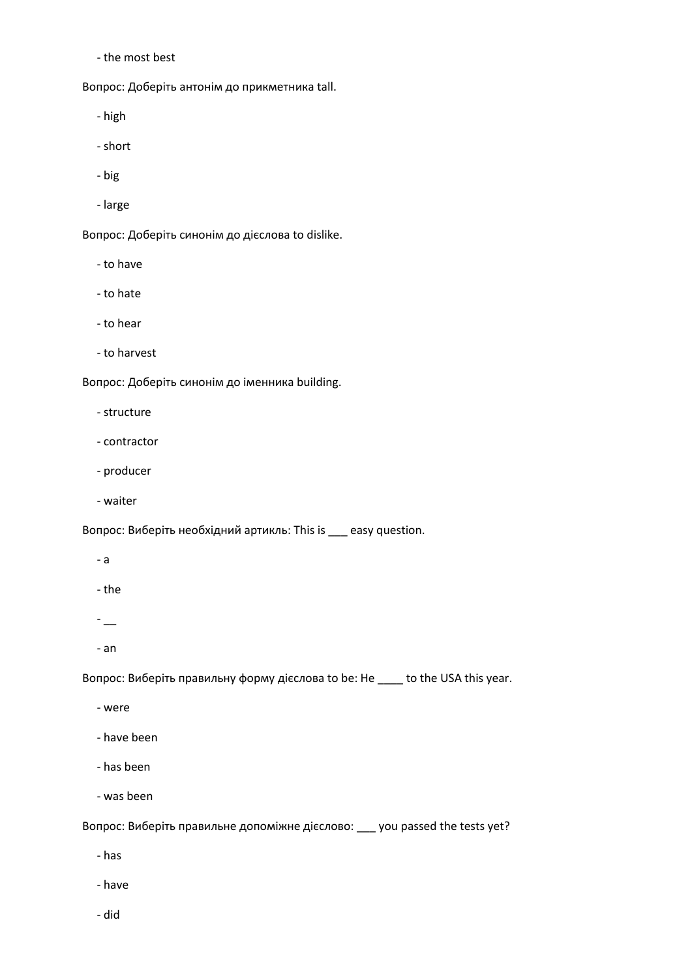- the most best

Вопрос: Доберіть антонім до прикметника tall.

- high

- short

- big

- large

Вопрос: Доберіть синонім до дієслова to dislike.

- to have

- to hate

- to hear

- to harvest

Вопрос: Доберіть синонім до іменника building.

- structure

- contractor
- producer
- waiter

Вопрос: Виберіть необхідний артикль: This is \_\_\_ easy question.

- a
- the

- \_\_

- an

Вопрос: Виберіть правильну форму дієслова to be: He \_\_\_\_ to the USA this year.

- were

- have been
- has been

- was been

Вопрос: Виберіть правильне допоміжне дієслово: \_\_\_ you passed the tests yet?

- has

- have

- did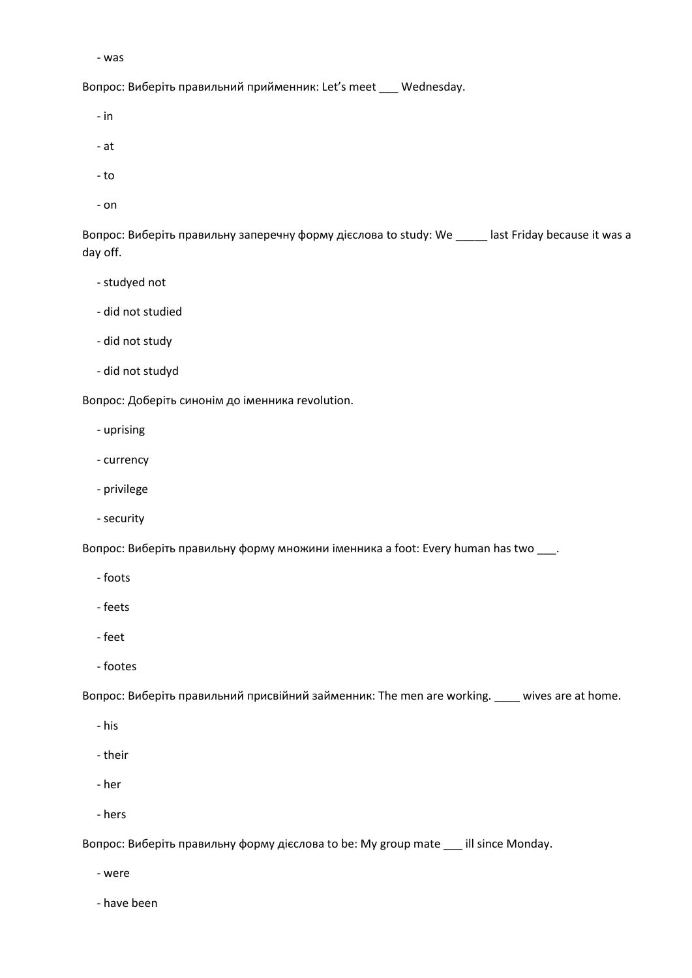```
 - was
```
Вопрос: Виберіть правильний прийменник: Let's meet \_\_\_ Wednesday.

- in
- at
- to
- on

Вопрос: Виберіть правильну заперечну форму дієслова to study: We \_\_\_\_\_ last Friday because it was a day off.

- studyed not
- did not studied
- did not study
- did not studyd

Вопрос: Доберіть синонім до іменника revolution.

- uprising
- currency
- privilege
- security

Вопрос: Виберіть правильну форму множини іменника a foot: Every human has two \_\_\_.

- foots
- feets
- feet
- footes

Вопрос: Виберіть правильний присвійний займенник: The men are working. \_\_\_\_ wives are at home.

- his
- their
- her
- hers

Вопрос: Виберіть правильну форму дієслова to be: My group mate \_\_\_ ill since Monday.

- were

- have been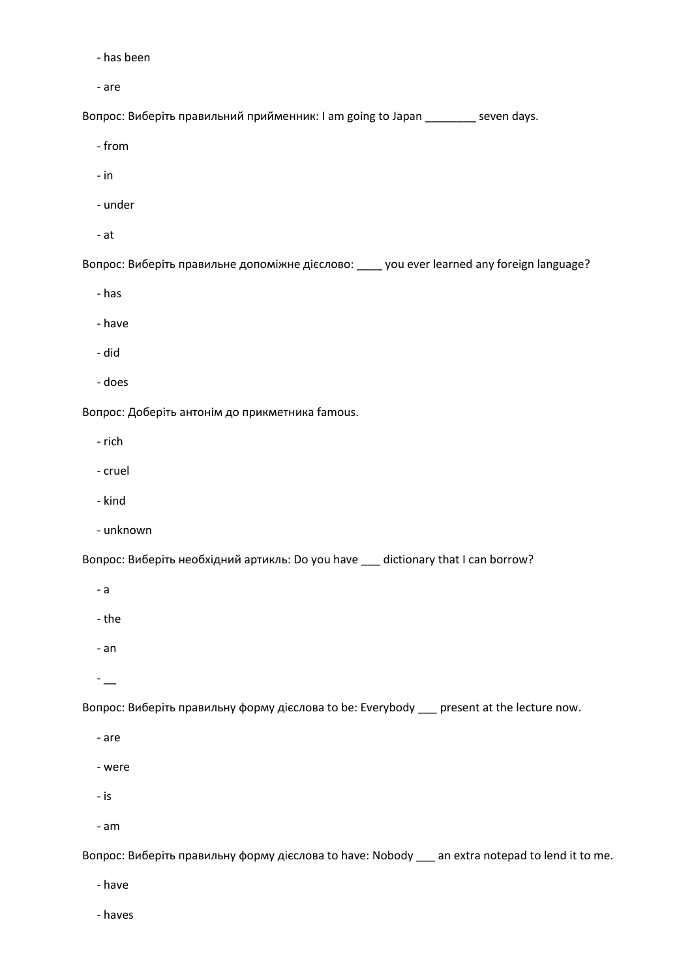- has been

- are

Вопрос: Виберіть правильний прийменник: I am going to Japan \_\_\_\_\_\_\_\_ seven days.

- from

- in

- under

- at

Вопрос: Виберіть правильне допоміжне дієслово: \_\_\_\_ you ever learned any foreign language?

- has

- have

- did

- does

Вопрос: Доберіть антонім до прикметника famous.

- rich

- cruel

- kind

- unknown

Вопрос: Виберіть необхідний артикль: Do you have \_\_\_ dictionary that I can borrow?

- a

- the

- an

 $-$ 

Вопрос: Виберіть правильну форму дієслова to be: Everybody \_\_\_ present at the lecture now.

- are

- were

- is

- am

Вопрос: Виберіть правильну форму дієслова to have: Nobody \_\_\_ an extra notepad to lend it to me.

- have

- haves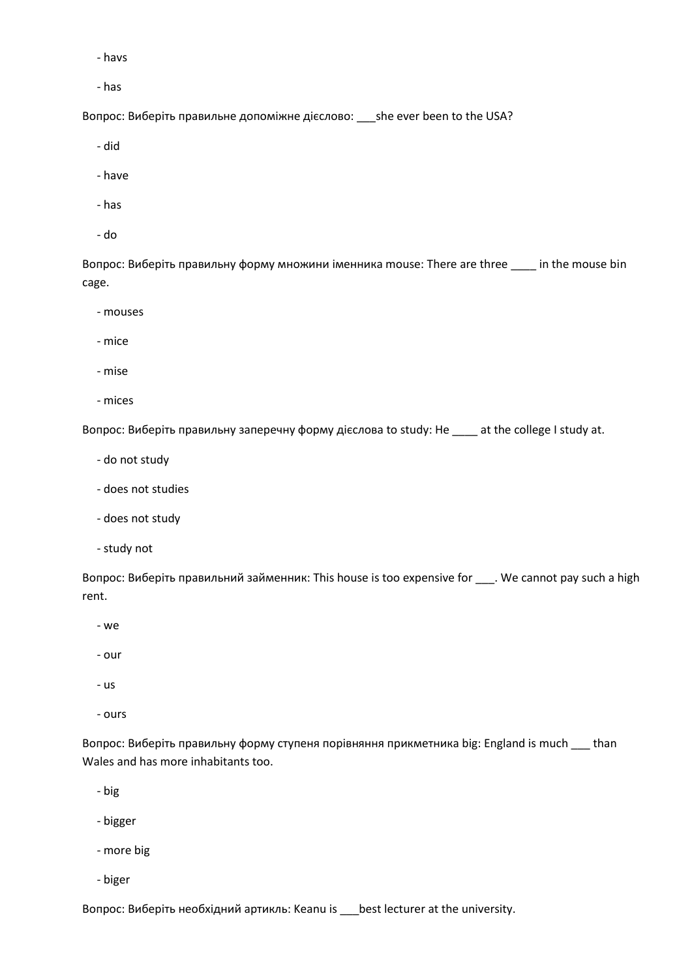- havs

- has

Вопрос: Виберіть правильне допоміжне дієслово: \_\_\_she ever been to the USA?

- did

- have

- has
- do

Вопрос: Виберіть правильну форму множини іменника mouse: There are three \_\_\_\_ in the mouse bin cage.

- mouses

- mice

- mise

- mices

Вопрос: Виберіть правильну заперечну форму дієслова to study: He \_\_\_\_ at the college I study at.

- do not study
- does not studies
- does not study
- study not

Вопрос: Виберіть правильний займенник: This house is too expensive for \_\_\_. We cannot pay such a high rent.

- we

- our

- us

- ours

Вопрос: Виберіть правильну форму ступеня порівняння прикметника big: England is much \_\_\_ than Wales and has more inhabitants too.

- big

- bigger
- more big
- biger

Вопрос: Виберіть необхідний артикль: Keanu is \_\_\_best lecturer at the university.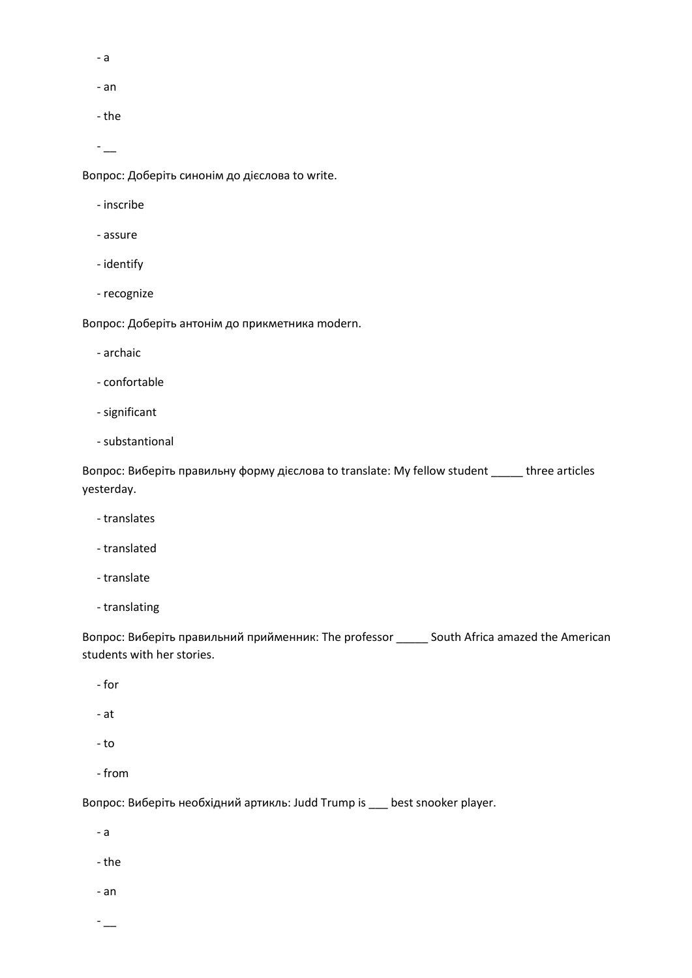- a
- an
- the
- $-$

Вопрос: Доберіть синонім до дієслова to write.

- inscribe
- assure
- identify
- recognize

Вопрос: Доберіть антонім до прикметника modern.

- archaic
- confortable
- significant
- substantional

Вопрос: Виберіть правильну форму дієслова to translate: My fellow student \_\_\_\_\_ three articles yesterday.

- translates
- translated
- translate
- translating

Вопрос: Виберіть правильний прийменник: The professor \_\_\_\_\_ South Africa amazed the American students with her stories.

- for
- at
- to
- from

Вопрос: Виберіть необхідний артикль: Judd Trump is \_\_\_ best snooker player.

- a
- the
- an
- $-$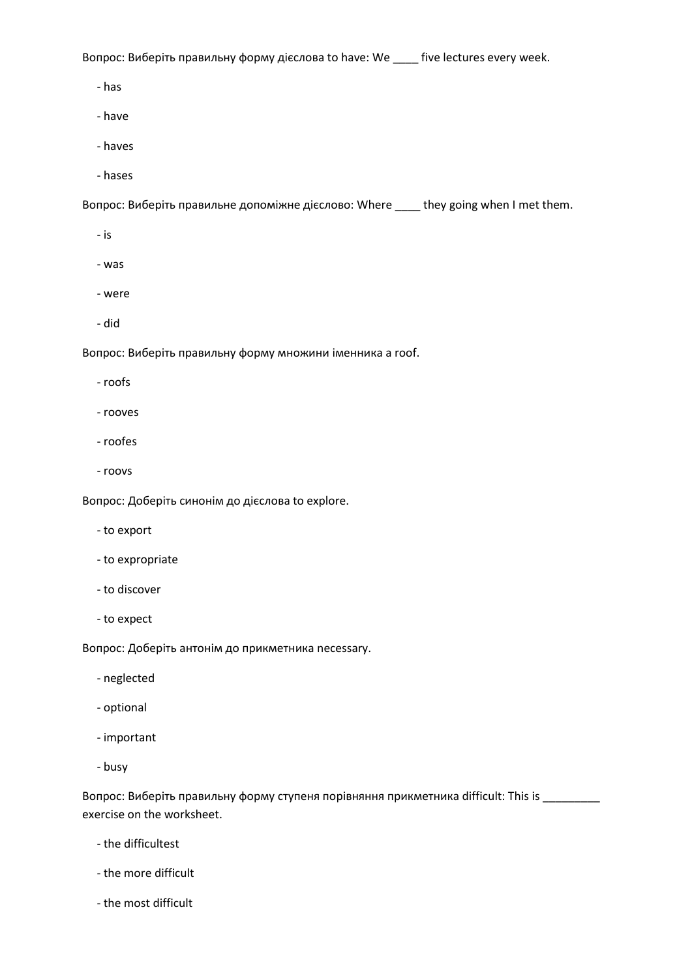Вопрос: Виберіть правильну форму дієслова to have: We \_\_\_\_ five lectures every week.

- has

- have

- haves
- hases

Вопрос: Виберіть правильне допоміжне дієслово: Where \_\_\_\_ they going when I met them.

- is
- was
- were
- did

Вопрос: Виберіть правильну форму множини іменника a roof.

- roofs
- rooves
- roofes
- roovs

Вопрос: Доберіть синонім до дієслова to explore.

- to export
- to expropriate
- to discover
- to expect

Вопрос: Доберіть антонім до прикметника necessary.

- neglected
- optional
- important
- busy

Вопрос: Виберіть правильну форму ступеня порівняння прикметника difficult: This is \_\_\_\_\_\_\_\_\_ exercise on the worksheet.

- the difficultest
- the more difficult
- the most difficult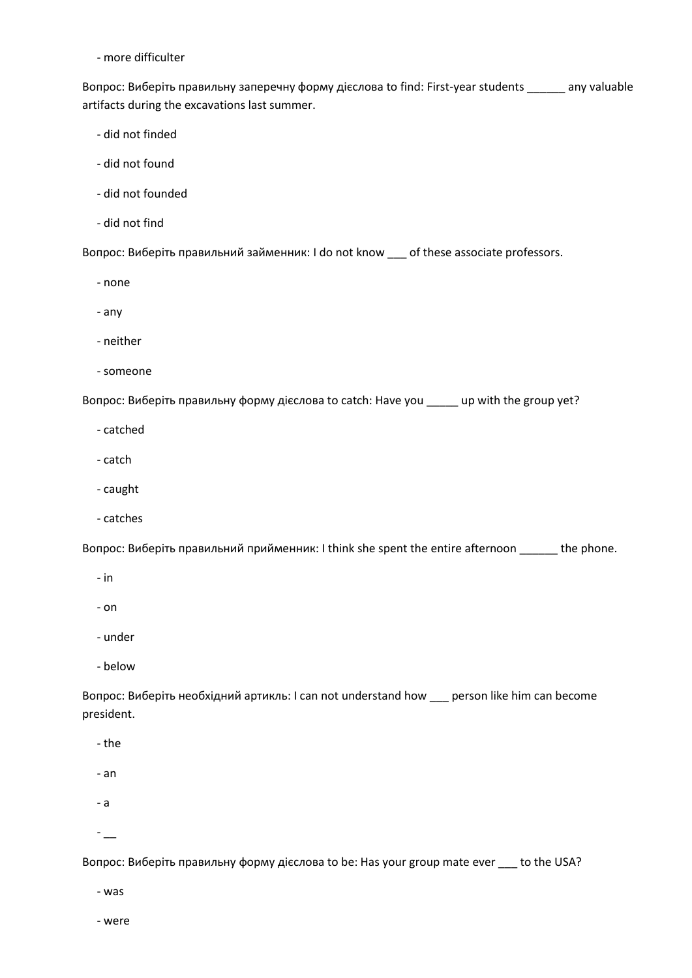- more difficulter

Вопрос: Виберіть правильну заперечну форму дієслова to find: First-year students \_\_\_\_\_\_ any valuable artifacts during the excavations last summer.

- did not finded
- did not found
- did not founded
- did not find

Вопрос: Виберіть правильний займенник: I do not know \_\_\_ of these associate professors.

- none

- any
- neither
- someone

Вопрос: Виберіть правильну форму дієслова to catch: Have you \_\_\_\_\_ up with the group yet?

- catched
- catch
- caught
- catches

Вопрос: Виберіть правильний прийменник: I think she spent the entire afternoon \_\_\_\_\_\_ the phone.

- in
- on
- under
- below

Вопрос: Виберіть необхідний артикль: I can not understand how \_\_\_ person like him can become president.

- the
- an
- a
- $-$

Вопрос: Виберіть правильну форму дієслова to be: Has your group mate ever \_\_\_ to the USA?

- was

- were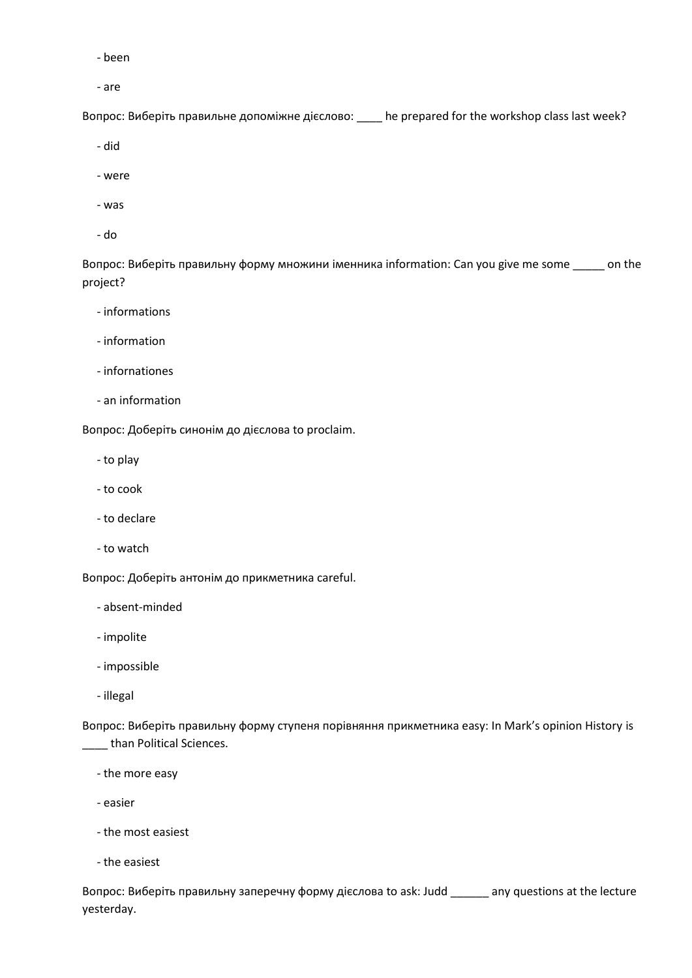- been

- are

Вопрос: Виберіть правильне допоміжне дієслово: \_\_\_\_ he prepared for the workshop class last week?

- did

- were

- was
- do

Вопрос: Виберіть правильну форму множини іменника information: Can you give me some \_\_\_\_\_ on the project?

- informations
- information
- infornationes
- an information

Вопрос: Доберіть синонім до дієслова to proclaim.

- to play
- to cook
- to declare
- to watch

Вопрос: Доберіть антонім до прикметника careful.

- absent-minded
- impolite
- impossible
- illegal

Вопрос: Виберіть правильну форму ступеня порівняння прикметника easy: In Mark's opinion History is \_\_\_ than Political Sciences.

- the more easy
- easier
- the most easiest
- the easiest

Вопрос: Виберіть правильну заперечну форму дієслова to ask: Judd \_\_\_\_\_\_ any questions at the lecture yesterday.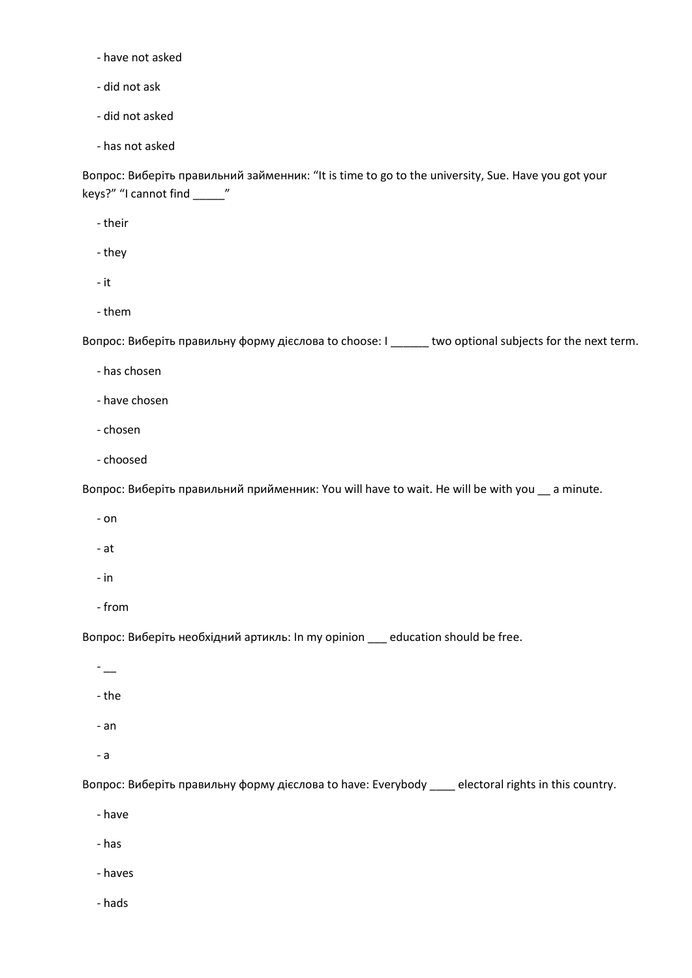- have not asked

- did not ask

- did not asked

- has not asked

Вопрос: Виберіть правильний займенник: "It is time to go to the university, Sue. Have you got your keys?" "I cannot find \_\_\_\_\_"

- their

- they

- it

- them

Вопрос: Виберіть правильну форму дієслова to choose: I \_\_\_\_\_\_ two optional subjects for the next term.

- has chosen

- have chosen

- chosen
- choosed

Вопрос: Виберіть правильний прийменник: You will have to wait. He will be with you \_\_ a minute.

- on
- at
- in
- from

Вопрос: Виберіть необхідний артикль: In my opinion \_\_\_ education should be free.

- \_\_

- the
- an
- a

Вопрос: Виберіть правильну форму дієслова to have: Everybody \_\_\_\_ electoral rights in this country.

- have
- has

- haves

- hads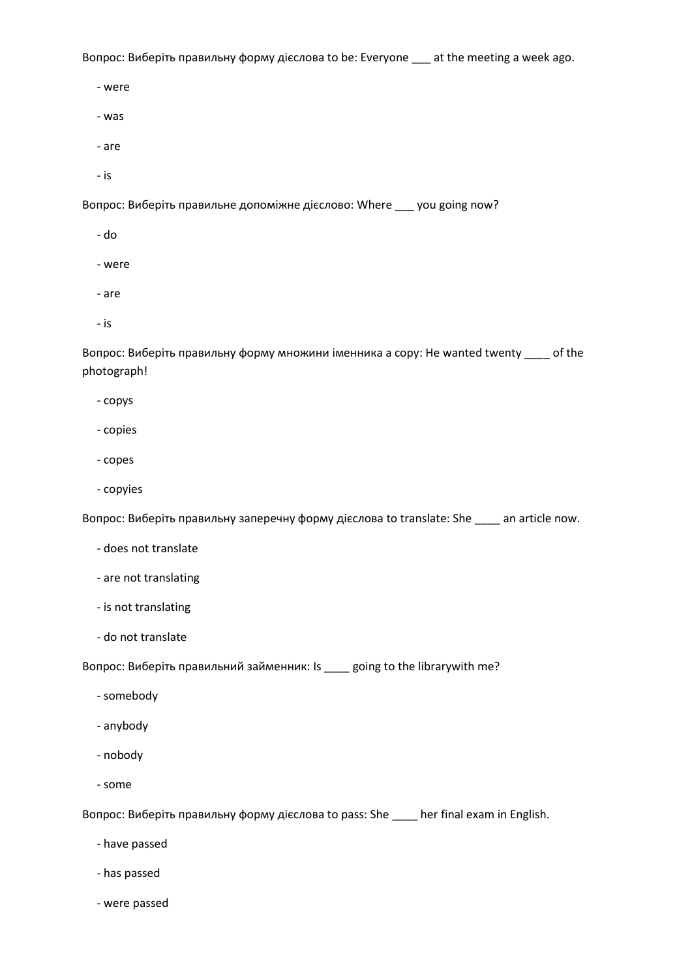Вопрос: Виберіть правильну форму дієслова to be: Everyone \_\_\_ at the meeting a week ago.

- were

- was

- are

- is

Вопрос: Виберіть правильне допоміжне дієслово: Where \_\_\_ you going now?

- do

- were

- are

- is

Вопрос: Виберіть правильну форму множини іменника a copy: He wanted twenty \_\_\_\_ of the photograph!

- copys

- copies

- copes

- copyies

Вопрос: Виберіть правильну заперечну форму дієслова to translate: She \_\_\_\_ an article now.

- does not translate

- are not translating

- is not translating

- do not translate

Вопрос: Виберіть правильний займенник: Is \_\_\_\_ going to the librarywith me?

- somebody

- anybody

- nobody

- some

Вопрос: Виберіть правильну форму дієслова to pass: She \_\_\_\_ her final exam in English.

- have passed

- has passed

- were passed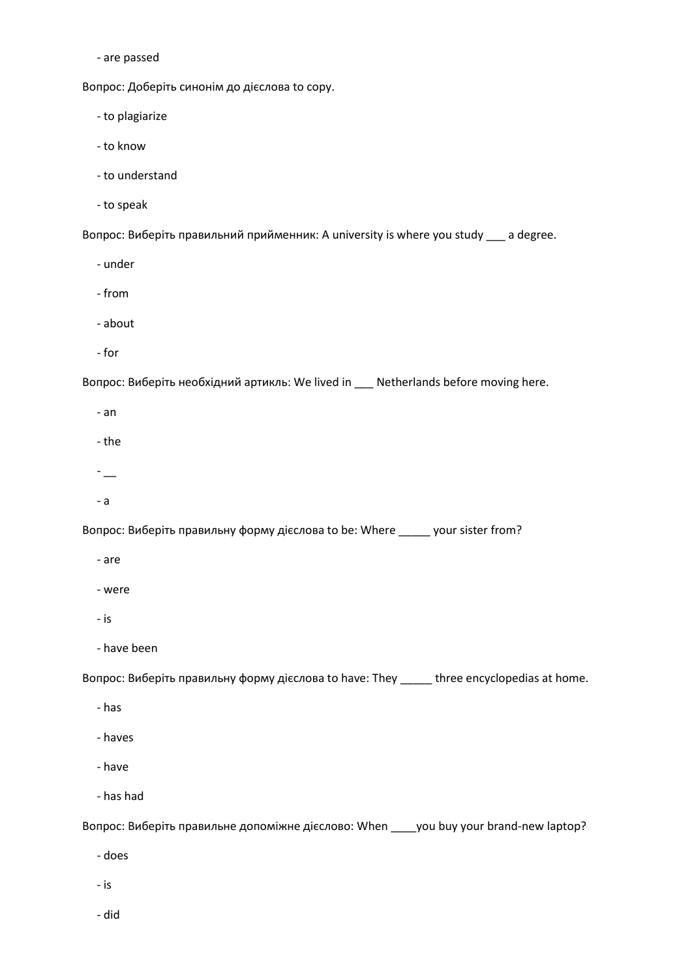- are passed

Вопрос: Доберіть синонім до дієслова to copy.

- to plagiarize

- to know

- to understand

- to speak

Вопрос: Виберіть правильний прийменник: A university is where you study \_\_\_ a degree.

- under

- from

- about

- for

Вопрос: Виберіть необхідний артикль: We lived in \_\_\_ Netherlands before moving here.

- an

- the

- \_\_

- a

Вопрос: Виберіть правильну форму дієслова to be: Where \_\_\_\_\_ your sister from?

- are

- were

- is

- have been

Вопрос: Виберіть правильну форму дієслова to have: They \_\_\_\_\_ three encyclopedias at home.

- has

- haves

- have

- has had

Вопрос: Виберіть правильне допоміжне дієслово: When \_\_\_\_you buy your brand-new laptop?

- does

- is

- did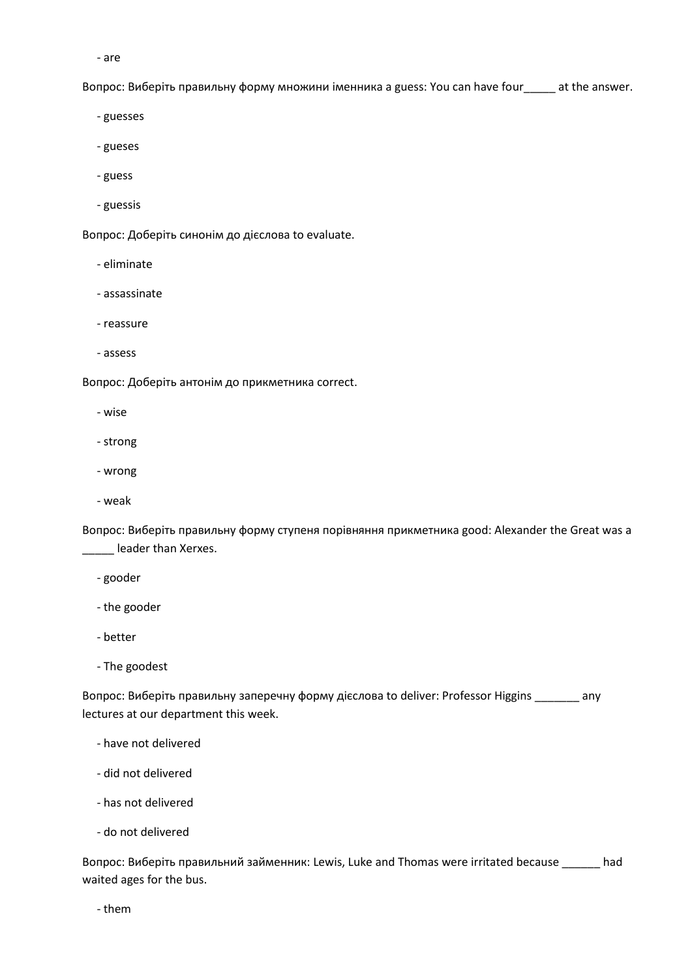- are

Вопрос: Виберіть правильну форму множини іменника a guess: You can have four\_\_\_\_\_ at the answer.

- guesses

- gueses
- guess
- guessis

Вопрос: Доберіть синонім до дієслова to evaluate.

- eliminate
- assassinate
- reassure
- assess

Вопрос: Доберіть антонім до прикметника correct.

- wise
- strong
- wrong
- weak

Вопрос: Виберіть правильну форму ступеня порівняння прикметника good: Alexander the Great was a \_\_\_\_\_ leader than Xerxes.

- gooder
- the gooder
- better
- The goodest

Вопрос: Виберіть правильну заперечну форму дієслова to deliver: Professor Higgins \_\_\_\_\_\_\_ any lectures at our department this week.

- have not delivered
- did not delivered
- has not delivered
- do not delivered

Вопрос: Виберіть правильний займенник: Lewis, Luke and Thomas were irritated because \_\_\_\_\_\_ had waited ages for the bus.

- them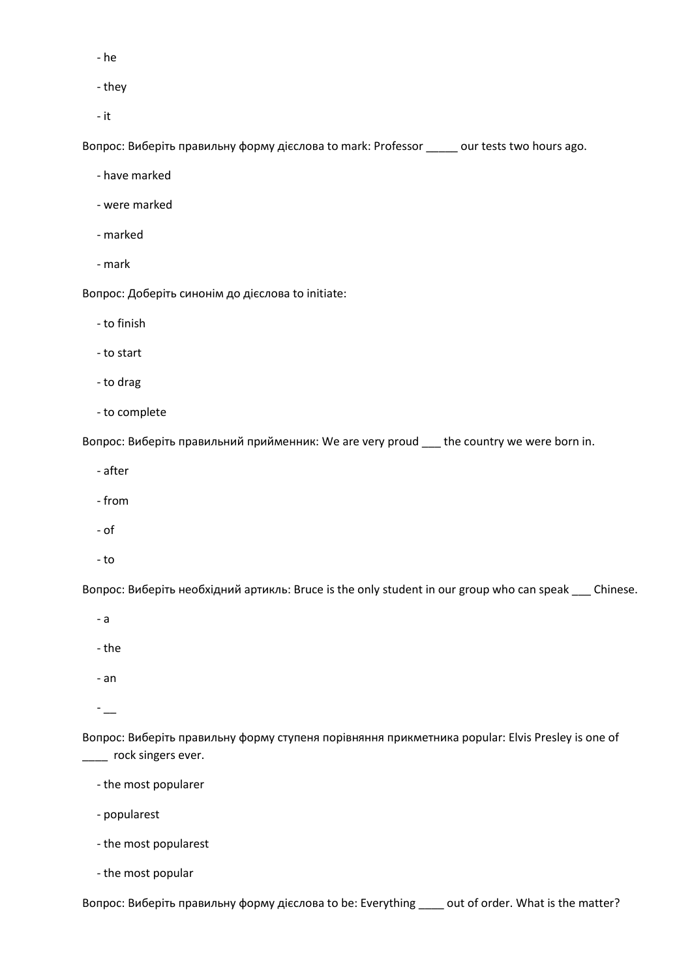- he

- they

- it

Вопрос: Виберіть правильну форму дієслова to mark: Professor \_\_\_\_\_ our tests two hours ago.

- have marked

- were marked

- marked

- mark

Вопрос: Доберіть синонім до дієслова to initiate:

- to finish

- to start

- to drag

- to complete

Вопрос: Виберіть правильний прийменник: We are very proud \_\_\_ the country we were born in.

- after

- from

- of

- to

Вопрос: Виберіть необхідний артикль: Bruce is the only student in our group who can speak \_\_\_ Chinese.

- a

- the

- an

 $-$ 

Вопрос: Виберіть правильну форму ступеня порівняння прикметника popular: Elvis Presley is one of \_\_\_\_ rock singers ever.

- the most popularer

- popularest

- the most popularest

- the most popular

Вопрос: Виберіть правильну форму дієслова to be: Everything \_\_\_\_ out of order. What is the matter?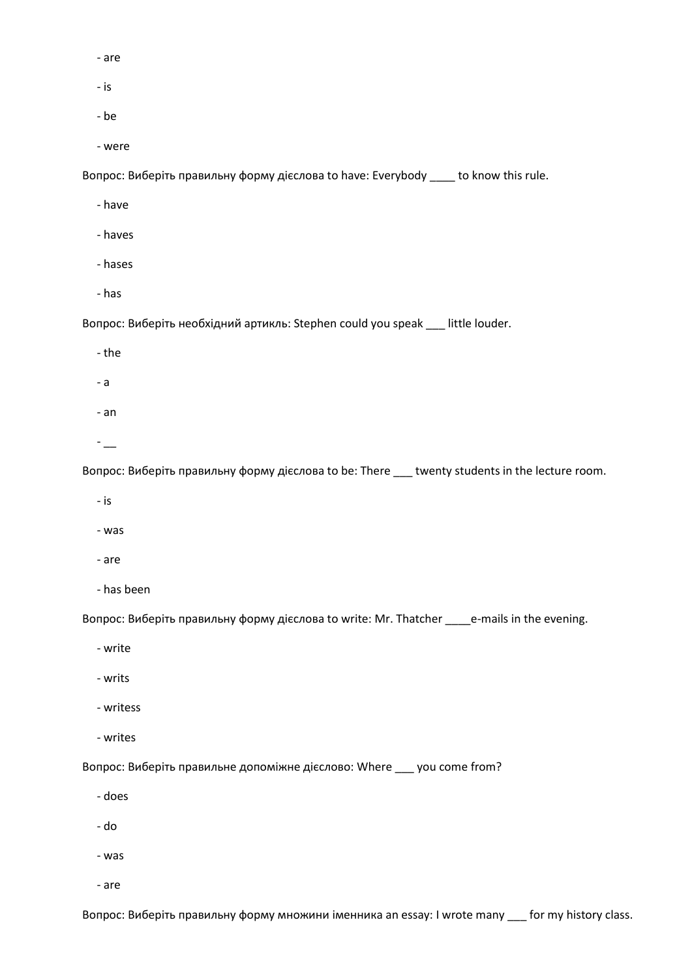- are

- is
- be

- were

Вопрос: Виберіть правильну форму дієслова to have: Everybody \_\_\_\_ to know this rule.

- have
- haves
- hases
- has

Вопрос: Виберіть необхідний артикль: Stephen could you speak \_\_\_ little louder.

- the
- a
- 
- an
- $-$

Вопрос: Виберіть правильну форму дієслова to be: There \_\_\_ twenty students in the lecture room.

- is
- was
- are
- has been

Вопрос: Виберіть правильну форму дієслова to write: Mr. Thatcher \_\_\_\_e-mails in the evening.

- write
- writs
- writess
- writes

Вопрос: Виберіть правильне допоміжне дієслово: Where \_\_\_ you come from?

- does
- do
- was
- are

Вопрос: Виберіть правильну форму множини іменника an essay: I wrote many \_\_\_ for my history class.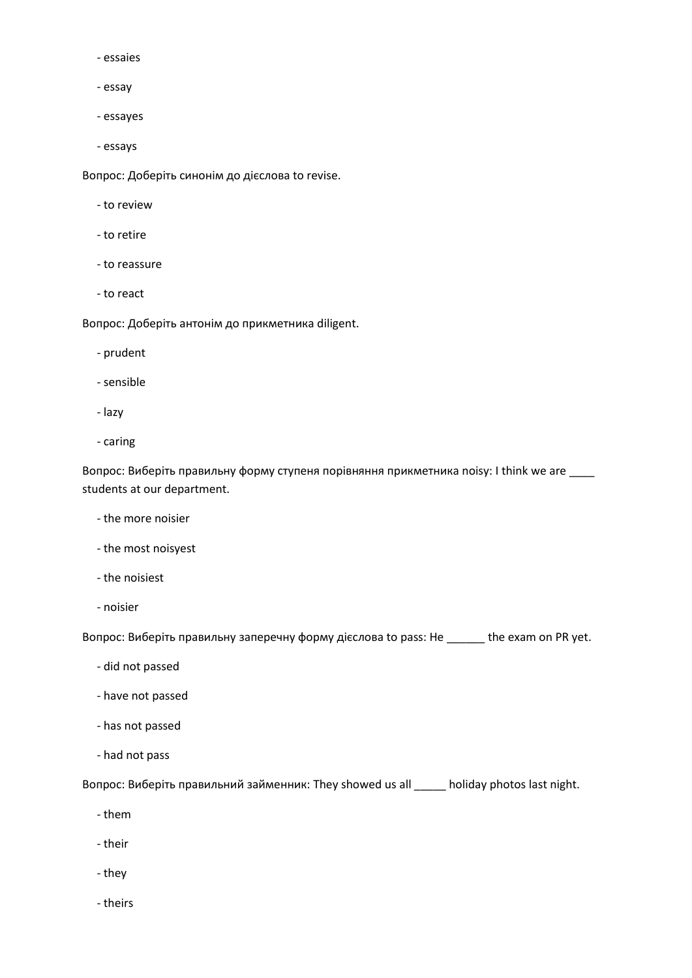- essaies
- essay
- essayes
- essays

Вопрос: Доберіть синонім до дієслова to revise.

- to review
- to retire
- to reassure
- to react

Вопрос: Доберіть антонім до прикметника diligent.

- prudent
- sensible
- lazy
- caring

Вопрос: Виберіть правильну форму ступеня порівняння прикметника noisy: I think we are \_\_\_\_ students at our department.

- the more noisier
- the most noisyest
- the noisiest
- noisier

Вопрос: Виберіть правильну заперечну форму дієслова to pass: He \_\_\_\_\_\_ the exam on PR yet.

- did not passed
- have not passed
- has not passed
- had not pass

Вопрос: Виберіть правильний займенник: They showed us all \_\_\_\_\_ holiday photos last night.

- them
- their
- they
- theirs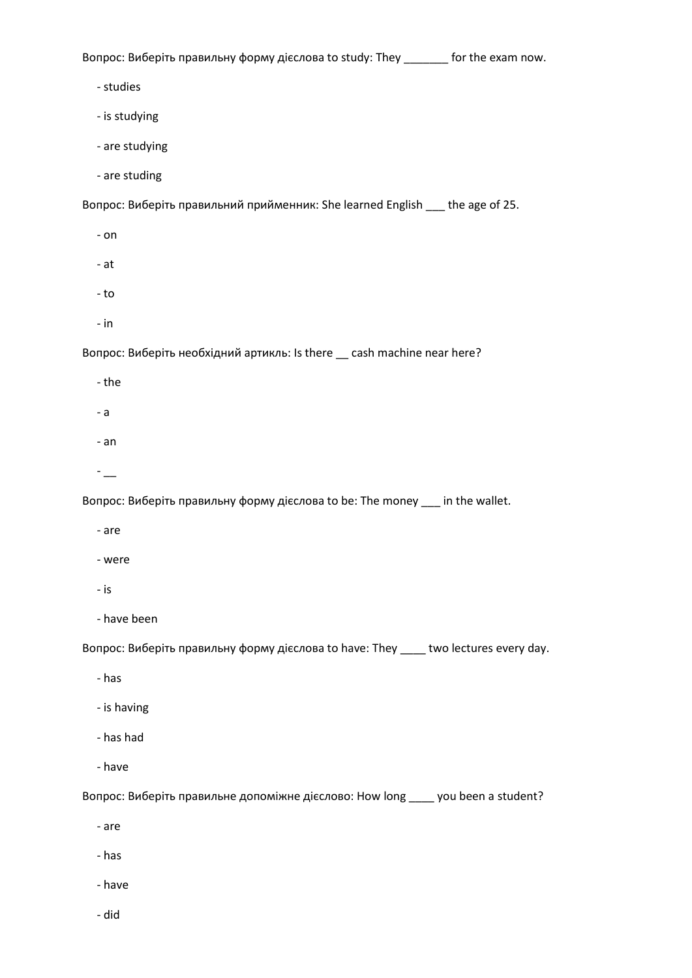Вопрос: Виберіть правильну форму дієслова to study: They \_\_\_\_\_\_\_ for the exam now. - studies - is studying - are studying - are studing Вопрос: Виберіть правильний прийменник: She learned English \_\_\_ the age of 25. - on - at - to - in Вопрос: Виберіть необхідний артикль: Is there \_\_ cash machine near here? - the - a - an - \_\_ Вопрос: Виберіть правильну форму дієслова to be: The money \_\_\_ in the wallet. - are - were - is - have been Вопрос: Виберіть правильну форму дієслова to have: They \_\_\_\_ two lectures every day. - has - is having - has had - have Вопрос: Виберіть правильне допоміжне дієслово: How long \_\_\_\_ you been a student?

- are

- has

- have

- did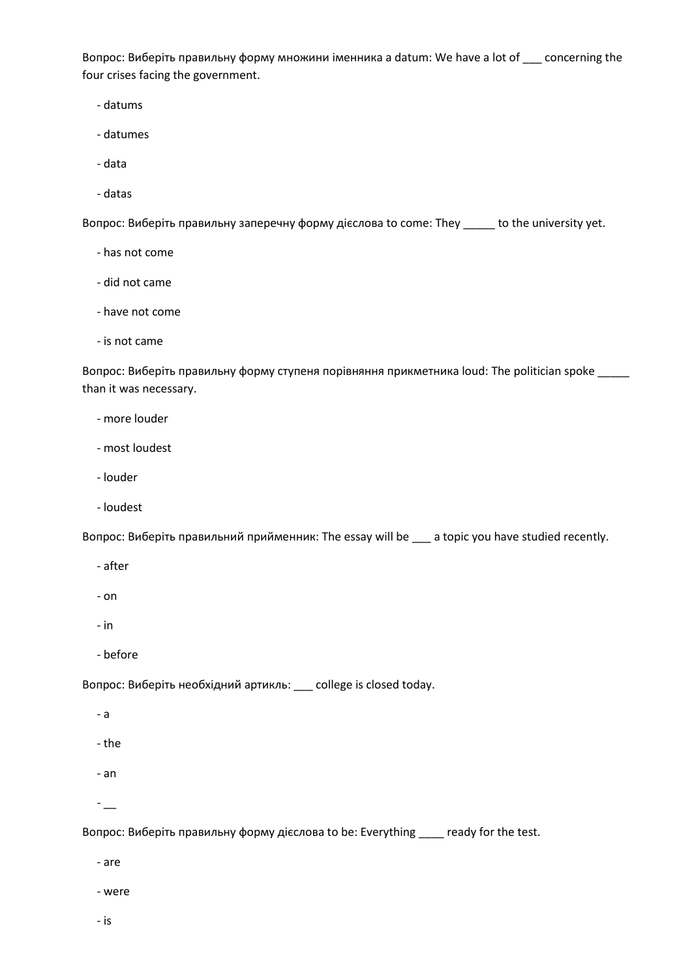Вопрос: Виберіть правильну форму множини іменника a datum: We have a lot of \_\_\_ concerning the four crises facing the government.

- datums
- datumes
- data
- datas

Вопрос: Виберіть правильну заперечну форму дієслова to come: They \_\_\_\_\_ to the university yet.

- has not come
- did not came
- have not come
- is not came

Вопрос: Виберіть правильну форму ступеня порівняння прикметника loud: The politician spoke \_\_\_\_\_ than it was necessary.

- more louder
- most loudest
- louder
- loudest

Вопрос: Виберіть правильний прийменник: The essay will be \_\_\_ a topic you have studied recently.

- after
- on
- in
- before

Вопрос: Виберіть необхідний артикль: \_\_\_ college is closed today.

- a
- the
- an
- $-$

Вопрос: Виберіть правильну форму дієслова to be: Everything \_\_\_\_ ready for the test.

- are
- were
- is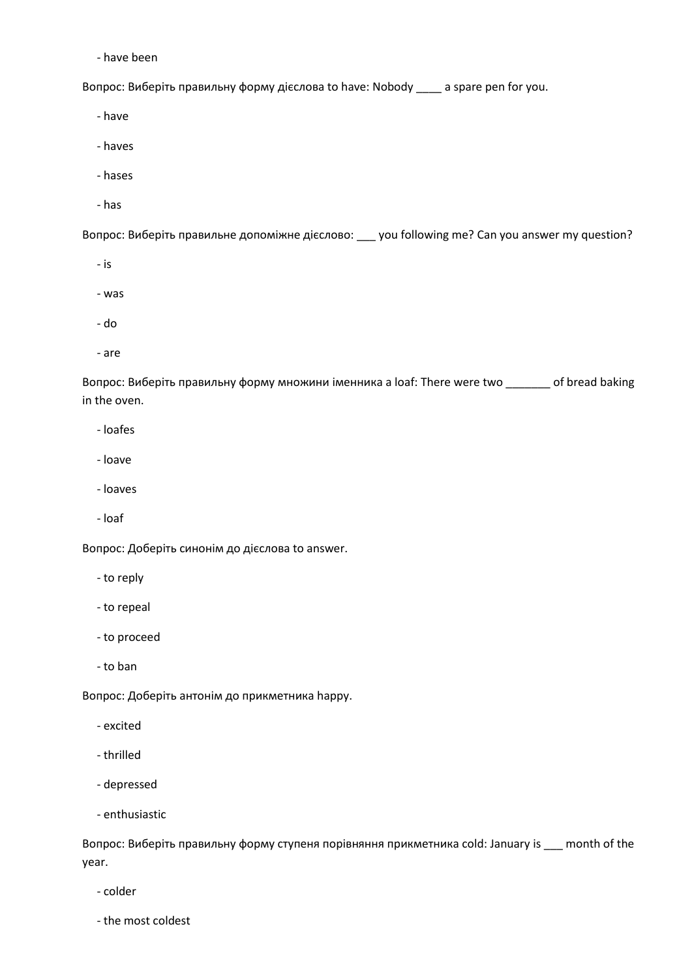- have been

Вопрос: Виберіть правильну форму дієслова to have: Nobody \_\_\_\_ a spare pen for you.

- have

- haves
- hases
- has

Вопрос: Виберіть правильне допоміжне дієслово: \_\_\_ you following me? Can you answer my question?

- is
- was
- do
- are

Вопрос: Виберіть правильну форму множини іменника a loaf: There were two \_\_\_\_\_\_\_ of bread baking in the oven.

- loafes
- loave
- loaves
- loaf

Вопрос: Доберіть синонім до дієслова to answer.

- to reply
- to repeal
- to proceed
- to ban

Вопрос: Доберіть антонім до прикметника happy.

- excited
- thrilled
- depressed
- enthusiastic

Вопрос: Виберіть правильну форму ступеня порівняння прикметника cold: January is \_\_\_ month of the year.

- colder
- the most coldest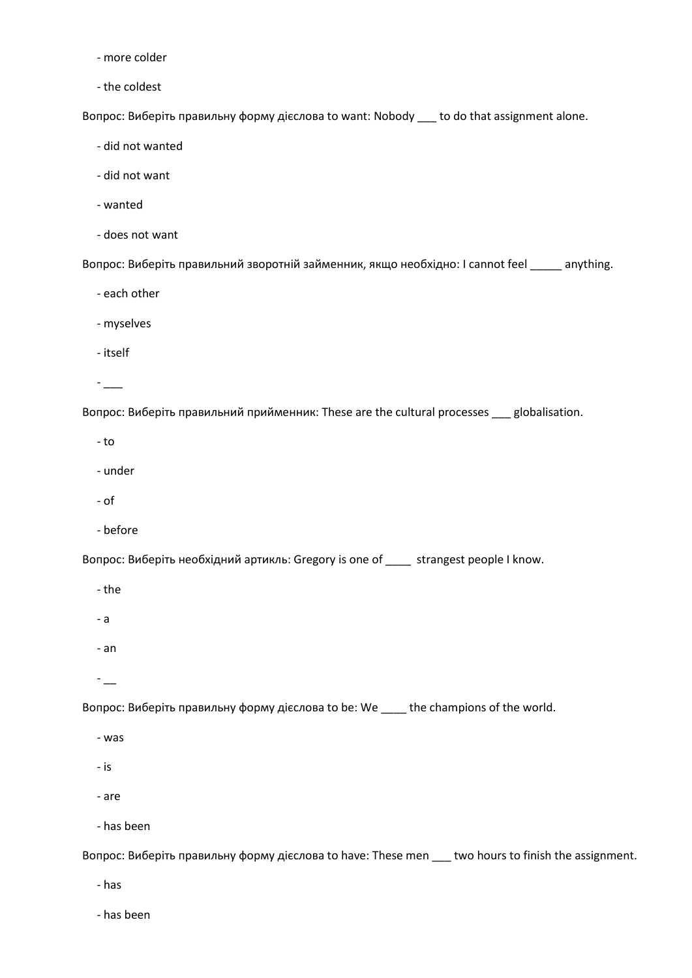- more colder
- the coldest

Вопрос: Виберіть правильну форму дієслова to want: Nobody \_\_\_ to do that assignment alone.

- did not wanted
- did not want
- wanted
- does not want

Вопрос: Виберіть правильний зворотній займенник, якщо необхідно: I cannot feel \_\_\_\_\_ anything.

- each other
- myselves
- itself
- \_\_\_

Вопрос: Виберіть правильний прийменник: These are the cultural processes \_\_\_ globalisation.

- to
- under
- of
- before

Вопрос: Виберіть необхідний артикль: Gregory is one of \_\_\_\_ strangest people I know.

- the
- a
- an
- $-$

Вопрос: Виберіть правильну форму дієслова to be: We \_\_\_\_ the champions of the world.

- was
- is
- are
- has been

Вопрос: Виберіть правильну форму дієслова to have: These men \_\_\_ two hours to finish the assignment.

- has

- has been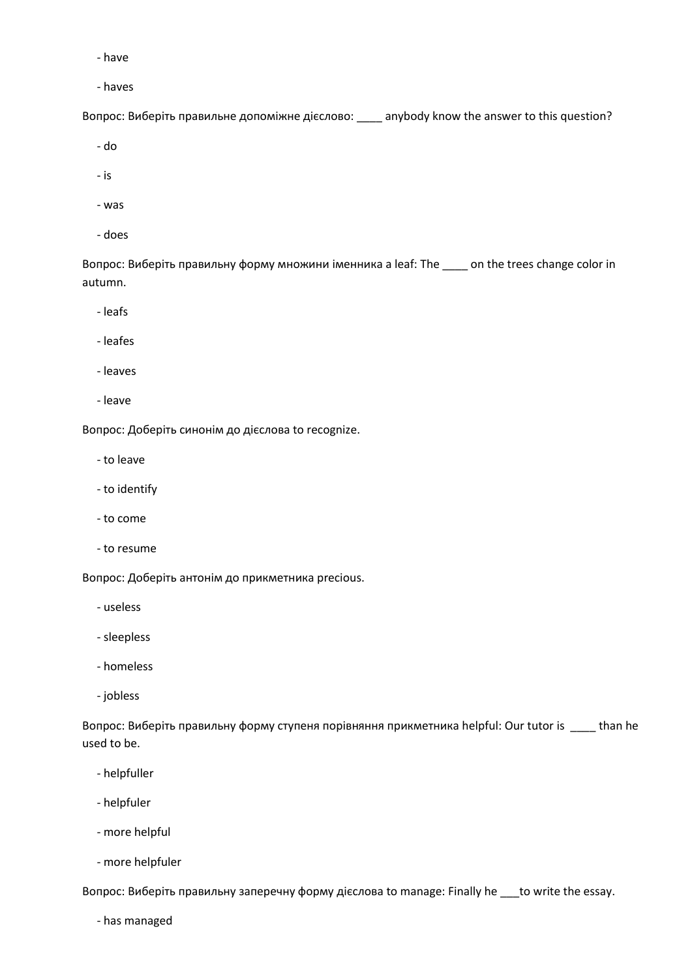- have

- haves

Вопрос: Виберіть правильне допоміжне дієслово: \_\_\_\_ anybody know the answer to this question?

- do

- is

- was
- does

Вопрос: Виберіть правильну форму множини іменника a leaf: The \_\_\_\_ on the trees change color in autumn.

- leafs

- leafes

- leaves

- leave

Вопрос: Доберіть синонім до дієслова to recognize.

- to leave

- to identify

- to come

- to resume

Вопрос: Доберіть антонім до прикметника precious.

- useless

- sleepless

- homeless

- jobless

Вопрос: Виберіть правильну форму ступеня порівняння прикметника helpful: Our tutor is \_\_\_\_ than he used to be.

- helpfuller

- helpfuler

- more helpful

- more helpfuler

Вопрос: Виберіть правильну заперечну форму дієслова to manage: Finally he \_\_\_to write the essay.

- has managed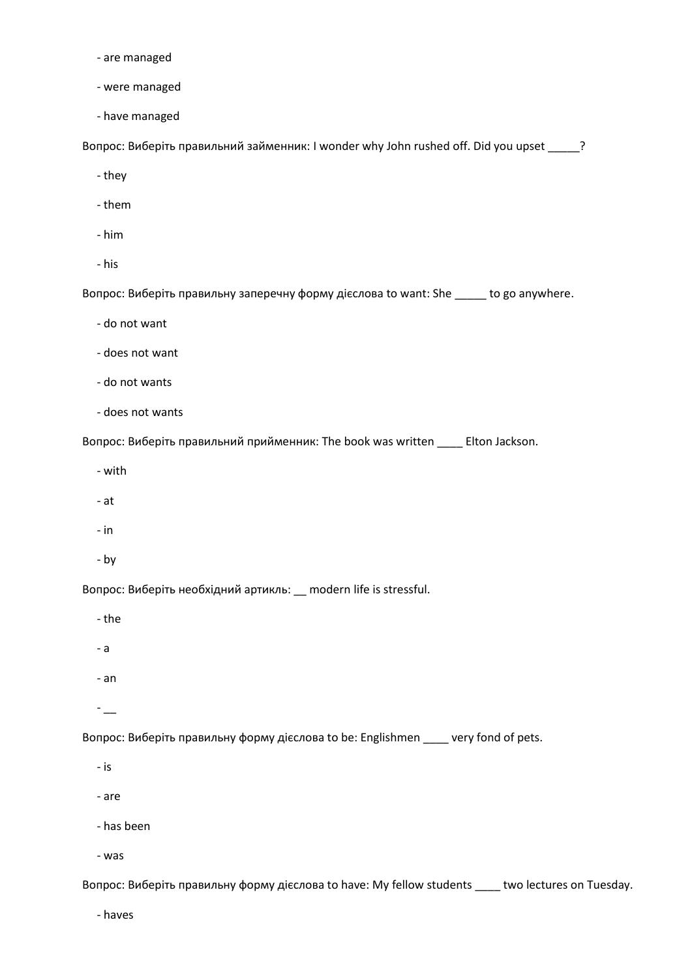- are managed
- were managed
- have managed

Вопрос: Виберіть правильний займенник: I wonder why John rushed off. Did you upset \_\_\_\_\_?

- they
- them
- him
- his

Вопрос: Виберіть правильну заперечну форму дієслова to want: She \_\_\_\_\_ to go anywhere.

- do not want
- does not want
- do not wants
- does not wants

Вопрос: Виберіть правильний прийменник: The book was written \_\_\_\_ Elton Jackson.

- with
- at
- in
- by

Вопрос: Виберіть необхідний артикль: \_\_ modern life is stressful.

- the
- a
- an

 $-$ 

Вопрос: Виберіть правильну форму дієслова to be: Englishmen \_\_\_\_ very fond of pets.

- is
- are
- has been
- was

Вопрос: Виберіть правильну форму дієслова to have: My fellow students \_\_\_\_ two lectures on Tuesday.

- haves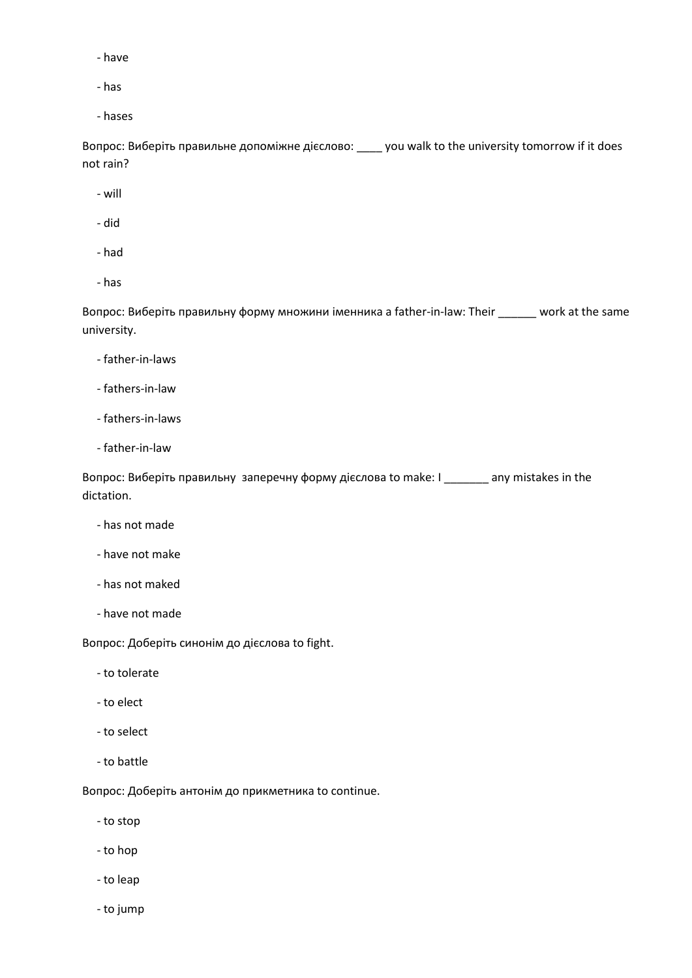- have
- has
- hases

Вопрос: Виберіть правильне допоміжне дієслово: \_\_\_\_ you walk to the university tomorrow if it does not rain?

- will
- did
- had
- has

Вопрос: Виберіть правильну форму множини іменника a father-in-law: Their \_\_\_\_\_\_ work at the same university.

- father-in-laws
- fathers-in-law
- fathers-in-laws
- father-in-law

Вопрос: Виберіть правильну заперечну форму дієслова to make: I \_\_\_\_\_\_\_ any mistakes in the dictation.

- has not made
- have not make
- has not maked
- have not made

Вопрос: Доберіть синонім до дієслова to fight.

- to tolerate
- to elect
- to select
- to battle

Вопрос: Доберіть антонім до прикметника to continue.

- to stop
- to hop
- to leap
- to jump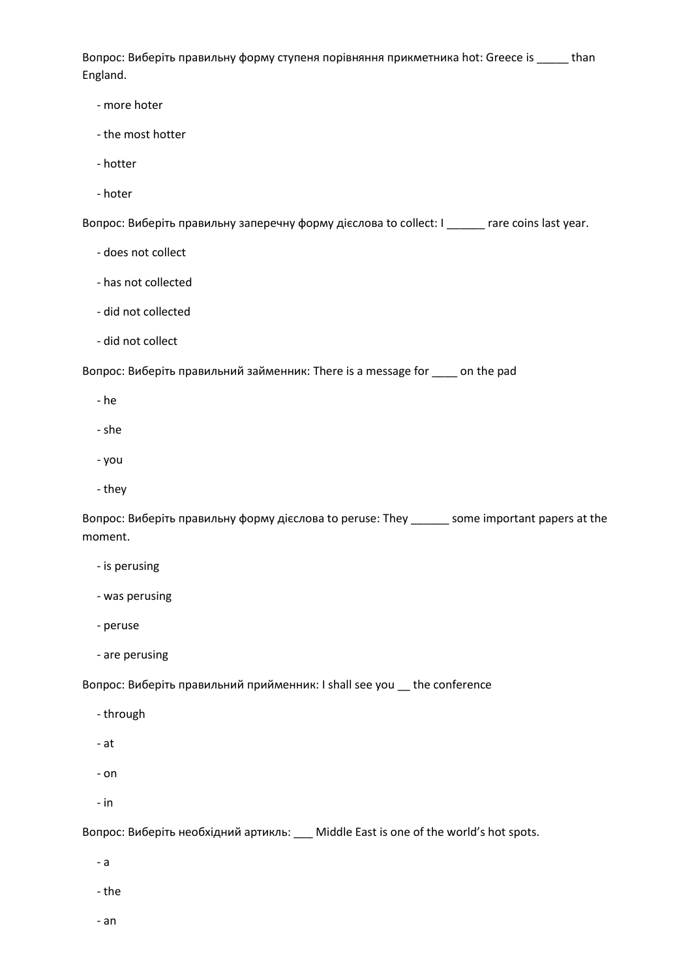Вопрос: Виберіть правильну форму ступеня порівняння прикметника hot: Greece is \_\_\_\_\_ than England.

- more hoter
- the most hotter
- hotter
- hoter

Вопрос: Виберіть правильну заперечну форму дієслова to collect: I \_\_\_\_\_\_ rare coins last year.

- does not collect
- has not collected
- did not collected
- did not collect

Вопрос: Виберіть правильний займенник: There is a message for \_\_\_\_ on the pad

- he
- she
- you
- they

Вопрос: Виберіть правильну форму дієслова to peruse: They \_\_\_\_\_\_ some important papers at the moment.

- is perusing
- was perusing
- peruse
- are perusing

Вопрос: Виберіть правильний прийменник: I shall see you \_\_ the conference

- through
- at
- on
- in

Вопрос: Виберіть необхідний артикль: \_\_\_ Middle East is one of the world's hot spots.

- a
- the
- an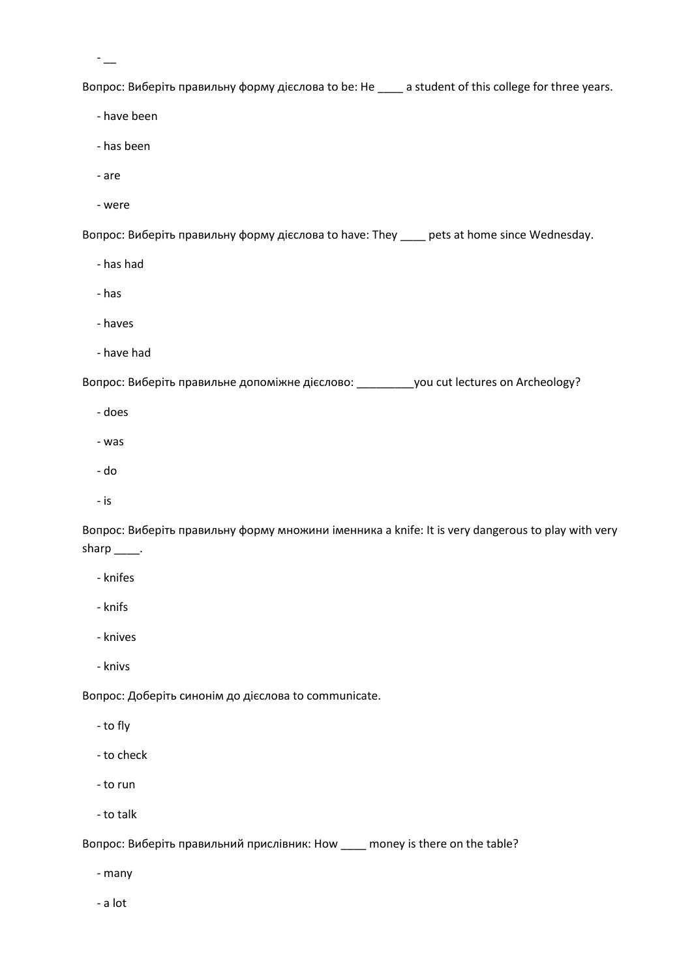$-$ 

Вопрос: Виберіть правильну форму дієслова to be: He \_\_\_\_ a student of this college for three years.

- have been

- has been

- are

- were

Вопрос: Виберіть правильну форму дієслова to have: They \_\_\_\_ pets at home since Wednesday.

- has had
- has
- haves
- have had

Вопрос: Виберіть правильне допоміжне дієслово: \_\_\_\_\_\_\_\_\_you cut lectures on Archeology?

- does
- was
- do
- is

Вопрос: Виберіть правильну форму множини іменника a knife: It is very dangerous to play with very sharp \_\_\_\_\_.

- knifes
- knifs
- knives
- knivs

Вопрос: Доберіть синонім до дієслова to communicate.

- to fly

- to check
- to run
- to talk

Вопрос: Виберіть правильний прислівник: How \_\_\_\_ money is there on the table?

- many

- a lot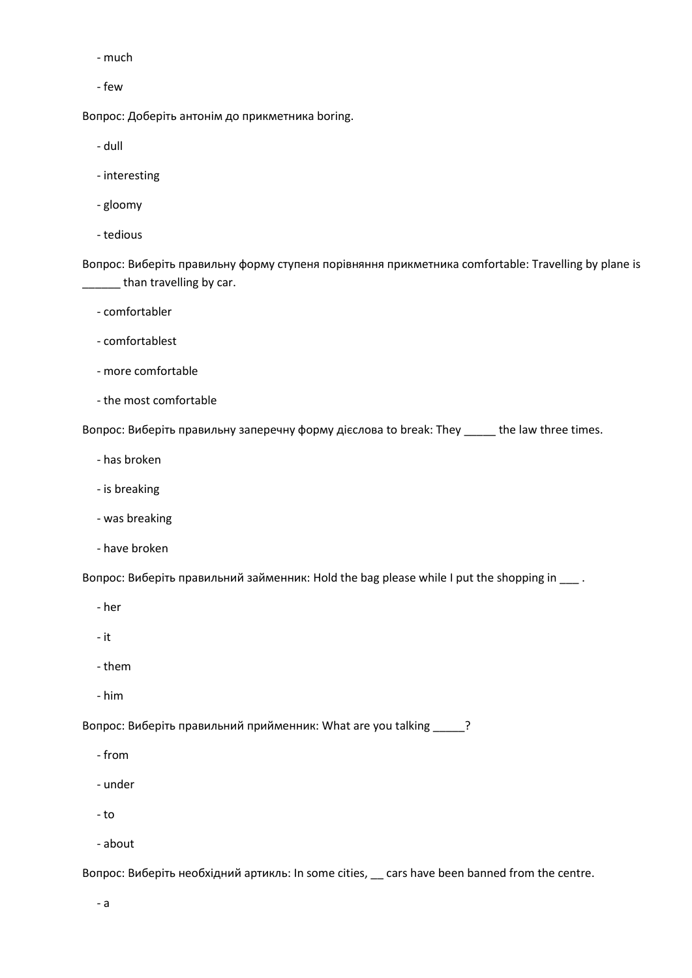- much
- few

Вопрос: Доберіть антонім до прикметника boring.

- dull

- interesting
- gloomy
- tedious

Вопрос: Виберіть правильну форму ступеня порівняння прикметника comfortable: Travelling by plane is \_\_\_\_\_\_ than travelling by car.

- comfortabler
- comfortablest
- more comfortable
- the most comfortable

Вопрос: Виберіть правильну заперечну форму дієслова to break: They \_\_\_\_\_ the law three times.

- has broken
- is breaking
- was breaking
- have broken

Вопрос: Виберіть правильний займенник: Hold the bag please while I put the shopping in \_\_\_ .

- her
- it
- them
- him

Вопрос: Виберіть правильний прийменник: What are you talking  $\frac{1}{2}$ ?

- from
- under
- to
- about

Вопрос: Виберіть необхідний артикль: In some cities, \_\_ cars have been banned from the centre.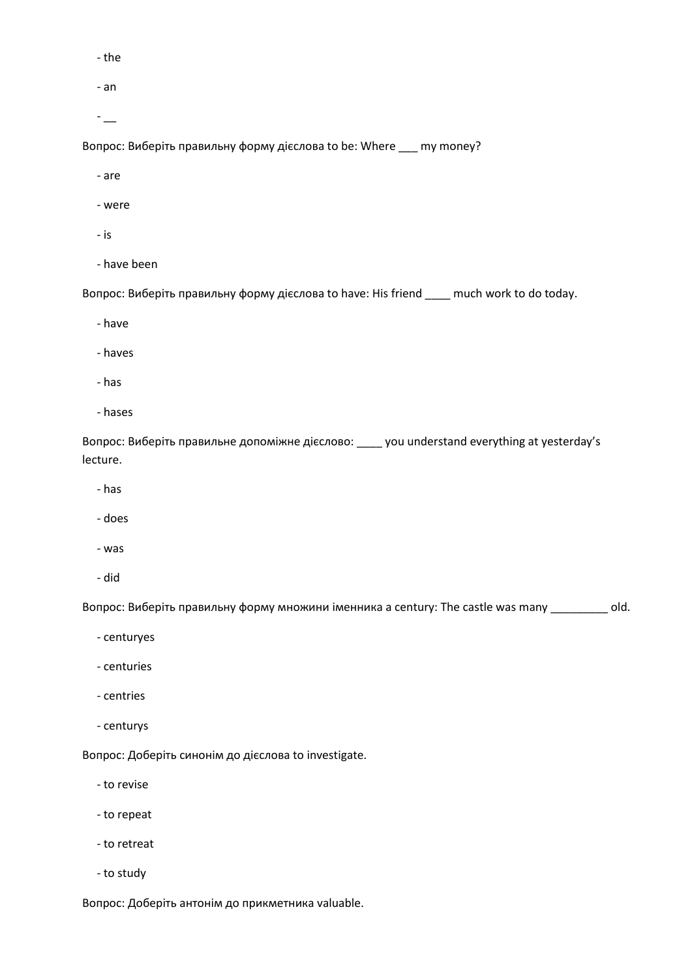- the

- an

 $-$ 

Вопрос: Виберіть правильну форму дієслова to be: Where \_\_\_ my money?

- are

- were
- is
- have been

Вопрос: Виберіть правильну форму дієслова to have: His friend \_\_\_\_ much work to do today.

- have
- haves
- has
- hases

Вопрос: Виберіть правильне допоміжне дієслово: \_\_\_\_ you understand everything at yesterday's lecture.

- has
- does
- was
- did

Вопрос: Виберіть правильну форму множини іменника a century: The castle was many \_\_\_\_\_\_\_\_\_ old.

- centuryes
- centuries
- centries
- centurys

Вопрос: Доберіть синонім до дієслова to investigate.

- to revise
- to repeat
- to retreat
- to study

Вопрос: Доберіть антонім до прикметника valuable.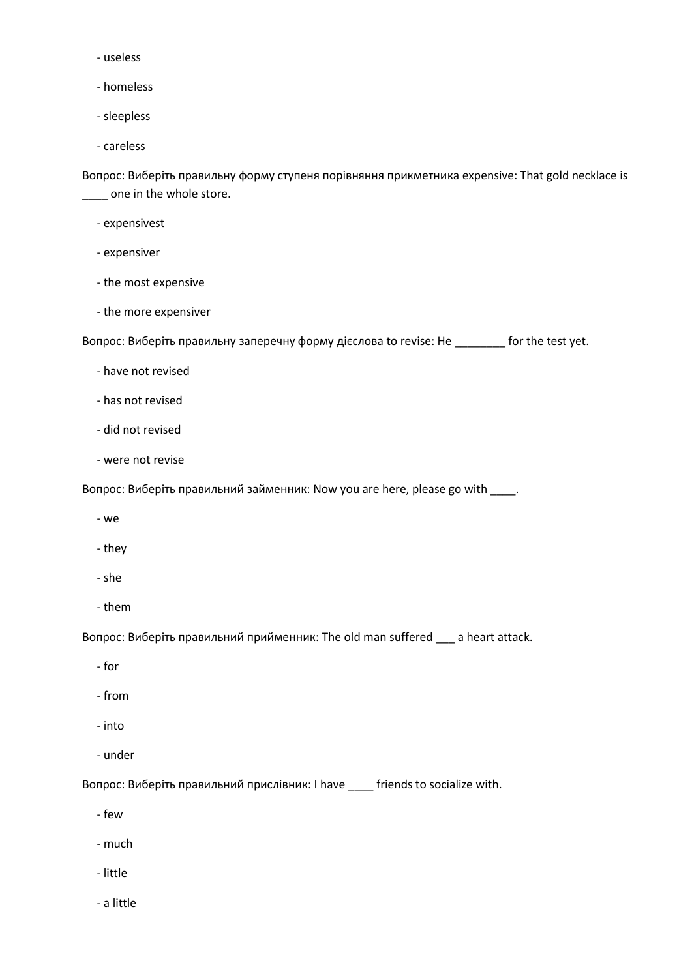- useless
- homeless
- sleepless
- careless

Вопрос: Виберіть правильну форму ступеня порівняння прикметника expensive: That gold necklace is \_\_\_\_ one in the whole store.

- expensivest
- expensiver
- the most expensive
- the more expensiver

Вопрос: Виберіть правильну заперечну форму дієслова to revise: He \_\_\_\_\_\_\_\_ for the test yet.

- have not revised
- has not revised
- did not revised
- were not revise

Вопрос: Виберіть правильний займенник: Now you are here, please go with \_\_\_\_.

- we
- they
- she
- them

Вопрос: Виберіть правильний прийменник: The old man suffered \_\_\_ a heart attack.

- for
- from
- into
- under

Вопрос: Виберіть правильний прислівник: I have \_\_\_\_ friends to socialize with.

- few
- much
- little
- a little